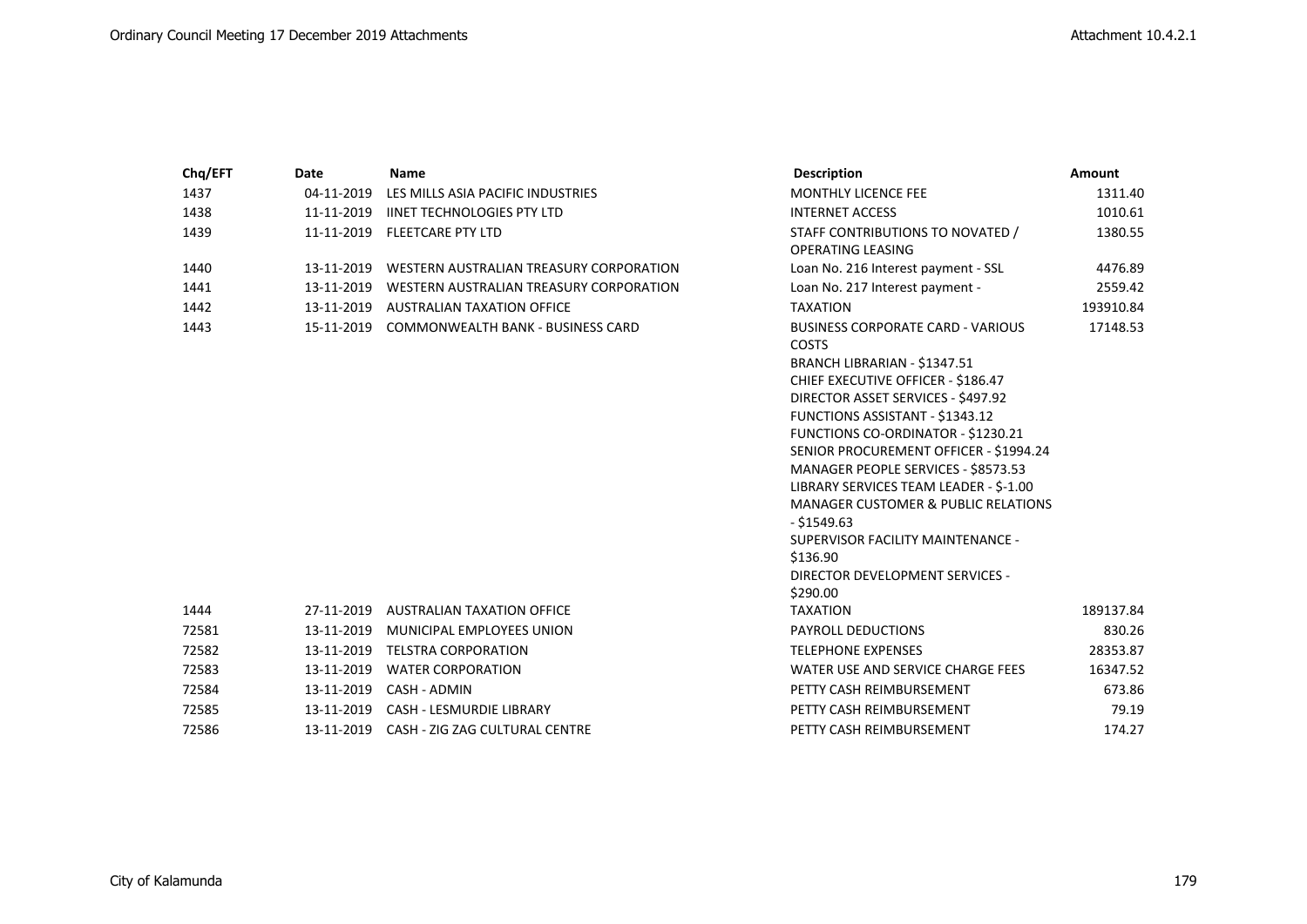| Chq/EFT | <b>Date</b> | <b>Name</b>                              | <b>Description</b>                                              | <b>Amount</b> |
|---------|-------------|------------------------------------------|-----------------------------------------------------------------|---------------|
| 1437    | 04-11-2019  | LES MILLS ASIA PACIFIC INDUSTRIES        | <b>MONTHLY LICENCE FEE</b>                                      | 1311.40       |
| 1438    | 11-11-2019  | <b>IINET TECHNOLOGIES PTY LTD</b>        | <b>INTERNET ACCESS</b>                                          | 1010.61       |
| 1439    | 11-11-2019  | <b>FLEETCARE PTY LTD</b>                 | STAFF CONTRIBUTIONS TO NOVATED /                                | 1380.55       |
|         |             |                                          | <b>OPERATING LEASING</b>                                        |               |
| 1440    | 13-11-2019  | WESTERN AUSTRALIAN TREASURY CORPORATION  | Loan No. 216 Interest payment - SSL                             | 4476.89       |
| 1441    | 13-11-2019  | WESTERN AUSTRALIAN TREASURY CORPORATION  | Loan No. 217 Interest payment -                                 | 2559.42       |
| 1442    | 13-11-2019  | <b>AUSTRALIAN TAXATION OFFICE</b>        | <b>TAXATION</b>                                                 | 193910.84     |
| 1443    | 15-11-2019  | <b>COMMONWEALTH BANK - BUSINESS CARD</b> | <b>BUSINESS CORPORATE CARD - VARIOUS</b>                        | 17148.53      |
|         |             |                                          | COSTS                                                           |               |
|         |             |                                          | BRANCH LIBRARIAN - \$1347.51                                    |               |
|         |             |                                          | CHIEF EXECUTIVE OFFICER - \$186.47                              |               |
|         |             |                                          | <b>DIRECTOR ASSET SERVICES - \$497.92</b>                       |               |
|         |             |                                          | FUNCTIONS ASSISTANT - \$1343.12                                 |               |
|         |             |                                          | <b>FUNCTIONS CO-ORDINATOR - \$1230.21</b>                       |               |
|         |             |                                          | SENIOR PROCUREMENT OFFICER - \$1994.24                          |               |
|         |             |                                          | MANAGER PEOPLE SERVICES - \$8573.53                             |               |
|         |             |                                          | LIBRARY SERVICES TEAM LEADER - \$-1.00                          |               |
|         |             |                                          | <b>MANAGER CUSTOMER &amp; PUBLIC RELATIONS</b><br>$-$ \$1549.63 |               |
|         |             |                                          | SUPERVISOR FACILITY MAINTENANCE -                               |               |
|         |             |                                          | \$136.90                                                        |               |
|         |             |                                          | <b>DIRECTOR DEVELOPMENT SERVICES -</b>                          |               |
|         |             |                                          | \$290.00                                                        |               |
| 1444    | 27-11-2019  | <b>AUSTRALIAN TAXATION OFFICE</b>        | <b>TAXATION</b>                                                 | 189137.84     |
| 72581   | 13-11-2019  | MUNICIPAL EMPLOYEES UNION                | PAYROLL DEDUCTIONS                                              | 830.26        |
| 72582   | 13-11-2019  | <b>TELSTRA CORPORATION</b>               | <b>TELEPHONE EXPENSES</b>                                       | 28353.87      |
| 72583   | 13-11-2019  | <b>WATER CORPORATION</b>                 | WATER USE AND SERVICE CHARGE FEES                               | 16347.52      |
| 72584   | 13-11-2019  | CASH - ADMIN                             | PETTY CASH REIMBURSEMENT                                        | 673.86        |
| 72585   | 13-11-2019  | <b>CASH - LESMURDIE LIBRARY</b>          | PETTY CASH REIMBURSEMENT                                        | 79.19         |
| 72586   | 13-11-2019  | CASH - ZIG ZAG CULTURAL CENTRE           | PETTY CASH REIMBURSEMENT                                        | 174.27        |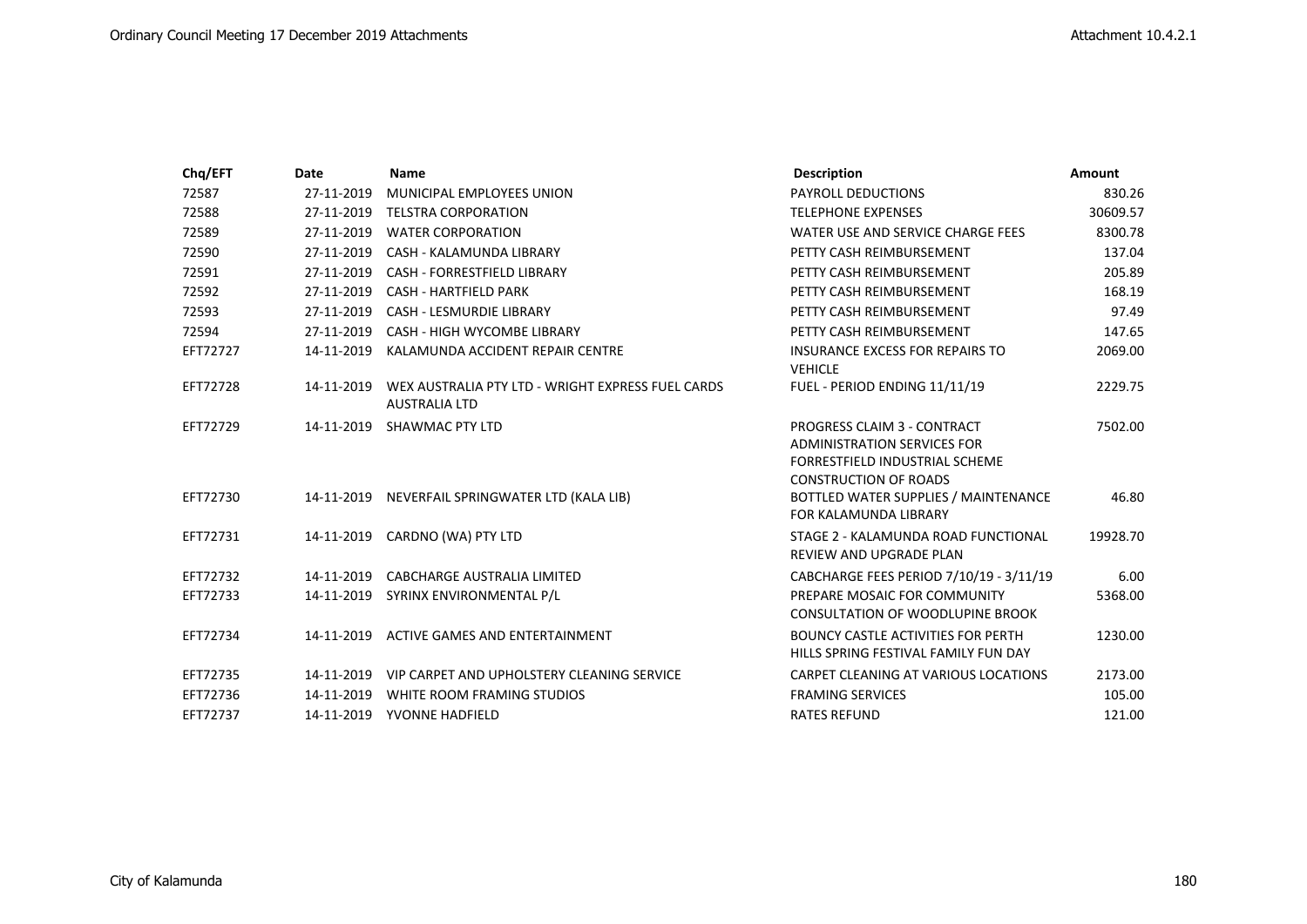| Chq/EFT  | <b>Date</b> | Name                                                                      | <b>Description</b>                                                                                                                  | <b>Amount</b> |
|----------|-------------|---------------------------------------------------------------------------|-------------------------------------------------------------------------------------------------------------------------------------|---------------|
| 72587    | 27-11-2019  | MUNICIPAL EMPLOYEES UNION                                                 | <b>PAYROLL DEDUCTIONS</b>                                                                                                           | 830.26        |
| 72588    | 27-11-2019  | <b>TELSTRA CORPORATION</b>                                                | <b>TELEPHONE EXPENSES</b>                                                                                                           | 30609.57      |
| 72589    | 27-11-2019  | <b>WATER CORPORATION</b>                                                  | WATER USE AND SERVICE CHARGE FEES                                                                                                   | 8300.78       |
| 72590    | 27-11-2019  | CASH - KALAMUNDA LIBRARY                                                  | PETTY CASH REIMBURSEMENT                                                                                                            | 137.04        |
| 72591    | 27-11-2019  | <b>CASH - FORRESTFIELD LIBRARY</b>                                        | PETTY CASH REIMBURSEMENT                                                                                                            | 205.89        |
| 72592    | 27-11-2019  | <b>CASH - HARTFIELD PARK</b>                                              | PETTY CASH REIMBURSEMENT                                                                                                            | 168.19        |
| 72593    | 27-11-2019  | <b>CASH - LESMURDIE LIBRARY</b>                                           | PETTY CASH REIMBURSEMENT                                                                                                            | 97.49         |
| 72594    | 27-11-2019  | CASH - HIGH WYCOMBE LIBRARY                                               | PETTY CASH REIMBURSEMENT                                                                                                            | 147.65        |
| EFT72727 | 14-11-2019  | KALAMUNDA ACCIDENT REPAIR CENTRE                                          | <b>INSURANCE EXCESS FOR REPAIRS TO</b><br><b>VEHICLE</b>                                                                            | 2069.00       |
| EFT72728 | 14-11-2019  | WEX AUSTRALIA PTY LTD - WRIGHT EXPRESS FUEL CARDS<br><b>AUSTRALIA LTD</b> | FUEL - PERIOD ENDING 11/11/19                                                                                                       | 2229.75       |
| EFT72729 | 14-11-2019  | <b>SHAWMAC PTY LTD</b>                                                    | PROGRESS CLAIM 3 - CONTRACT<br><b>ADMINISTRATION SERVICES FOR</b><br>FORRESTFIELD INDUSTRIAL SCHEME<br><b>CONSTRUCTION OF ROADS</b> | 7502.00       |
| EFT72730 | 14-11-2019  | NEVERFAIL SPRINGWATER LTD (KALA LIB)                                      | BOTTLED WATER SUPPLIES / MAINTENANCE<br>FOR KALAMUNDA LIBRARY                                                                       | 46.80         |
| EFT72731 |             | 14-11-2019 CARDNO (WA) PTY LTD                                            | STAGE 2 - KALAMUNDA ROAD FUNCTIONAL<br>REVIEW AND UPGRADE PLAN                                                                      | 19928.70      |
| EFT72732 | 14-11-2019  | <b>CABCHARGE AUSTRALIA LIMITED</b>                                        | CABCHARGE FEES PERIOD 7/10/19 - 3/11/19                                                                                             | 6.00          |
| EFT72733 | 14-11-2019  | SYRINX ENVIRONMENTAL P/L                                                  | PREPARE MOSAIC FOR COMMUNITY<br><b>CONSULTATION OF WOODLUPINE BROOK</b>                                                             | 5368.00       |
| EFT72734 |             | 14-11-2019 ACTIVE GAMES AND ENTERTAINMENT                                 | BOUNCY CASTLE ACTIVITIES FOR PERTH<br>HILLS SPRING FESTIVAL FAMILY FUN DAY                                                          | 1230.00       |
| EFT72735 | 14-11-2019  | VIP CARPET AND UPHOLSTERY CLEANING SERVICE                                | CARPET CLEANING AT VARIOUS LOCATIONS                                                                                                | 2173.00       |
| EFT72736 | 14-11-2019  | WHITE ROOM FRAMING STUDIOS                                                | <b>FRAMING SERVICES</b>                                                                                                             | 105.00        |
| EFT72737 | 14-11-2019  | YVONNE HADFIELD                                                           | <b>RATES REFUND</b>                                                                                                                 | 121.00        |
|          |             |                                                                           |                                                                                                                                     |               |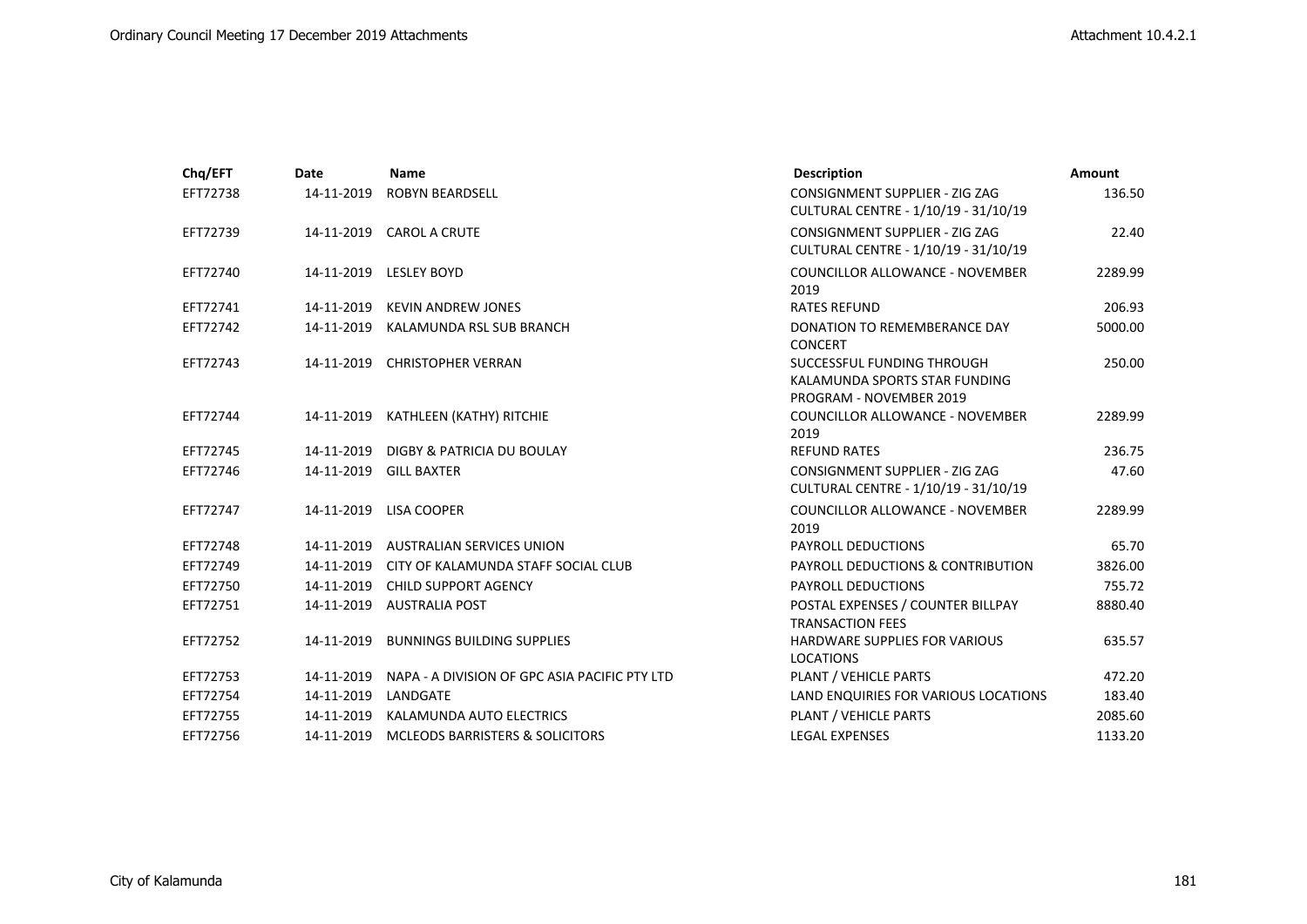|            |                                               |                                                                                                                                                              | <b>Amount</b>                                                                                |
|------------|-----------------------------------------------|--------------------------------------------------------------------------------------------------------------------------------------------------------------|----------------------------------------------------------------------------------------------|
| 14-11-2019 | <b>ROBYN BEARDSELL</b>                        | <b>CONSIGNMENT SUPPLIER - ZIG ZAG</b>                                                                                                                        | 136.50                                                                                       |
|            |                                               |                                                                                                                                                              |                                                                                              |
|            |                                               | CULTURAL CENTRE - 1/10/19 - 31/10/19                                                                                                                         | 22.40                                                                                        |
|            |                                               | COUNCILLOR ALLOWANCE - NOVEMBER<br>2019                                                                                                                      | 2289.99                                                                                      |
| 14-11-2019 | <b>KEVIN ANDREW JONES</b>                     | <b>RATES REFUND</b>                                                                                                                                          | 206.93                                                                                       |
| 14-11-2019 | KALAMUNDA RSL SUB BRANCH                      | DONATION TO REMEMBERANCE DAY<br><b>CONCERT</b>                                                                                                               | 5000.00                                                                                      |
|            |                                               | SUCCESSFUL FUNDING THROUGH<br>KALAMUNDA SPORTS STAR FUNDING<br><b>PROGRAM - NOVEMBER 2019</b>                                                                | 250.00                                                                                       |
| 14-11-2019 | KATHLEEN (KATHY) RITCHIE                      | <b>COUNCILLOR ALLOWANCE - NOVEMBER</b><br>2019                                                                                                               | 2289.99                                                                                      |
| 14-11-2019 | DIGBY & PATRICIA DU BOULAY                    | <b>REFUND RATES</b>                                                                                                                                          | 236.75                                                                                       |
| 14-11-2019 | <b>GILL BAXTER</b>                            | CONSIGNMENT SUPPLIER - ZIG ZAG<br>CULTURAL CENTRE - 1/10/19 - 31/10/19                                                                                       | 47.60                                                                                        |
| 14-11-2019 | <b>LISA COOPER</b>                            | <b>COUNCILLOR ALLOWANCE - NOVEMBER</b><br>2019                                                                                                               | 2289.99                                                                                      |
| 14-11-2019 |                                               | <b>PAYROLL DEDUCTIONS</b>                                                                                                                                    | 65.70                                                                                        |
| 14-11-2019 | CITY OF KALAMUNDA STAFF SOCIAL CLUB           | PAYROLL DEDUCTIONS & CONTRIBUTION                                                                                                                            | 3826.00                                                                                      |
| 14-11-2019 | <b>CHILD SUPPORT AGENCY</b>                   | <b>PAYROLL DEDUCTIONS</b>                                                                                                                                    | 755.72                                                                                       |
|            |                                               | POSTAL EXPENSES / COUNTER BILLPAY<br><b>TRANSACTION FEES</b>                                                                                                 | 8880.40                                                                                      |
| 14-11-2019 | <b>BUNNINGS BUILDING SUPPLIES</b>             | HARDWARE SUPPLIES FOR VARIOUS<br><b>LOCATIONS</b>                                                                                                            | 635.57                                                                                       |
| 14-11-2019 | NAPA - A DIVISION OF GPC ASIA PACIFIC PTY LTD | PLANT / VEHICLE PARTS                                                                                                                                        | 472.20                                                                                       |
| 14-11-2019 | LANDGATE                                      | LAND ENQUIRIES FOR VARIOUS LOCATIONS                                                                                                                         | 183.40                                                                                       |
| 14-11-2019 | KALAMUNDA AUTO ELECTRICS                      | PLANT / VEHICLE PARTS                                                                                                                                        | 2085.60                                                                                      |
| 14-11-2019 | MCLEODS BARRISTERS & SOLICITORS               | <b>LEGAL EXPENSES</b>                                                                                                                                        | 1133.20                                                                                      |
|            | Date                                          | <b>Name</b><br>14-11-2019 CAROL A CRUTE<br>14-11-2019 LESLEY BOYD<br>14-11-2019 CHRISTOPHER VERRAN<br>AUSTRALIAN SERVICES UNION<br>14-11-2019 AUSTRALIA POST | <b>Description</b><br>CULTURAL CENTRE - 1/10/19 - 31/10/19<br>CONSIGNMENT SUPPLIER - ZIG ZAG |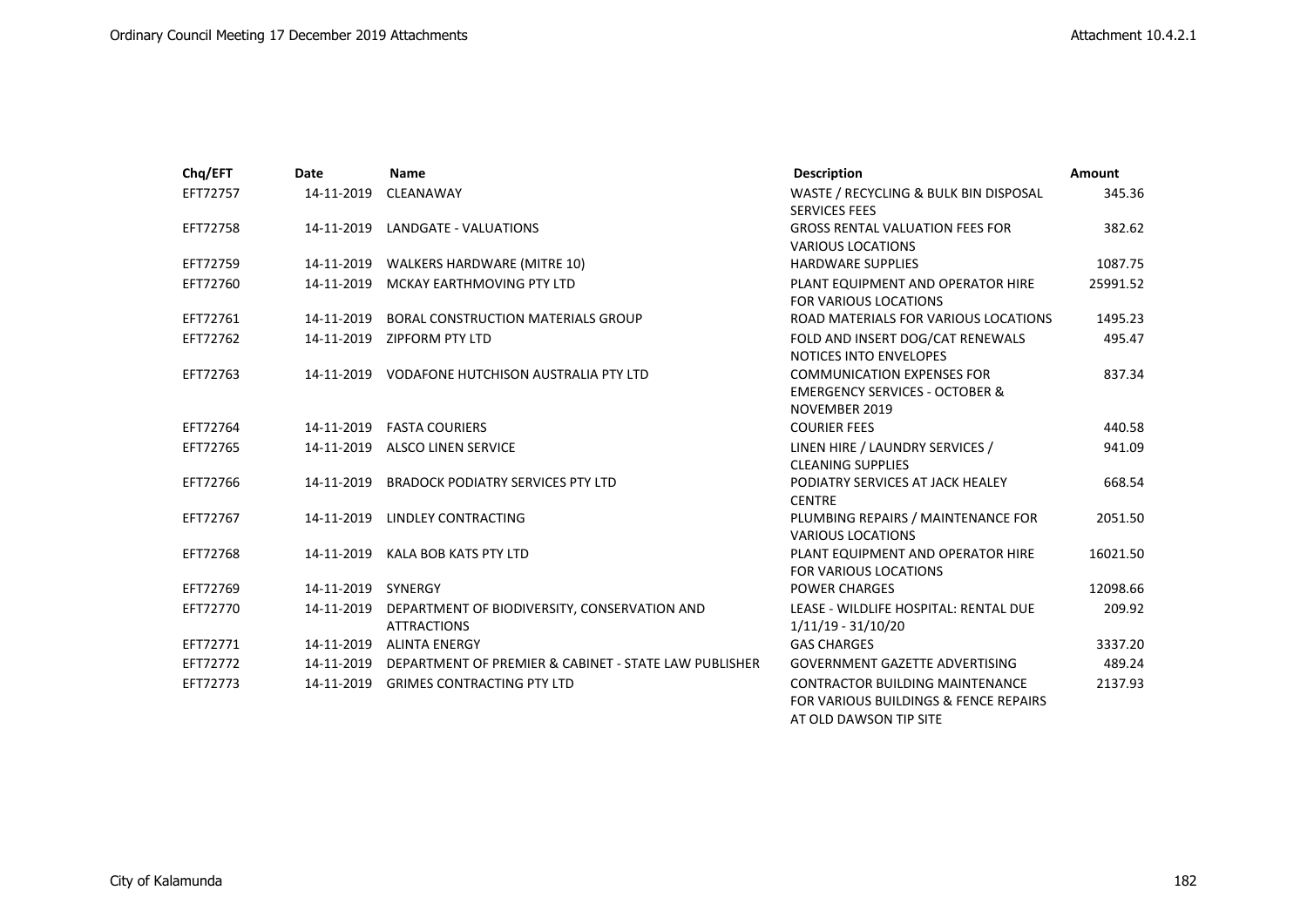| Chq/EFT  | Date       | <b>Name</b>                                                        | <b>Description</b>                                                                                        | Amount   |
|----------|------------|--------------------------------------------------------------------|-----------------------------------------------------------------------------------------------------------|----------|
| EFT72757 | 14-11-2019 | CLEANAWAY                                                          | WASTE / RECYCLING & BULK BIN DISPOSAL<br><b>SERVICES FEES</b>                                             | 345.36   |
| EFT72758 |            | 14-11-2019 LANDGATE - VALUATIONS                                   | <b>GROSS RENTAL VALUATION FEES FOR</b><br><b>VARIOUS LOCATIONS</b>                                        | 382.62   |
| EFT72759 |            | 14-11-2019 WALKERS HARDWARE (MITRE 10)                             | <b>HARDWARE SUPPLIES</b>                                                                                  | 1087.75  |
| EFT72760 |            | 14-11-2019 MCKAY EARTHMOVING PTY LTD                               | PLANT EQUIPMENT AND OPERATOR HIRE<br><b>FOR VARIOUS LOCATIONS</b>                                         | 25991.52 |
| EFT72761 | 14-11-2019 | <b>BORAL CONSTRUCTION MATERIALS GROUP</b>                          | ROAD MATERIALS FOR VARIOUS LOCATIONS                                                                      | 1495.23  |
| EFT72762 |            | 14-11-2019 ZIPFORM PTY LTD                                         | FOLD AND INSERT DOG/CAT RENEWALS<br>NOTICES INTO ENVELOPES                                                | 495.47   |
| EFT72763 |            | 14-11-2019 VODAFONE HUTCHISON AUSTRALIA PTY LTD                    | <b>COMMUNICATION EXPENSES FOR</b><br><b>EMERGENCY SERVICES - OCTOBER &amp;</b><br>NOVEMBER 2019           | 837.34   |
| EFT72764 | 14-11-2019 | <b>FASTA COURIERS</b>                                              | <b>COURIER FEES</b>                                                                                       | 440.58   |
| EFT72765 | 14-11-2019 | <b>ALSCO LINEN SERVICE</b>                                         | LINEN HIRE / LAUNDRY SERVICES /<br><b>CLEANING SUPPLIES</b>                                               | 941.09   |
| EFT72766 | 14-11-2019 | <b>BRADOCK PODIATRY SERVICES PTY LTD</b>                           | PODIATRY SERVICES AT JACK HEALEY<br><b>CENTRE</b>                                                         | 668.54   |
| EFT72767 | 14-11-2019 | LINDLEY CONTRACTING                                                | PLUMBING REPAIRS / MAINTENANCE FOR<br><b>VARIOUS LOCATIONS</b>                                            | 2051.50  |
| EFT72768 |            | 14-11-2019 KALA BOB KATS PTY LTD                                   | PLANT EQUIPMENT AND OPERATOR HIRE<br>FOR VARIOUS LOCATIONS                                                | 16021.50 |
| EFT72769 | 14-11-2019 | SYNERGY                                                            | <b>POWER CHARGES</b>                                                                                      | 12098.66 |
| EFT72770 | 14-11-2019 | DEPARTMENT OF BIODIVERSITY, CONSERVATION AND<br><b>ATTRACTIONS</b> | LEASE - WILDLIFE HOSPITAL: RENTAL DUE<br>$1/11/19 - 31/10/20$                                             | 209.92   |
| EFT72771 | 14-11-2019 | <b>ALINTA ENERGY</b>                                               | <b>GAS CHARGES</b>                                                                                        | 3337.20  |
| EFT72772 | 14-11-2019 | DEPARTMENT OF PREMIER & CABINET - STATE LAW PUBLISHER              | <b>GOVERNMENT GAZETTE ADVERTISING</b>                                                                     | 489.24   |
| EFT72773 | 14-11-2019 | <b>GRIMES CONTRACTING PTY LTD</b>                                  | <b>CONTRACTOR BUILDING MAINTENANCE</b><br>FOR VARIOUS BUILDINGS & FENCE REPAIRS<br>AT OLD DAWSON TIP SITE | 2137.93  |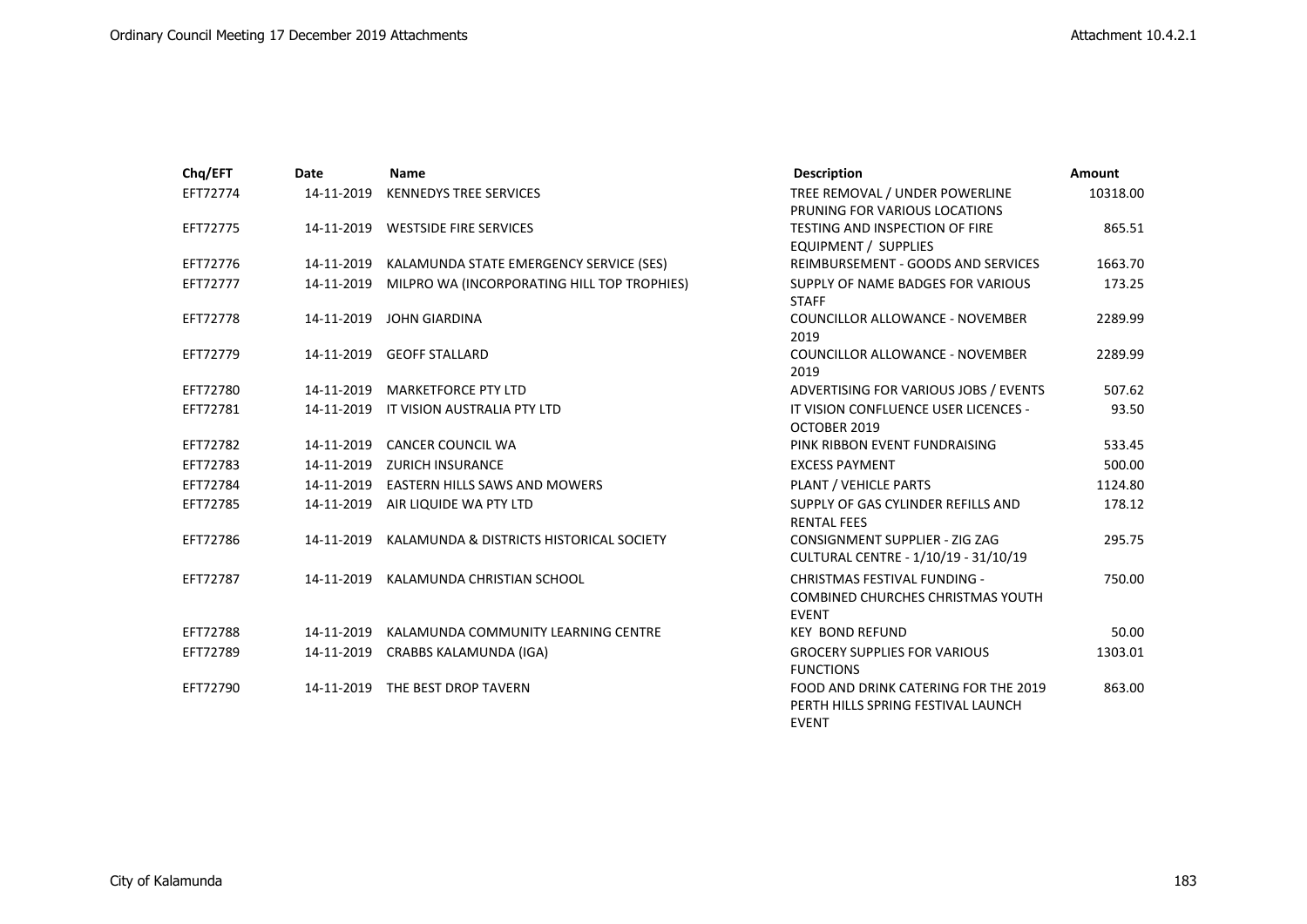| Chq/EFT  | Date       | <b>Name</b>                                 | <b>Description</b>                                                                             | Amount   |
|----------|------------|---------------------------------------------|------------------------------------------------------------------------------------------------|----------|
| EFT72774 | 14-11-2019 | <b>KENNEDYS TREE SERVICES</b>               | TREE REMOVAL / UNDER POWERLINE                                                                 | 10318.00 |
| EFT72775 |            | 14-11-2019 WESTSIDE FIRE SERVICES           | PRUNING FOR VARIOUS LOCATIONS<br><b>TESTING AND INSPECTION OF FIRE</b><br>EQUIPMENT / SUPPLIES | 865.51   |
| EFT72776 | 14-11-2019 | KALAMUNDA STATE EMERGENCY SERVICE (SES)     | REIMBURSEMENT - GOODS AND SERVICES                                                             | 1663.70  |
| EFT72777 | 14-11-2019 | MILPRO WA (INCORPORATING HILL TOP TROPHIES) | SUPPLY OF NAME BADGES FOR VARIOUS<br><b>STAFF</b>                                              | 173.25   |
| EFT72778 | 14-11-2019 | JOHN GIARDINA                               | COUNCILLOR ALLOWANCE - NOVEMBER<br>2019                                                        | 2289.99  |
| EFT72779 |            | 14-11-2019 GEOFF STALLARD                   | COUNCILLOR ALLOWANCE - NOVEMBER<br>2019                                                        | 2289.99  |
| EFT72780 | 14-11-2019 | <b>MARKETFORCE PTY LTD</b>                  | ADVERTISING FOR VARIOUS JOBS / EVENTS                                                          | 507.62   |
| EFT72781 | 14-11-2019 | IT VISION AUSTRALIA PTY LTD                 | IT VISION CONFLUENCE USER LICENCES -<br>OCTOBER 2019                                           | 93.50    |
| EFT72782 |            | 14-11-2019 CANCER COUNCIL WA                | PINK RIBBON EVENT FUNDRAISING                                                                  | 533.45   |
| EFT72783 | 14-11-2019 | <b>ZURICH INSURANCE</b>                     | <b>EXCESS PAYMENT</b>                                                                          | 500.00   |
| EFT72784 | 14-11-2019 | <b>EASTERN HILLS SAWS AND MOWERS</b>        | PLANT / VEHICLE PARTS                                                                          | 1124.80  |
| EFT72785 | 14-11-2019 | AIR LIQUIDE WA PTY LTD                      | SUPPLY OF GAS CYLINDER REFILLS AND<br><b>RENTAL FEES</b>                                       | 178.12   |
| EFT72786 | 14-11-2019 | KALAMUNDA & DISTRICTS HISTORICAL SOCIETY    | CONSIGNMENT SUPPLIER - ZIG ZAG<br>CULTURAL CENTRE - 1/10/19 - 31/10/19                         | 295.75   |
| EFT72787 | 14-11-2019 | KALAMUNDA CHRISTIAN SCHOOL                  | CHRISTMAS FESTIVAL FUNDING -<br><b>COMBINED CHURCHES CHRISTMAS YOUTH</b><br><b>EVENT</b>       | 750.00   |
| EFT72788 | 14-11-2019 | KALAMUNDA COMMUNITY LEARNING CENTRE         | <b>KEY BOND REFUND</b>                                                                         | 50.00    |
| EFT72789 | 14-11-2019 | CRABBS KALAMUNDA (IGA)                      | <b>GROCERY SUPPLIES FOR VARIOUS</b><br><b>FUNCTIONS</b>                                        | 1303.01  |
| EFT72790 | 14-11-2019 | THE BEST DROP TAVERN                        | FOOD AND DRINK CATERING FOR THE 2019<br>PERTH HILLS SPRING FESTIVAL LAUNCH<br><b>EVENT</b>     | 863.00   |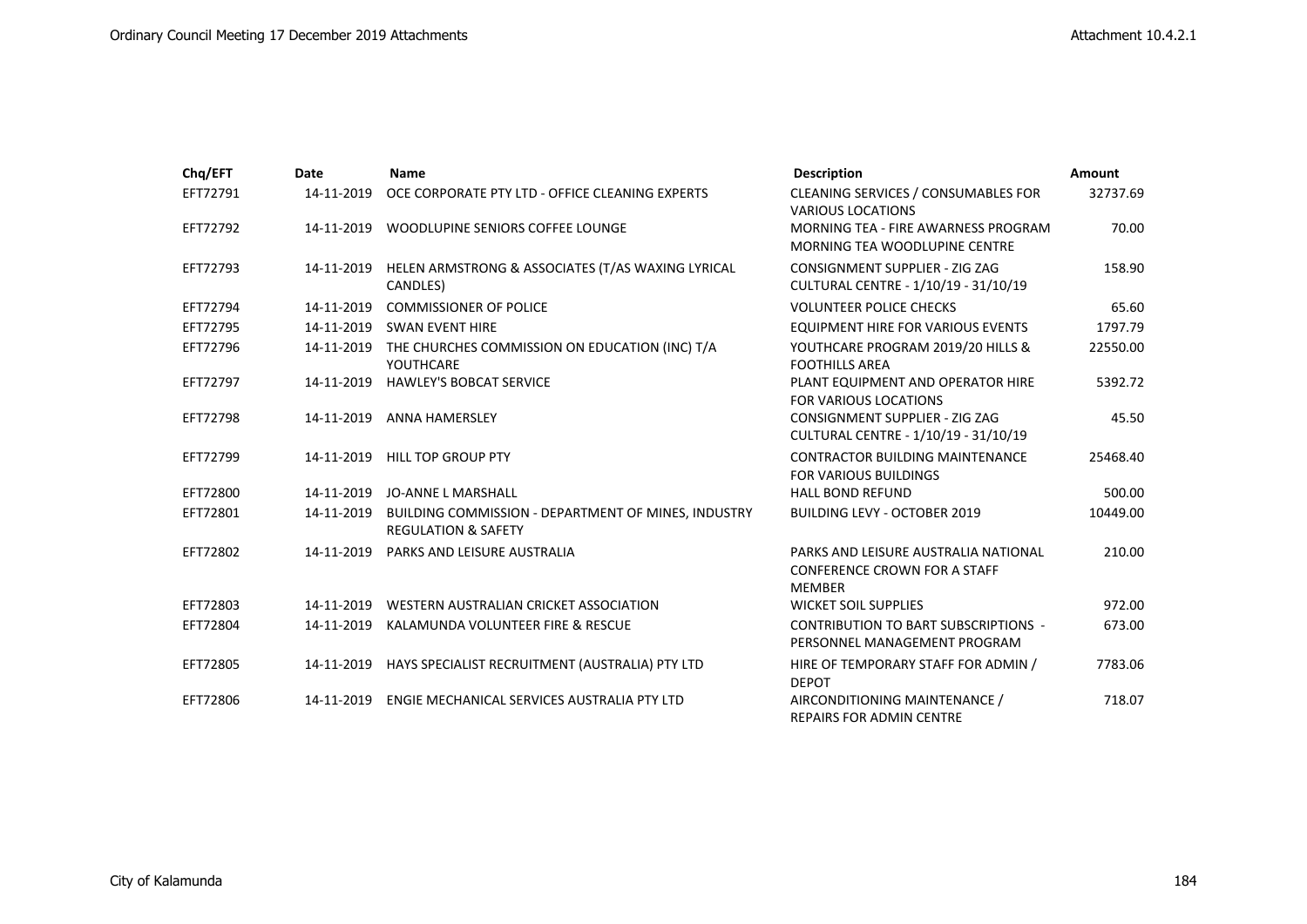| Chq/EFT  | Date       | <b>Name</b>                                                                           | <b>Description</b>                                                                           | Amount   |
|----------|------------|---------------------------------------------------------------------------------------|----------------------------------------------------------------------------------------------|----------|
| EFT72791 | 14-11-2019 | OCE CORPORATE PTY LTD - OFFICE CLEANING EXPERTS                                       | CLEANING SERVICES / CONSUMABLES FOR<br><b>VARIOUS LOCATIONS</b>                              | 32737.69 |
| EFT72792 | 14-11-2019 | WOODLUPINE SENIORS COFFEE LOUNGE                                                      | MORNING TEA - FIRE AWARNESS PROGRAM<br>MORNING TEA WOODLUPINE CENTRE                         | 70.00    |
| EFT72793 | 14-11-2019 | HELEN ARMSTRONG & ASSOCIATES (T/AS WAXING LYRICAL<br>CANDLES)                         | CONSIGNMENT SUPPLIER - ZIG ZAG<br>CULTURAL CENTRE - 1/10/19 - 31/10/19                       | 158.90   |
| EFT72794 | 14-11-2019 | <b>COMMISSIONER OF POLICE</b>                                                         | <b>VOLUNTEER POLICE CHECKS</b>                                                               | 65.60    |
| EFT72795 | 14-11-2019 | <b>SWAN EVENT HIRE</b>                                                                | <b>EQUIPMENT HIRE FOR VARIOUS EVENTS</b>                                                     | 1797.79  |
| EFT72796 | 14-11-2019 | THE CHURCHES COMMISSION ON EDUCATION (INC) T/A<br>YOUTHCARE                           | YOUTHCARE PROGRAM 2019/20 HILLS &<br><b>FOOTHILLS AREA</b>                                   | 22550.00 |
| EFT72797 | 14-11-2019 | <b>HAWLEY'S BOBCAT SERVICE</b>                                                        | PLANT EQUIPMENT AND OPERATOR HIRE<br><b>FOR VARIOUS LOCATIONS</b>                            | 5392.72  |
| EFT72798 | 14-11-2019 | ANNA HAMERSLEY                                                                        | CONSIGNMENT SUPPLIER - ZIG ZAG<br>CULTURAL CENTRE - 1/10/19 - 31/10/19                       | 45.50    |
| EFT72799 | 14-11-2019 | <b>HILL TOP GROUP PTY</b>                                                             | <b>CONTRACTOR BUILDING MAINTENANCE</b><br><b>FOR VARIOUS BUILDINGS</b>                       | 25468.40 |
| EFT72800 | 14-11-2019 | JO-ANNE L MARSHALL                                                                    | <b>HALL BOND REFUND</b>                                                                      | 500.00   |
| EFT72801 | 14-11-2019 | BUILDING COMMISSION - DEPARTMENT OF MINES, INDUSTRY<br><b>REGULATION &amp; SAFETY</b> | <b>BUILDING LEVY - OCTOBER 2019</b>                                                          | 10449.00 |
| EFT72802 | 14-11-2019 | PARKS AND LEISURE AUSTRALIA                                                           | PARKS AND LEISURE AUSTRALIA NATIONAL<br><b>CONFERENCE CROWN FOR A STAFF</b><br><b>MEMBER</b> | 210.00   |
| EFT72803 | 14-11-2019 | WESTERN AUSTRALIAN CRICKET ASSOCIATION                                                | <b>WICKET SOIL SUPPLIES</b>                                                                  | 972.00   |
| EFT72804 | 14-11-2019 | KALAMUNDA VOLUNTEER FIRE & RESCUE                                                     | <b>CONTRIBUTION TO BART SUBSCRIPTIONS -</b><br>PERSONNEL MANAGEMENT PROGRAM                  | 673.00   |
| EFT72805 | 14-11-2019 | HAYS SPECIALIST RECRUITMENT (AUSTRALIA) PTY LTD                                       | HIRE OF TEMPORARY STAFF FOR ADMIN /<br><b>DEPOT</b>                                          | 7783.06  |
| EFT72806 | 14-11-2019 | ENGIE MECHANICAL SERVICES AUSTRALIA PTY LTD                                           | AIRCONDITIONING MAINTENANCE /<br><b>REPAIRS FOR ADMIN CENTRE</b>                             | 718.07   |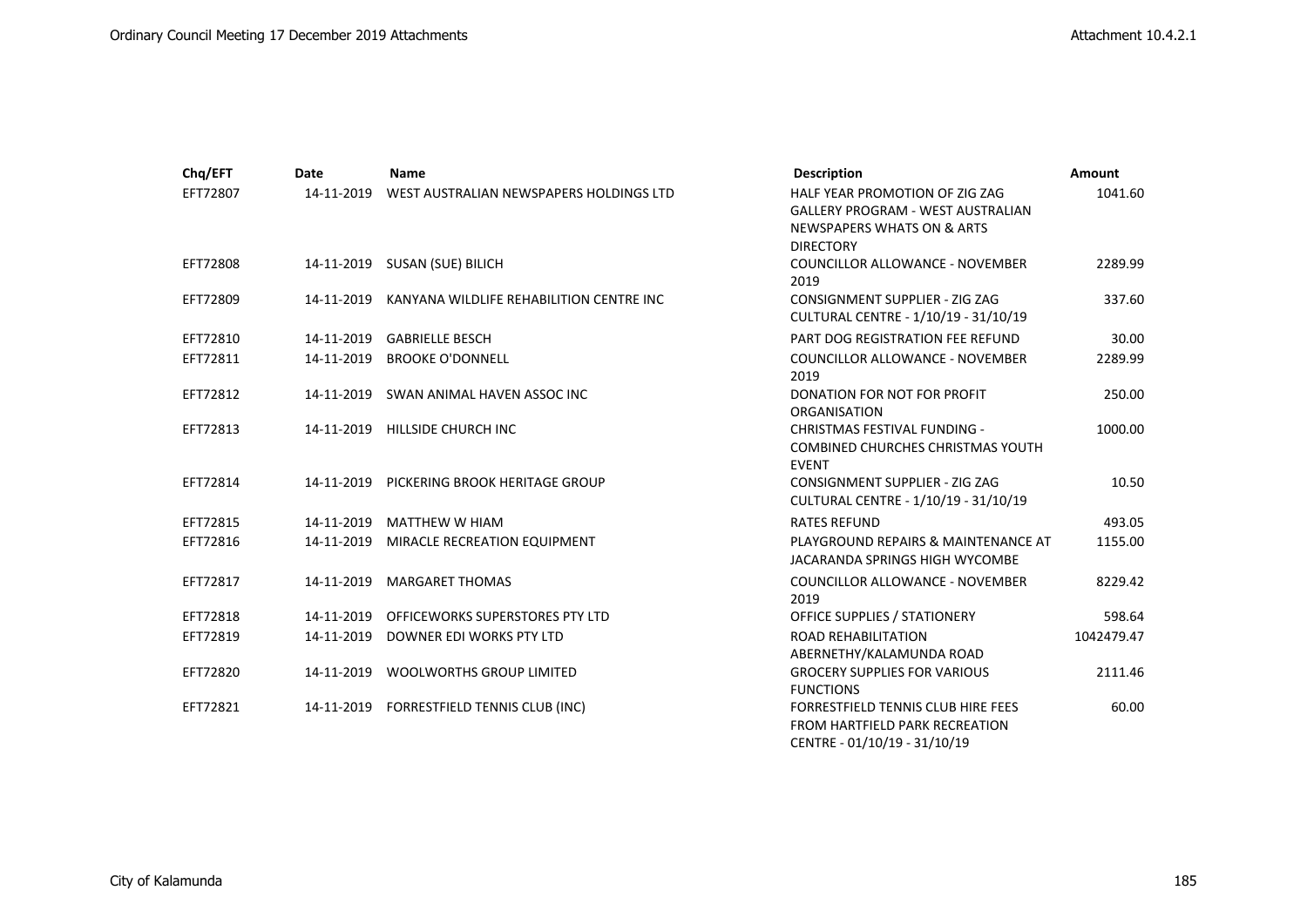| Chq/EFT  | Date       | Name                                      | <b>Description</b>                                                                                                           | Amount     |
|----------|------------|-------------------------------------------|------------------------------------------------------------------------------------------------------------------------------|------------|
| EFT72807 | 14-11-2019 | WEST AUSTRALIAN NEWSPAPERS HOLDINGS LTD   | HALF YEAR PROMOTION OF ZIG ZAG<br><b>GALLERY PROGRAM - WEST AUSTRALIAN</b><br>NEWSPAPERS WHATS ON & ARTS<br><b>DIRECTORY</b> | 1041.60    |
| EFT72808 |            | 14-11-2019   SUSAN (SUE) BILICH           | <b>COUNCILLOR ALLOWANCE - NOVEMBER</b><br>2019                                                                               | 2289.99    |
| EFT72809 | 14-11-2019 | KANYANA WILDLIFE REHABILITION CENTRE INC  | CONSIGNMENT SUPPLIER - ZIG ZAG<br>CULTURAL CENTRE - 1/10/19 - 31/10/19                                                       | 337.60     |
| EFT72810 | 14-11-2019 | <b>GABRIELLE BESCH</b>                    | PART DOG REGISTRATION FEE REFUND                                                                                             | 30.00      |
| EFT72811 | 14-11-2019 | <b>BROOKE O'DONNELL</b>                   | <b>COUNCILLOR ALLOWANCE - NOVEMBER</b><br>2019                                                                               | 2289.99    |
| EFT72812 | 14-11-2019 | SWAN ANIMAL HAVEN ASSOC INC               | DONATION FOR NOT FOR PROFIT<br>ORGANISATION                                                                                  | 250.00     |
| EFT72813 |            | 14-11-2019 HILLSIDE CHURCH INC            | <b>CHRISTMAS FESTIVAL FUNDING -</b><br><b>COMBINED CHURCHES CHRISTMAS YOUTH</b><br><b>EVENT</b>                              | 1000.00    |
| EFT72814 | 14-11-2019 | PICKERING BROOK HERITAGE GROUP            | CONSIGNMENT SUPPLIER - ZIG ZAG<br>CULTURAL CENTRE - 1/10/19 - 31/10/19                                                       | 10.50      |
| EFT72815 | 14-11-2019 | <b>MATTHEW W HIAM</b>                     | <b>RATES REFUND</b>                                                                                                          | 493.05     |
| EFT72816 | 14-11-2019 | MIRACLE RECREATION EQUIPMENT              | PLAYGROUND REPAIRS & MAINTENANCE AT<br>JACARANDA SPRINGS HIGH WYCOMBE                                                        | 1155.00    |
| EFT72817 | 14-11-2019 | <b>MARGARET THOMAS</b>                    | COUNCILLOR ALLOWANCE - NOVEMBER<br>2019                                                                                      | 8229.42    |
| EFT72818 | 14-11-2019 | OFFICEWORKS SUPERSTORES PTY LTD           | OFFICE SUPPLIES / STATIONERY                                                                                                 | 598.64     |
| EFT72819 | 14-11-2019 | DOWNER EDI WORKS PTY LTD                  | <b>ROAD REHABILITATION</b><br>ABERNETHY/KALAMUNDA ROAD                                                                       | 1042479.47 |
| EFT72820 | 14-11-2019 | <b>WOOLWORTHS GROUP LIMITED</b>           | <b>GROCERY SUPPLIES FOR VARIOUS</b><br><b>FUNCTIONS</b>                                                                      | 2111.46    |
| EFT72821 |            | 14-11-2019 FORRESTFIELD TENNIS CLUB (INC) | <b>FORRESTFIELD TENNIS CLUB HIRE FEES</b><br><b>FROM HARTFIELD PARK RECREATION</b><br>CENTRE - 01/10/19 - 31/10/19           | 60.00      |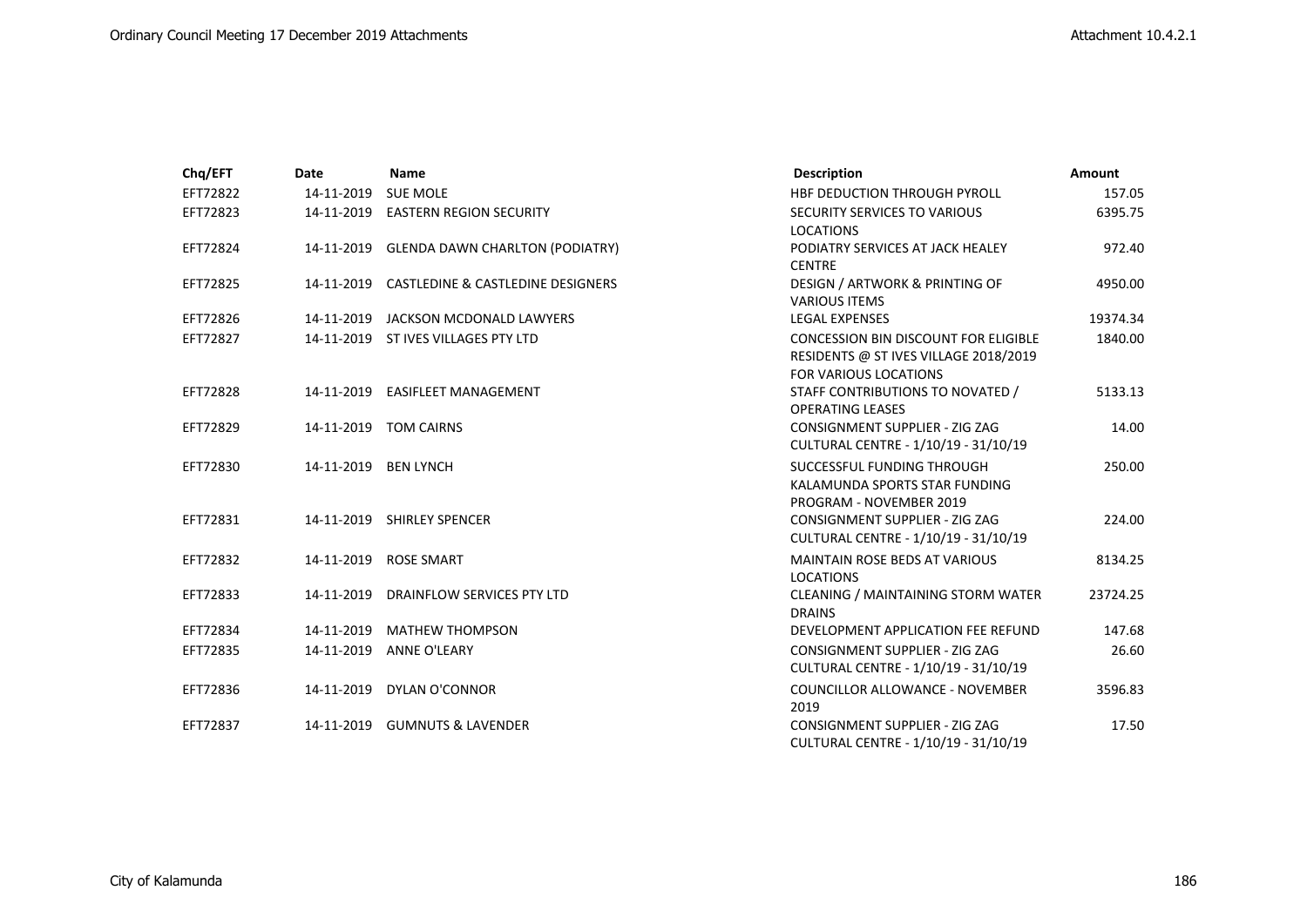| Chq/EFT  | Date                 | Name                                         | <b>Description</b>                                          | Amount   |
|----------|----------------------|----------------------------------------------|-------------------------------------------------------------|----------|
| EFT72822 | 14-11-2019           | <b>SUE MOLE</b>                              | HBF DEDUCTION THROUGH PYROLL                                | 157.05   |
| EFT72823 |                      | 14-11-2019 EASTERN REGION SECURITY           | SECURITY SERVICES TO VARIOUS                                | 6395.75  |
|          |                      |                                              | <b>LOCATIONS</b>                                            |          |
| EFT72824 |                      | 14-11-2019 GLENDA DAWN CHARLTON (PODIATRY)   | PODIATRY SERVICES AT JACK HEALEY                            | 972.40   |
|          |                      |                                              | <b>CENTRE</b>                                               |          |
| EFT72825 |                      | 14-11-2019 CASTLEDINE & CASTLEDINE DESIGNERS | <b>DESIGN / ARTWORK &amp; PRINTING OF</b>                   | 4950.00  |
|          |                      |                                              | <b>VARIOUS ITEMS</b>                                        |          |
| EFT72826 | 14-11-2019           | JACKSON MCDONALD LAWYERS                     | <b>LEGAL EXPENSES</b>                                       | 19374.34 |
| EFT72827 |                      | 14-11-2019 ST IVES VILLAGES PTY LTD          | <b>CONCESSION BIN DISCOUNT FOR ELIGIBLE</b>                 | 1840.00  |
|          |                      |                                              | RESIDENTS @ ST IVES VILLAGE 2018/2019                       |          |
| EFT72828 |                      | 14-11-2019 EASIFLEET MANAGEMENT              | <b>FOR VARIOUS LOCATIONS</b>                                | 5133.13  |
|          |                      |                                              | STAFF CONTRIBUTIONS TO NOVATED /<br><b>OPERATING LEASES</b> |          |
| EFT72829 |                      | 14-11-2019 TOM CAIRNS                        | CONSIGNMENT SUPPLIER - ZIG ZAG                              | 14.00    |
|          |                      |                                              | CULTURAL CENTRE - 1/10/19 - 31/10/19                        |          |
| EFT72830 | 14-11-2019 BEN LYNCH |                                              | SUCCESSFUL FUNDING THROUGH                                  | 250.00   |
|          |                      |                                              | KALAMUNDA SPORTS STAR FUNDING                               |          |
|          |                      |                                              | PROGRAM - NOVEMBER 2019                                     |          |
| EFT72831 |                      | 14-11-2019 SHIRLEY SPENCER                   | CONSIGNMENT SUPPLIER - ZIG ZAG                              | 224.00   |
|          |                      |                                              | CULTURAL CENTRE - 1/10/19 - 31/10/19                        |          |
| EFT72832 |                      | 14-11-2019 ROSE SMART                        | <b>MAINTAIN ROSE BEDS AT VARIOUS</b>                        | 8134.25  |
|          |                      |                                              | <b>LOCATIONS</b>                                            |          |
| EFT72833 | 14-11-2019           | DRAINFLOW SERVICES PTY LTD                   | CLEANING / MAINTAINING STORM WATER                          | 23724.25 |
|          |                      |                                              | <b>DRAINS</b>                                               |          |
| EFT72834 |                      | 14-11-2019 MATHEW THOMPSON                   | DEVELOPMENT APPLICATION FEE REFUND                          | 147.68   |
| EFT72835 | 14-11-2019           | ANNE O'LEARY                                 | CONSIGNMENT SUPPLIER - ZIG ZAG                              | 26.60    |
|          |                      |                                              | CULTURAL CENTRE - 1/10/19 - 31/10/19                        |          |
| EFT72836 |                      | 14-11-2019 DYLAN O'CONNOR                    | COUNCILLOR ALLOWANCE - NOVEMBER                             | 3596.83  |
|          |                      |                                              | 2019                                                        |          |
| EFT72837 |                      | 14-11-2019 GUMNUTS & LAVENDER                | CONSIGNMENT SUPPLIER - ZIG ZAG                              | 17.50    |
|          |                      |                                              | CULTURAL CENTRE - 1/10/19 - 31/10/19                        |          |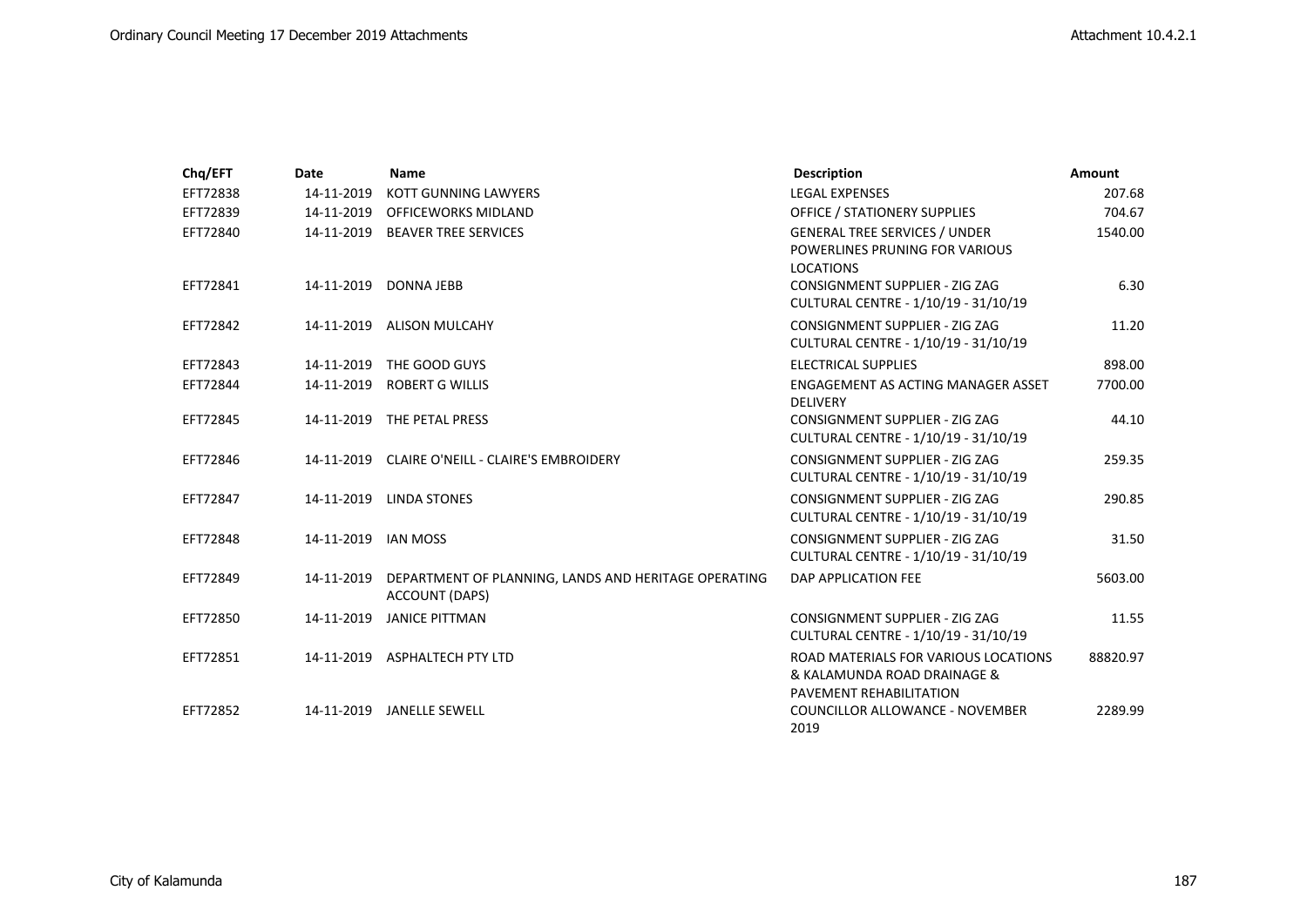| Chq/EFT  | <b>Date</b>         | <b>Name</b>                                                                   | <b>Description</b>                                                                             | Amount   |
|----------|---------------------|-------------------------------------------------------------------------------|------------------------------------------------------------------------------------------------|----------|
| EFT72838 | 14-11-2019          | <b>KOTT GUNNING LAWYERS</b>                                                   | <b>LEGAL EXPENSES</b>                                                                          | 207.68   |
| EFT72839 | 14-11-2019          | <b>OFFICEWORKS MIDLAND</b>                                                    | OFFICE / STATIONERY SUPPLIES                                                                   | 704.67   |
| EFT72840 | 14-11-2019          | <b>BEAVER TREE SERVICES</b>                                                   | <b>GENERAL TREE SERVICES / UNDER</b><br>POWERLINES PRUNING FOR VARIOUS<br><b>LOCATIONS</b>     | 1540.00  |
| EFT72841 |                     | 14-11-2019 DONNA JEBB                                                         | <b>CONSIGNMENT SUPPLIER - ZIG ZAG</b><br>CULTURAL CENTRE - 1/10/19 - 31/10/19                  | 6.30     |
| EFT72842 |                     | 14-11-2019 ALISON MULCAHY                                                     | CONSIGNMENT SUPPLIER - ZIG ZAG<br>CULTURAL CENTRE - 1/10/19 - 31/10/19                         | 11.20    |
| EFT72843 | 14-11-2019          | THE GOOD GUYS                                                                 | <b>ELECTRICAL SUPPLIES</b>                                                                     | 898.00   |
| EFT72844 | 14-11-2019          | <b>ROBERT G WILLIS</b>                                                        | ENGAGEMENT AS ACTING MANAGER ASSET<br><b>DELIVERY</b>                                          | 7700.00  |
| EFT72845 |                     | 14-11-2019 THE PETAL PRESS                                                    | CONSIGNMENT SUPPLIER - ZIG ZAG<br>CULTURAL CENTRE - 1/10/19 - 31/10/19                         | 44.10    |
| EFT72846 |                     | 14-11-2019 CLAIRE O'NEILL - CLAIRE'S EMBROIDERY                               | CONSIGNMENT SUPPLIER - ZIG ZAG<br>CULTURAL CENTRE - 1/10/19 - 31/10/19                         | 259.35   |
| EFT72847 |                     | 14-11-2019 LINDA STONES                                                       | CONSIGNMENT SUPPLIER - ZIG ZAG<br>CULTURAL CENTRE - 1/10/19 - 31/10/19                         | 290.85   |
| EFT72848 | 14-11-2019 IAN MOSS |                                                                               | CONSIGNMENT SUPPLIER - ZIG ZAG<br>CULTURAL CENTRE - 1/10/19 - 31/10/19                         | 31.50    |
| EFT72849 | 14-11-2019          | DEPARTMENT OF PLANNING, LANDS AND HERITAGE OPERATING<br><b>ACCOUNT (DAPS)</b> | DAP APPLICATION FEE                                                                            | 5603.00  |
| EFT72850 | 14-11-2019          | <b>JANICE PITTMAN</b>                                                         | CONSIGNMENT SUPPLIER - ZIG ZAG<br>CULTURAL CENTRE - 1/10/19 - 31/10/19                         | 11.55    |
| EFT72851 |                     | 14-11-2019 ASPHALTECH PTY LTD                                                 | ROAD MATERIALS FOR VARIOUS LOCATIONS<br>& KALAMUNDA ROAD DRAINAGE &<br>PAVEMENT REHABILITATION | 88820.97 |
| EFT72852 | 14-11-2019          | <b>JANELLE SEWELL</b>                                                         | <b>COUNCILLOR ALLOWANCE - NOVEMBER</b><br>2019                                                 | 2289.99  |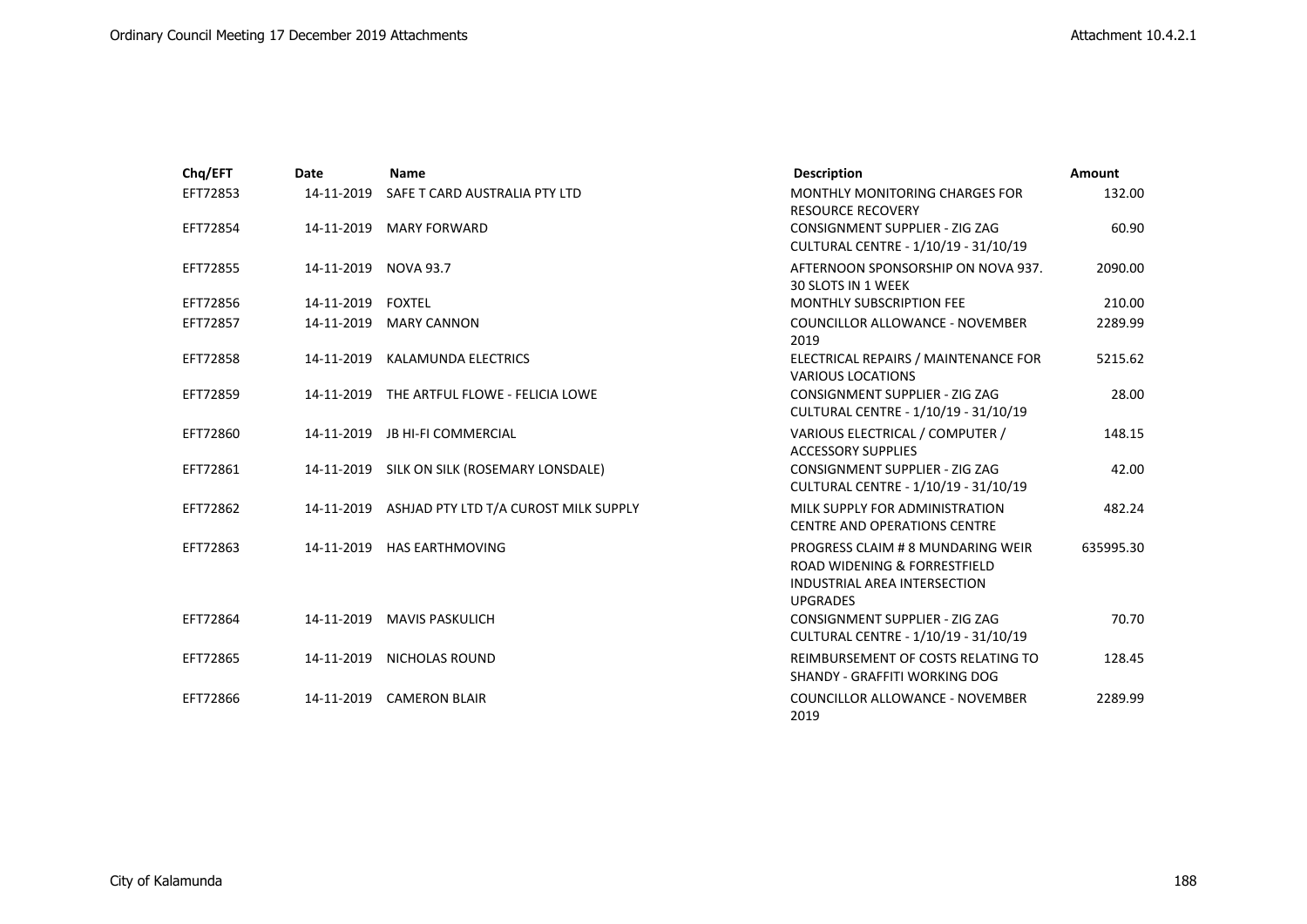| Chq/EFT  | <b>Date</b>          | <b>Name</b>                                      | <b>Description</b>                                                                                                          | Amount    |
|----------|----------------------|--------------------------------------------------|-----------------------------------------------------------------------------------------------------------------------------|-----------|
| EFT72853 | 14-11-2019           | SAFE T CARD AUSTRALIA PTY LTD                    | MONTHLY MONITORING CHARGES FOR<br><b>RESOURCE RECOVERY</b>                                                                  | 132.00    |
| EFT72854 | 14-11-2019           | <b>MARY FORWARD</b>                              | CONSIGNMENT SUPPLIER - ZIG ZAG<br>CULTURAL CENTRE - 1/10/19 - 31/10/19                                                      | 60.90     |
| EFT72855 | 14-11-2019 NOVA 93.7 |                                                  | AFTERNOON SPONSORSHIP ON NOVA 937.<br>30 SLOTS IN 1 WEEK                                                                    | 2090.00   |
| EFT72856 | 14-11-2019           | <b>FOXTEL</b>                                    | <b>MONTHLY SUBSCRIPTION FEE</b>                                                                                             | 210.00    |
| EFT72857 | 14-11-2019           | <b>MARY CANNON</b>                               | COUNCILLOR ALLOWANCE - NOVEMBER<br>2019                                                                                     | 2289.99   |
| EFT72858 | 14-11-2019           | KALAMUNDA ELECTRICS                              | ELECTRICAL REPAIRS / MAINTENANCE FOR<br><b>VARIOUS LOCATIONS</b>                                                            | 5215.62   |
| EFT72859 | 14-11-2019           | THE ARTFUL FLOWE - FELICIA LOWE                  | CONSIGNMENT SUPPLIER - ZIG ZAG<br>CULTURAL CENTRE - 1/10/19 - 31/10/19                                                      | 28.00     |
| EFT72860 | 14-11-2019           | <b>JB HI-FI COMMERCIAL</b>                       | VARIOUS ELECTRICAL / COMPUTER /<br><b>ACCESSORY SUPPLIES</b>                                                                | 148.15    |
| EFT72861 | 14-11-2019           | SILK ON SILK (ROSEMARY LONSDALE)                 | CONSIGNMENT SUPPLIER - ZIG ZAG<br>CULTURAL CENTRE - 1/10/19 - 31/10/19                                                      | 42.00     |
| EFT72862 |                      | 14-11-2019 ASHJAD PTY LTD T/A CUROST MILK SUPPLY | MILK SUPPLY FOR ADMINISTRATION<br><b>CENTRE AND OPERATIONS CENTRE</b>                                                       | 482.24    |
| EFT72863 |                      | 14-11-2019 HAS EARTHMOVING                       | PROGRESS CLAIM # 8 MUNDARING WEIR<br>ROAD WIDENING & FORRESTFIELD<br><b>INDUSTRIAL AREA INTERSECTION</b><br><b>UPGRADES</b> | 635995.30 |
| EFT72864 | 14-11-2019           | <b>MAVIS PASKULICH</b>                           | CONSIGNMENT SUPPLIER - ZIG ZAG<br>CULTURAL CENTRE - 1/10/19 - 31/10/19                                                      | 70.70     |
| EFT72865 | 14-11-2019           | NICHOLAS ROUND                                   | REIMBURSEMENT OF COSTS RELATING TO<br>SHANDY - GRAFFITI WORKING DOG                                                         | 128.45    |
| EFT72866 | 14-11-2019           | <b>CAMERON BLAIR</b>                             | COUNCILLOR ALLOWANCE - NOVEMBER<br>2019                                                                                     | 2289.99   |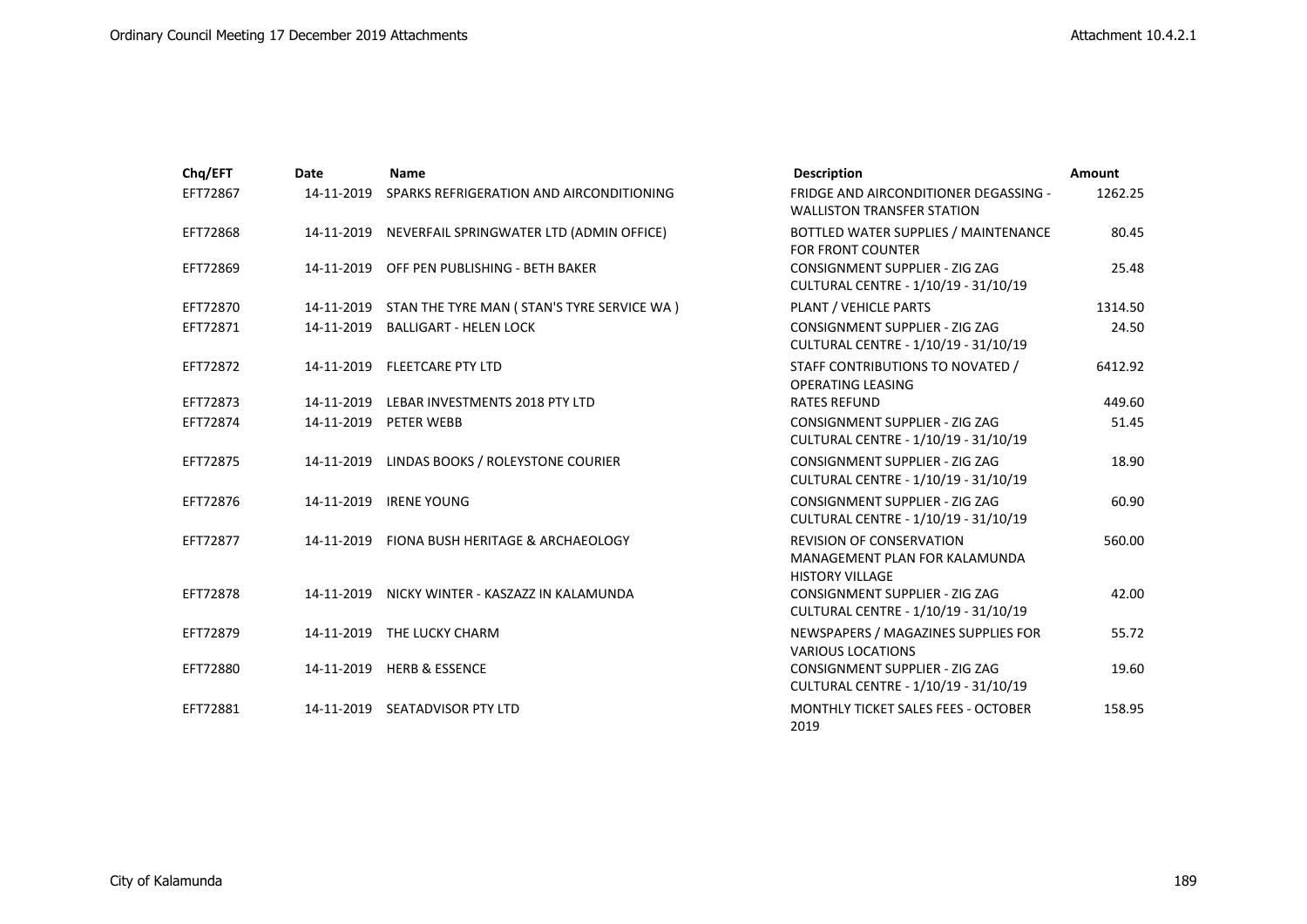| Chq/EFT  | Date       | <b>Name</b>                                           | <b>Description</b>                                                                         | <b>Amount</b> |
|----------|------------|-------------------------------------------------------|--------------------------------------------------------------------------------------------|---------------|
| EFT72867 | 14-11-2019 | SPARKS REFRIGERATION AND AIRCONDITIONING              | FRIDGE AND AIRCONDITIONER DEGASSING -<br><b>WALLISTON TRANSFER STATION</b>                 | 1262.25       |
| EFT72868 |            | 14-11-2019 NEVERFAIL SPRINGWATER LTD (ADMIN OFFICE)   | BOTTLED WATER SUPPLIES / MAINTENANCE<br><b>FOR FRONT COUNTER</b>                           | 80.45         |
| EFT72869 |            | 14-11-2019 OFF PEN PUBLISHING - BETH BAKER            | <b>CONSIGNMENT SUPPLIER - ZIG ZAG</b><br>CULTURAL CENTRE - 1/10/19 - 31/10/19              | 25.48         |
| EFT72870 |            | 14-11-2019 STAN THE TYRE MAN (STAN'S TYRE SERVICE WA) | PLANT / VEHICLE PARTS                                                                      | 1314.50       |
| EFT72871 |            | 14-11-2019 BALLIGART - HELEN LOCK                     | CONSIGNMENT SUPPLIER - ZIG ZAG<br>CULTURAL CENTRE - 1/10/19 - 31/10/19                     | 24.50         |
| EFT72872 |            | 14-11-2019 FLEETCARE PTY LTD                          | STAFF CONTRIBUTIONS TO NOVATED /<br><b>OPERATING LEASING</b>                               | 6412.92       |
| EFT72873 |            | 14-11-2019 LEBAR INVESTMENTS 2018 PTY LTD             | <b>RATES REFUND</b>                                                                        | 449.60        |
| EFT72874 |            | 14-11-2019 PETER WEBB                                 | CONSIGNMENT SUPPLIER - ZIG ZAG<br>CULTURAL CENTRE - 1/10/19 - 31/10/19                     | 51.45         |
| EFT72875 |            | 14-11-2019 LINDAS BOOKS / ROLEYSTONE COURIER          | CONSIGNMENT SUPPLIER - ZIG ZAG<br>CULTURAL CENTRE - 1/10/19 - 31/10/19                     | 18.90         |
| EFT72876 | 14-11-2019 | <b>IRENE YOUNG</b>                                    | CONSIGNMENT SUPPLIER - ZIG ZAG<br>CULTURAL CENTRE - 1/10/19 - 31/10/19                     | 60.90         |
| EFT72877 |            | 14-11-2019 FIONA BUSH HERITAGE & ARCHAEOLOGY          | <b>REVISION OF CONSERVATION</b><br>MANAGEMENT PLAN FOR KALAMUNDA<br><b>HISTORY VILLAGE</b> | 560.00        |
| EFT72878 | 14-11-2019 | NICKY WINTER - KASZAZZ IN KALAMUNDA                   | CONSIGNMENT SUPPLIER - ZIG ZAG<br>CULTURAL CENTRE - 1/10/19 - 31/10/19                     | 42.00         |
| EFT72879 |            | 14-11-2019 THE LUCKY CHARM                            | NEWSPAPERS / MAGAZINES SUPPLIES FOR<br><b>VARIOUS LOCATIONS</b>                            | 55.72         |
| EFT72880 |            | 14-11-2019 HERB & ESSENCE                             | <b>CONSIGNMENT SUPPLIER - ZIG ZAG</b><br>CULTURAL CENTRE - 1/10/19 - 31/10/19              | 19.60         |
| EFT72881 |            | 14-11-2019 SEATADVISOR PTY LTD                        | <b>MONTHLY TICKET SALES FEES - OCTOBER</b><br>2019                                         | 158.95        |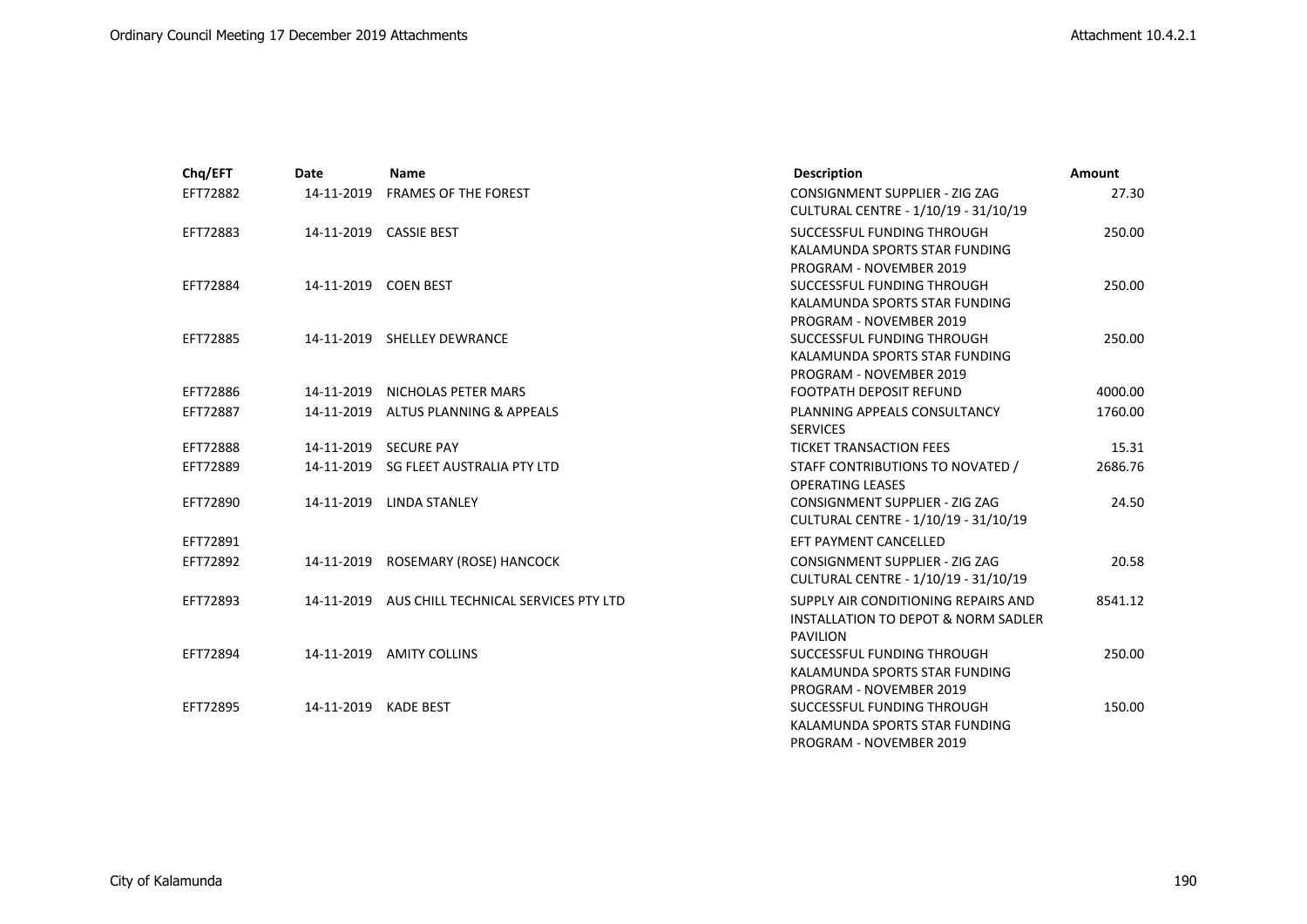| Chq/EFT  | Date                 | Name                                            | <b>Description</b>                                                                                       | <b>Amount</b> |
|----------|----------------------|-------------------------------------------------|----------------------------------------------------------------------------------------------------------|---------------|
| EFT72882 | 14-11-2019           | <b>FRAMES OF THE FOREST</b>                     | CONSIGNMENT SUPPLIER - ZIG ZAG<br>CULTURAL CENTRE - 1/10/19 - 31/10/19                                   | 27.30         |
| EFT72883 |                      | 14-11-2019 CASSIE BEST                          | SUCCESSFUL FUNDING THROUGH<br>KALAMUNDA SPORTS STAR FUNDING<br>PROGRAM - NOVEMBER 2019                   | 250.00        |
| EFT72884 | 14-11-2019 COEN BEST |                                                 | SUCCESSFUL FUNDING THROUGH<br>KALAMUNDA SPORTS STAR FUNDING<br>PROGRAM - NOVEMBER 2019                   | 250.00        |
| EFT72885 |                      | 14-11-2019 SHELLEY DEWRANCE                     | SUCCESSFUL FUNDING THROUGH<br>KALAMUNDA SPORTS STAR FUNDING<br>PROGRAM - NOVEMBER 2019                   | 250.00        |
| EFT72886 | 14-11-2019           | NICHOLAS PETER MARS                             | <b>FOOTPATH DEPOSIT REFUND</b>                                                                           | 4000.00       |
| EFT72887 | 14-11-2019           | <b>ALTUS PLANNING &amp; APPEALS</b>             | PLANNING APPEALS CONSULTANCY<br><b>SERVICES</b>                                                          | 1760.00       |
| EFT72888 |                      | 14-11-2019 SECURE PAY                           | <b>TICKET TRANSACTION FEES</b>                                                                           | 15.31         |
| EFT72889 |                      | 14-11-2019 SG FLEET AUSTRALIA PTY LTD           | STAFF CONTRIBUTIONS TO NOVATED /<br><b>OPERATING LEASES</b>                                              | 2686.76       |
| EFT72890 | 14-11-2019           | <b>LINDA STANLEY</b>                            | <b>CONSIGNMENT SUPPLIER - ZIG ZAG</b><br>CULTURAL CENTRE - 1/10/19 - 31/10/19                            | 24.50         |
| EFT72891 |                      |                                                 | EFT PAYMENT CANCELLED                                                                                    |               |
| EFT72892 | 14-11-2019           | ROSEMARY (ROSE) HANCOCK                         | CONSIGNMENT SUPPLIER - ZIG ZAG<br>CULTURAL CENTRE - 1/10/19 - 31/10/19                                   | 20.58         |
| EFT72893 |                      | 14-11-2019 AUS CHILL TECHNICAL SERVICES PTY LTD | SUPPLY AIR CONDITIONING REPAIRS AND<br><b>INSTALLATION TO DEPOT &amp; NORM SADLER</b><br><b>PAVILION</b> | 8541.12       |
| EFT72894 | 14-11-2019           | <b>AMITY COLLINS</b>                            | SUCCESSFUL FUNDING THROUGH<br>KALAMUNDA SPORTS STAR FUNDING<br>PROGRAM - NOVEMBER 2019                   | 250.00        |
| EFT72895 | 14-11-2019           | <b>KADE BEST</b>                                | SUCCESSFUL FUNDING THROUGH<br>KALAMUNDA SPORTS STAR FUNDING<br>PROGRAM - NOVEMBER 2019                   | 150.00        |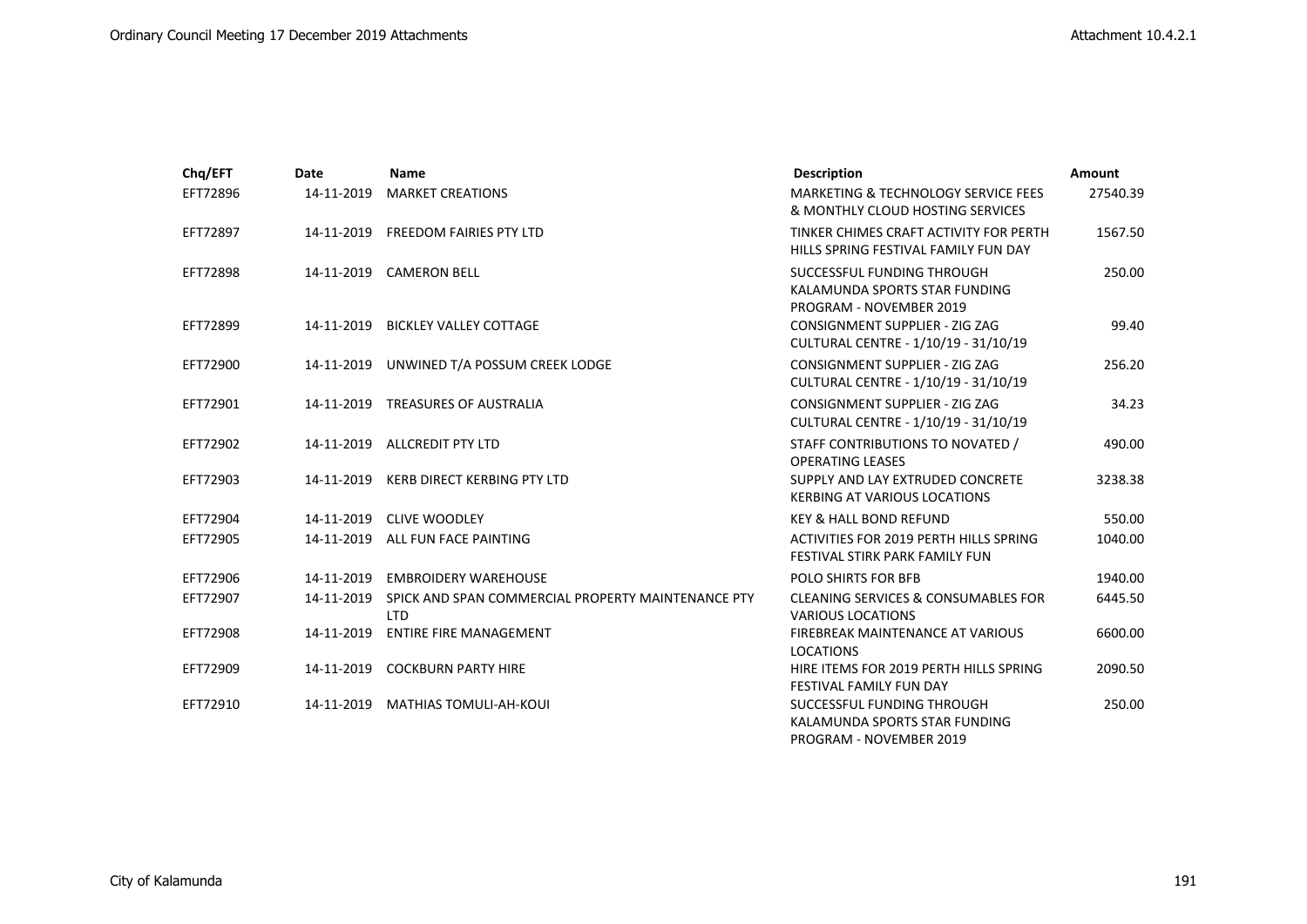| Chq/EFT  | Date       | <b>Name</b>                                                      | <b>Description</b>                                                                            | <b>Amount</b> |
|----------|------------|------------------------------------------------------------------|-----------------------------------------------------------------------------------------------|---------------|
| EFT72896 | 14-11-2019 | <b>MARKET CREATIONS</b>                                          | <b>MARKETING &amp; TECHNOLOGY SERVICE FEES</b><br>& MONTHLY CLOUD HOSTING SERVICES            | 27540.39      |
| EFT72897 | 14-11-2019 | <b>FREEDOM FAIRIES PTY LTD</b>                                   | TINKER CHIMES CRAFT ACTIVITY FOR PERTH<br>HILLS SPRING FESTIVAL FAMILY FUN DAY                | 1567.50       |
| EFT72898 |            | 14-11-2019 CAMERON BELL                                          | SUCCESSFUL FUNDING THROUGH<br>KALAMUNDA SPORTS STAR FUNDING<br><b>PROGRAM - NOVEMBER 2019</b> | 250.00        |
| EFT72899 | 14-11-2019 | <b>BICKLEY VALLEY COTTAGE</b>                                    | <b>CONSIGNMENT SUPPLIER - ZIG ZAG</b><br>CULTURAL CENTRE - 1/10/19 - 31/10/19                 | 99.40         |
| EFT72900 |            | 14-11-2019 UNWINED T/A POSSUM CREEK LODGE                        | CONSIGNMENT SUPPLIER - ZIG ZAG<br>CULTURAL CENTRE - 1/10/19 - 31/10/19                        | 256.20        |
| EFT72901 | 14-11-2019 | <b>TREASURES OF AUSTRALIA</b>                                    | CONSIGNMENT SUPPLIER - ZIG ZAG<br>CULTURAL CENTRE - 1/10/19 - 31/10/19                        | 34.23         |
| EFT72902 |            | 14-11-2019 ALLCREDIT PTY LTD                                     | STAFF CONTRIBUTIONS TO NOVATED /<br><b>OPERATING LEASES</b>                                   | 490.00        |
| EFT72903 | 14-11-2019 | <b>KERB DIRECT KERBING PTY LTD</b>                               | SUPPLY AND LAY EXTRUDED CONCRETE<br><b>KERBING AT VARIOUS LOCATIONS</b>                       | 3238.38       |
| EFT72904 | 14-11-2019 | <b>CLIVE WOODLEY</b>                                             | <b>KEY &amp; HALL BOND REFUND</b>                                                             | 550.00        |
| EFT72905 | 14-11-2019 | ALL FUN FACE PAINTING                                            | <b>ACTIVITIES FOR 2019 PERTH HILLS SPRING</b><br>FESTIVAL STIRK PARK FAMILY FUN               | 1040.00       |
| EFT72906 | 14-11-2019 | <b>EMBROIDERY WAREHOUSE</b>                                      | <b>POLO SHIRTS FOR BFB</b>                                                                    | 1940.00       |
| EFT72907 | 14-11-2019 | SPICK AND SPAN COMMERCIAL PROPERTY MAINTENANCE PTY<br><b>LTD</b> | <b>CLEANING SERVICES &amp; CONSUMABLES FOR</b><br><b>VARIOUS LOCATIONS</b>                    | 6445.50       |
| EFT72908 | 14-11-2019 | ENTIRE FIRE MANAGEMENT                                           | FIREBREAK MAINTENANCE AT VARIOUS<br><b>LOCATIONS</b>                                          | 6600.00       |
| EFT72909 | 14-11-2019 | <b>COCKBURN PARTY HIRE</b>                                       | HIRE ITEMS FOR 2019 PERTH HILLS SPRING<br>FESTIVAL FAMILY FUN DAY                             | 2090.50       |
| EFT72910 |            | 14-11-2019 MATHIAS TOMULI-AH-KOUI                                | SUCCESSFUL FUNDING THROUGH<br>KALAMUNDA SPORTS STAR FUNDING<br>PROGRAM - NOVEMBER 2019        | 250.00        |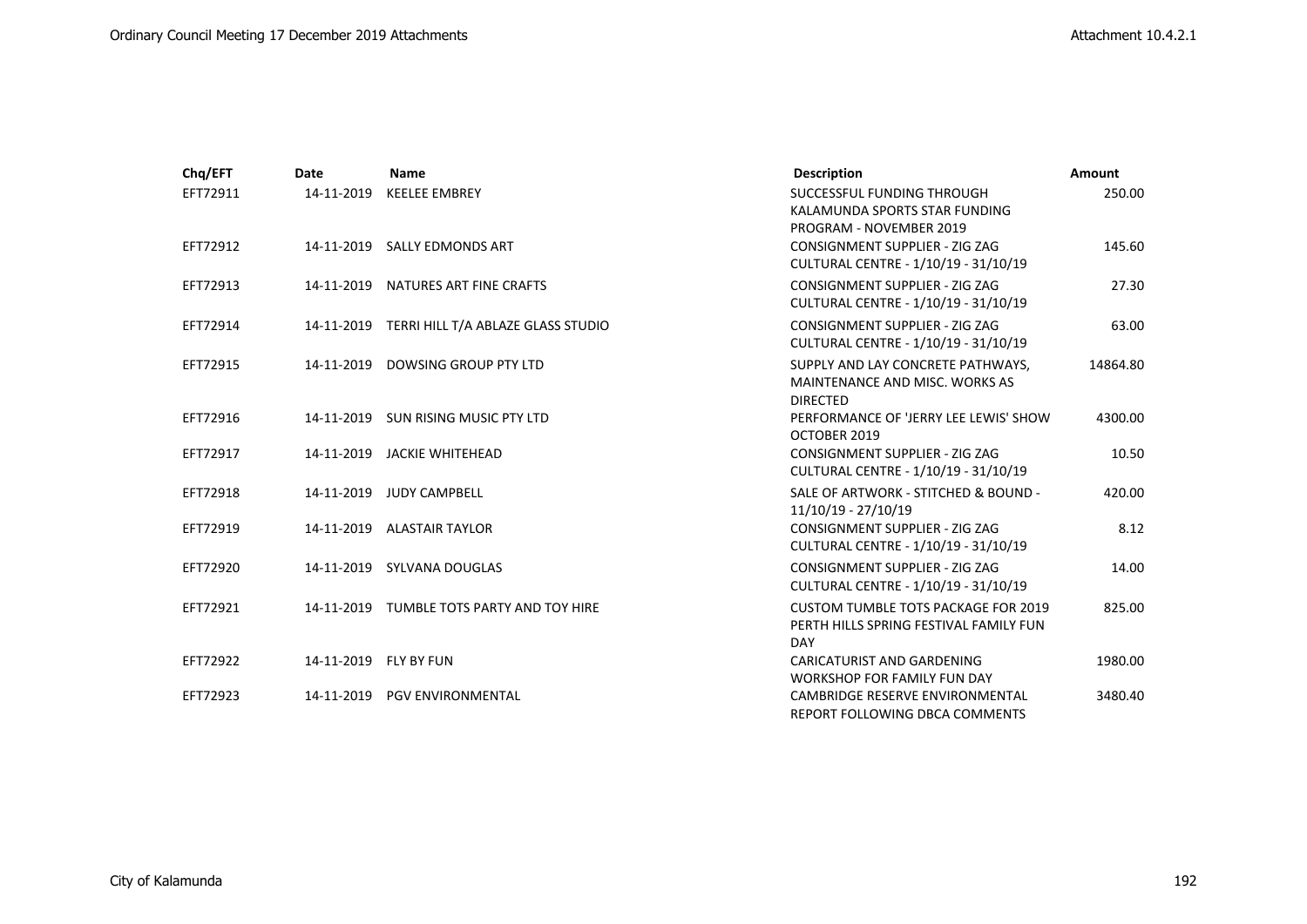| Chq/EFT  | Date                  | <b>Name</b>                               | <b>Description</b>                                                                                 | Amount   |
|----------|-----------------------|-------------------------------------------|----------------------------------------------------------------------------------------------------|----------|
| EFT72911 | 14-11-2019            | <b>KEELEE EMBREY</b>                      | SUCCESSFUL FUNDING THROUGH<br>KALAMUNDA SPORTS STAR FUNDING<br>PROGRAM - NOVEMBER 2019             | 250.00   |
| EFT72912 |                       | 14-11-2019 SALLY EDMONDS ART              | <b>CONSIGNMENT SUPPLIER - ZIG ZAG</b><br>CULTURAL CENTRE - 1/10/19 - 31/10/19                      | 145.60   |
| EFT72913 | 14-11-2019            | NATURES ART FINE CRAFTS                   | CONSIGNMENT SUPPLIER - ZIG ZAG<br>CULTURAL CENTRE - 1/10/19 - 31/10/19                             | 27.30    |
| EFT72914 | 14-11-2019            | TERRI HILL T/A ABLAZE GLASS STUDIO        | CONSIGNMENT SUPPLIER - ZIG ZAG<br>CULTURAL CENTRE - 1/10/19 - 31/10/19                             | 63.00    |
| EFT72915 | 14-11-2019            | DOWSING GROUP PTY LTD                     | SUPPLY AND LAY CONCRETE PATHWAYS,<br>MAINTENANCE AND MISC. WORKS AS<br><b>DIRECTED</b>             | 14864.80 |
| EFT72916 | 14-11-2019            | SUN RISING MUSIC PTY LTD                  | PERFORMANCE OF 'JERRY LEE LEWIS' SHOW<br>OCTOBER 2019                                              | 4300.00  |
| EFT72917 |                       | 14-11-2019 JACKIE WHITEHEAD               | CONSIGNMENT SUPPLIER - ZIG ZAG<br>CULTURAL CENTRE - 1/10/19 - 31/10/19                             | 10.50    |
| EFT72918 | 14-11-2019            | <b>JUDY CAMPBELL</b>                      | SALE OF ARTWORK - STITCHED & BOUND -<br>11/10/19 - 27/10/19                                        | 420.00   |
| EFT72919 |                       | 14-11-2019 ALASTAIR TAYLOR                | CONSIGNMENT SUPPLIER - ZIG ZAG<br>CULTURAL CENTRE - 1/10/19 - 31/10/19                             | 8.12     |
| EFT72920 |                       | 14-11-2019 SYLVANA DOUGLAS                | CONSIGNMENT SUPPLIER - ZIG ZAG<br>CULTURAL CENTRE - 1/10/19 - 31/10/19                             | 14.00    |
| EFT72921 |                       | 14-11-2019 TUMBLE TOTS PARTY AND TOY HIRE | <b>CUSTOM TUMBLE TOTS PACKAGE FOR 2019</b><br>PERTH HILLS SPRING FESTIVAL FAMILY FUN<br><b>DAY</b> | 825.00   |
| EFT72922 | 14-11-2019 FLY BY FUN |                                           | CARICATURIST AND GARDENING<br>WORKSHOP FOR FAMILY FUN DAY                                          | 1980.00  |
| EFT72923 | 14-11-2019            | <b>PGV ENVIRONMENTAL</b>                  | CAMBRIDGE RESERVE ENVIRONMENTAL<br>REPORT FOLLOWING DBCA COMMENTS                                  | 3480.40  |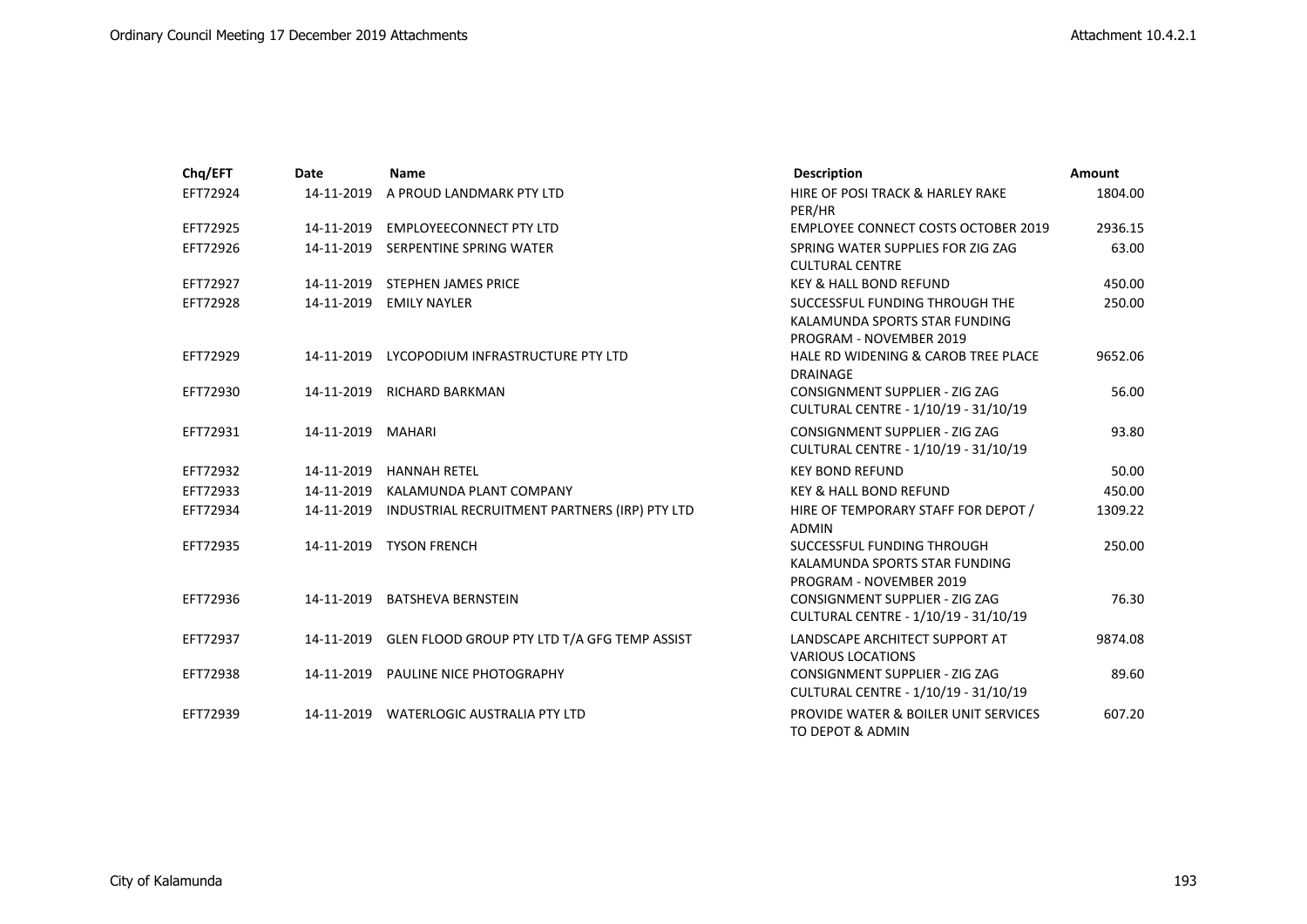| Chq/EFT  | Date       | Name                                                    | <b>Description</b>                                                                         | <b>Amount</b> |
|----------|------------|---------------------------------------------------------|--------------------------------------------------------------------------------------------|---------------|
| EFT72924 | 14-11-2019 | A PROUD LANDMARK PTY LTD                                | HIRE OF POSI TRACK & HARLEY RAKE<br>PER/HR                                                 | 1804.00       |
| EFT72925 | 14-11-2019 | <b>EMPLOYEECONNECT PTY LTD</b>                          | <b>EMPLOYEE CONNECT COSTS OCTOBER 2019</b>                                                 | 2936.15       |
| EFT72926 | 14-11-2019 | SERPENTINE SPRING WATER                                 | SPRING WATER SUPPLIES FOR ZIG ZAG<br><b>CULTURAL CENTRE</b>                                | 63.00         |
| EFT72927 | 14-11-2019 | <b>STEPHEN JAMES PRICE</b>                              | <b>KEY &amp; HALL BOND REFUND</b>                                                          | 450.00        |
| EFT72928 | 14-11-2019 | <b>EMILY NAYLER</b>                                     | SUCCESSFUL FUNDING THROUGH THE<br>KALAMUNDA SPORTS STAR FUNDING<br>PROGRAM - NOVEMBER 2019 | 250.00        |
| EFT72929 | 14-11-2019 | LYCOPODIUM INFRASTRUCTURE PTY LTD                       | HALE RD WIDENING & CAROB TREE PLACE<br><b>DRAINAGE</b>                                     | 9652.06       |
| EFT72930 |            | 14-11-2019 RICHARD BARKMAN                              | CONSIGNMENT SUPPLIER - ZIG ZAG<br>CULTURAL CENTRE - 1/10/19 - 31/10/19                     | 56.00         |
| EFT72931 | 14-11-2019 | MAHARI                                                  | CONSIGNMENT SUPPLIER - ZIG ZAG<br>CULTURAL CENTRE - 1/10/19 - 31/10/19                     | 93.80         |
| EFT72932 | 14-11-2019 | <b>HANNAH RETEL</b>                                     | <b>KEY BOND REFUND</b>                                                                     | 50.00         |
| EFT72933 | 14-11-2019 | KALAMUNDA PLANT COMPANY                                 | <b>KEY &amp; HALL BOND REFUND</b>                                                          | 450.00        |
| EFT72934 | 14-11-2019 | INDUSTRIAL RECRUITMENT PARTNERS (IRP) PTY LTD           | HIRE OF TEMPORARY STAFF FOR DEPOT /<br><b>ADMIN</b>                                        | 1309.22       |
| EFT72935 |            | 14-11-2019 TYSON FRENCH                                 | SUCCESSFUL FUNDING THROUGH<br>KALAMUNDA SPORTS STAR FUNDING<br>PROGRAM - NOVEMBER 2019     | 250.00        |
| EFT72936 | 14-11-2019 | <b>BATSHEVA BERNSTEIN</b>                               | CONSIGNMENT SUPPLIER - ZIG ZAG<br>CULTURAL CENTRE - 1/10/19 - 31/10/19                     | 76.30         |
| EFT72937 |            | 14-11-2019 GLEN FLOOD GROUP PTY LTD T/A GFG TEMP ASSIST | LANDSCAPE ARCHITECT SUPPORT AT<br><b>VARIOUS LOCATIONS</b>                                 | 9874.08       |
| EFT72938 |            | 14-11-2019 PAULINE NICE PHOTOGRAPHY                     | CONSIGNMENT SUPPLIER - ZIG ZAG<br>CULTURAL CENTRE - 1/10/19 - 31/10/19                     | 89.60         |
| EFT72939 | 14-11-2019 | <b>WATERLOGIC AUSTRALIA PTY LTD</b>                     | <b>PROVIDE WATER &amp; BOILER UNIT SERVICES</b><br>TO DEPOT & ADMIN                        | 607.20        |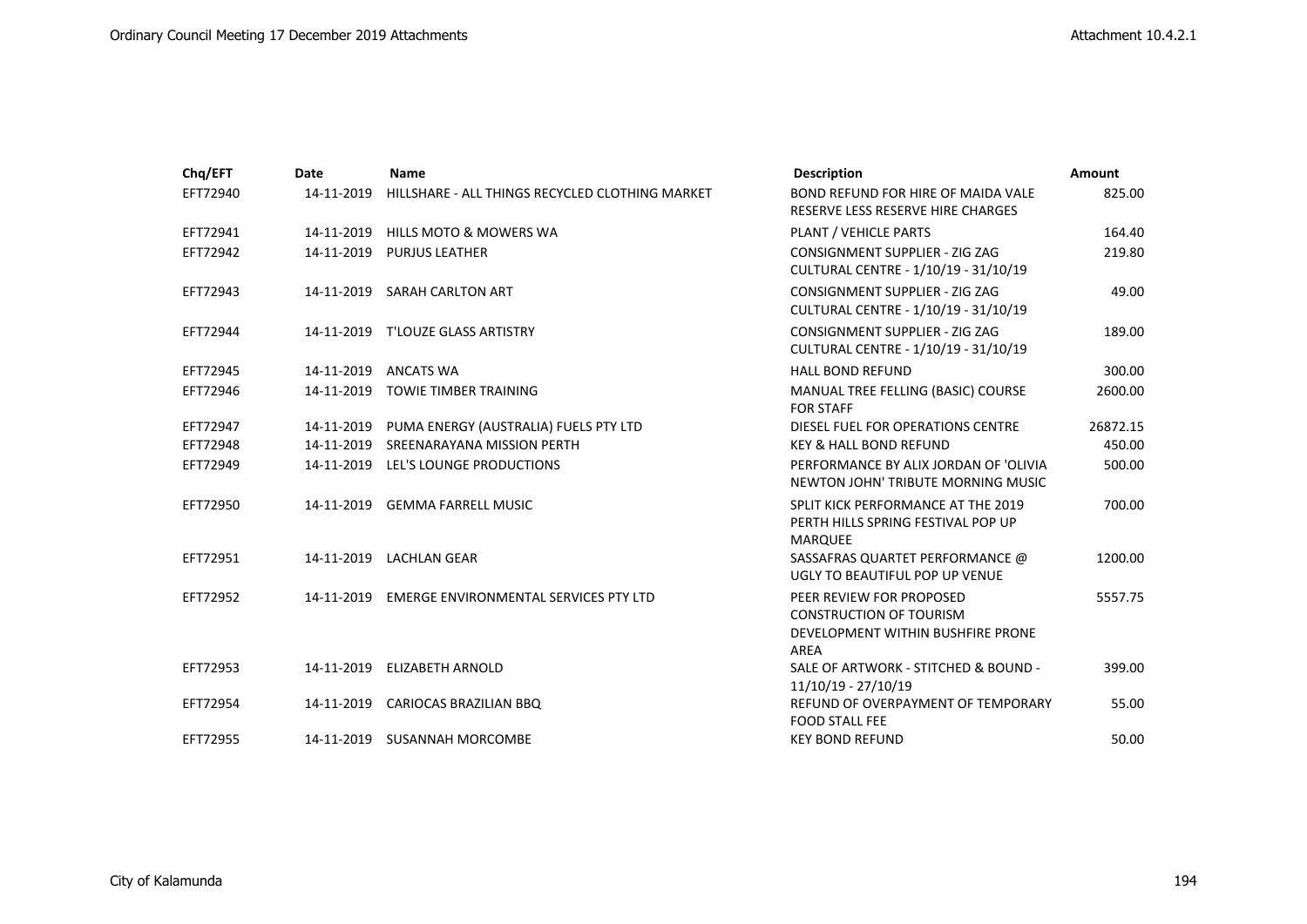| Chq/EFT  | <b>Date</b> | <b>Name</b>                                      | <b>Description</b>                                                                                             | Amount   |
|----------|-------------|--------------------------------------------------|----------------------------------------------------------------------------------------------------------------|----------|
| EFT72940 | 14-11-2019  | HILLSHARE - ALL THINGS RECYCLED CLOTHING MARKET  | BOND REFUND FOR HIRE OF MAIDA VALE<br>RESERVE LESS RESERVE HIRE CHARGES                                        | 825.00   |
| EFT72941 | 14-11-2019  | HILLS MOTO & MOWERS WA                           | PLANT / VEHICLE PARTS                                                                                          | 164.40   |
| EFT72942 |             | 14-11-2019 PURJUS LEATHER                        | CONSIGNMENT SUPPLIER - ZIG ZAG<br>CULTURAL CENTRE - 1/10/19 - 31/10/19                                         | 219.80   |
| EFT72943 |             | 14-11-2019 SARAH CARLTON ART                     | CONSIGNMENT SUPPLIER - ZIG ZAG<br>CULTURAL CENTRE - 1/10/19 - 31/10/19                                         | 49.00    |
| EFT72944 | 14-11-2019  | T'LOUZE GLASS ARTISTRY                           | CONSIGNMENT SUPPLIER - ZIG ZAG<br>CULTURAL CENTRE - 1/10/19 - 31/10/19                                         | 189.00   |
| EFT72945 | 14-11-2019  | <b>ANCATS WA</b>                                 | <b>HALL BOND REFUND</b>                                                                                        | 300.00   |
| EFT72946 |             | 14-11-2019 TOWIE TIMBER TRAINING                 | MANUAL TREE FELLING (BASIC) COURSE<br><b>FOR STAFF</b>                                                         | 2600.00  |
| EFT72947 | 14-11-2019  | PUMA ENERGY (AUSTRALIA) FUELS PTY LTD            | DIESEL FUEL FOR OPERATIONS CENTRE                                                                              | 26872.15 |
| EFT72948 | 14-11-2019  | SREENARAYANA MISSION PERTH                       | <b>KEY &amp; HALL BOND REFUND</b>                                                                              | 450.00   |
| EFT72949 |             | 14-11-2019 LEL'S LOUNGE PRODUCTIONS              | PERFORMANCE BY ALIX JORDAN OF 'OLIVIA<br>NEWTON JOHN' TRIBUTE MORNING MUSIC                                    | 500.00   |
| EFT72950 |             | 14-11-2019 GEMMA FARRELL MUSIC                   | SPLIT KICK PERFORMANCE AT THE 2019<br>PERTH HILLS SPRING FESTIVAL POP UP<br>MARQUEE                            | 700.00   |
| EFT72951 |             | 14-11-2019 LACHLAN GEAR                          | SASSAFRAS QUARTET PERFORMANCE @<br>UGLY TO BEAUTIFUL POP UP VENUE                                              | 1200.00  |
| EFT72952 |             | 14-11-2019 EMERGE ENVIRONMENTAL SERVICES PTY LTD | PEER REVIEW FOR PROPOSED<br><b>CONSTRUCTION OF TOURISM</b><br>DEVELOPMENT WITHIN BUSHFIRE PRONE<br><b>AREA</b> | 5557.75  |
| EFT72953 |             | 14-11-2019 ELIZABETH ARNOLD                      | SALE OF ARTWORK - STITCHED & BOUND -<br>11/10/19 - 27/10/19                                                    | 399.00   |
| EFT72954 |             | 14-11-2019 CARIOCAS BRAZILIAN BBQ                | REFUND OF OVERPAYMENT OF TEMPORARY<br><b>FOOD STALL FEE</b>                                                    | 55.00    |
| EFT72955 |             | 14-11-2019 SUSANNAH MORCOMBE                     | <b>KEY BOND REFUND</b>                                                                                         | 50.00    |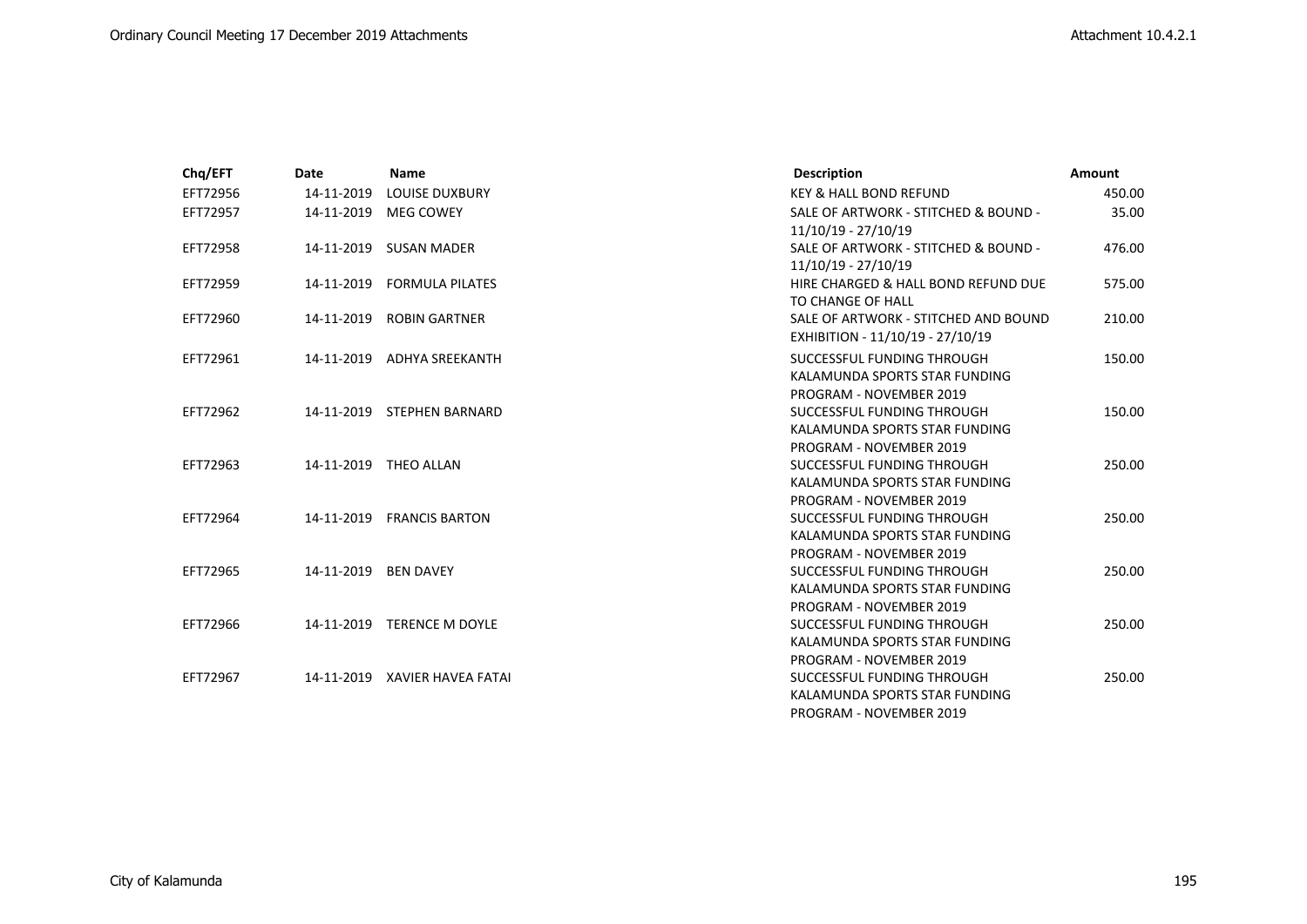| Chq/EFT  | Date       | Name                          | <b>Description</b>                   | <b>Amount</b> |
|----------|------------|-------------------------------|--------------------------------------|---------------|
| EFT72956 | 14-11-2019 | LOUISE DUXBURY                | <b>KEY &amp; HALL BOND REFUND</b>    | 450.00        |
| EFT72957 | 14-11-2019 | <b>MEG COWEY</b>              | SALE OF ARTWORK - STITCHED & BOUND - | 35.00         |
|          |            |                               | 11/10/19 - 27/10/19                  |               |
| EFT72958 |            | 14-11-2019 SUSAN MADER        | SALE OF ARTWORK - STITCHED & BOUND - | 476.00        |
|          |            |                               | 11/10/19 - 27/10/19                  |               |
| EFT72959 |            | 14-11-2019 FORMULA PILATES    | HIRE CHARGED & HALL BOND REFUND DUE  | 575.00        |
|          |            |                               | TO CHANGE OF HALL                    |               |
| EFT72960 | 14-11-2019 | <b>ROBIN GARTNER</b>          | SALE OF ARTWORK - STITCHED AND BOUND | 210.00        |
|          |            |                               | EXHIBITION - 11/10/19 - 27/10/19     |               |
| EFT72961 |            | 14-11-2019 ADHYA SREEKANTH    | SUCCESSFUL FUNDING THROUGH           | 150.00        |
|          |            |                               | KALAMUNDA SPORTS STAR FUNDING        |               |
|          |            |                               | <b>PROGRAM - NOVEMBER 2019</b>       |               |
| EFT72962 |            | 14-11-2019 STEPHEN BARNARD    | SUCCESSFUL FUNDING THROUGH           | 150.00        |
|          |            |                               | KALAMUNDA SPORTS STAR FUNDING        |               |
|          |            |                               | <b>PROGRAM - NOVEMBER 2019</b>       |               |
| EFT72963 | 14-11-2019 | THEO ALLAN                    | SUCCESSFUL FUNDING THROUGH           | 250.00        |
|          |            |                               | KALAMUNDA SPORTS STAR FUNDING        |               |
|          |            |                               | PROGRAM - NOVEMBER 2019              |               |
| EFT72964 |            | 14-11-2019 FRANCIS BARTON     | SUCCESSFUL FUNDING THROUGH           | 250.00        |
|          |            |                               | KALAMUNDA SPORTS STAR FUNDING        |               |
|          |            |                               | <b>PROGRAM - NOVEMBER 2019</b>       |               |
| EFT72965 | 14-11-2019 | <b>BEN DAVEY</b>              | SUCCESSFUL FUNDING THROUGH           | 250.00        |
|          |            |                               | KALAMUNDA SPORTS STAR FUNDING        |               |
|          |            |                               | <b>PROGRAM - NOVEMBER 2019</b>       |               |
| EFT72966 |            | 14-11-2019 TERENCE M DOYLE    | SUCCESSFUL FUNDING THROUGH           | 250.00        |
|          |            |                               | KALAMUNDA SPORTS STAR FUNDING        |               |
|          |            |                               | <b>PROGRAM - NOVEMBER 2019</b>       |               |
| EFT72967 |            | 14-11-2019 XAVIER HAVEA FATAI | SUCCESSFUL FUNDING THROUGH           | 250.00        |
|          |            |                               | KALAMUNDA SPORTS STAR FUNDING        |               |
|          |            |                               | <b>PROGRAM - NOVEMBER 2019</b>       |               |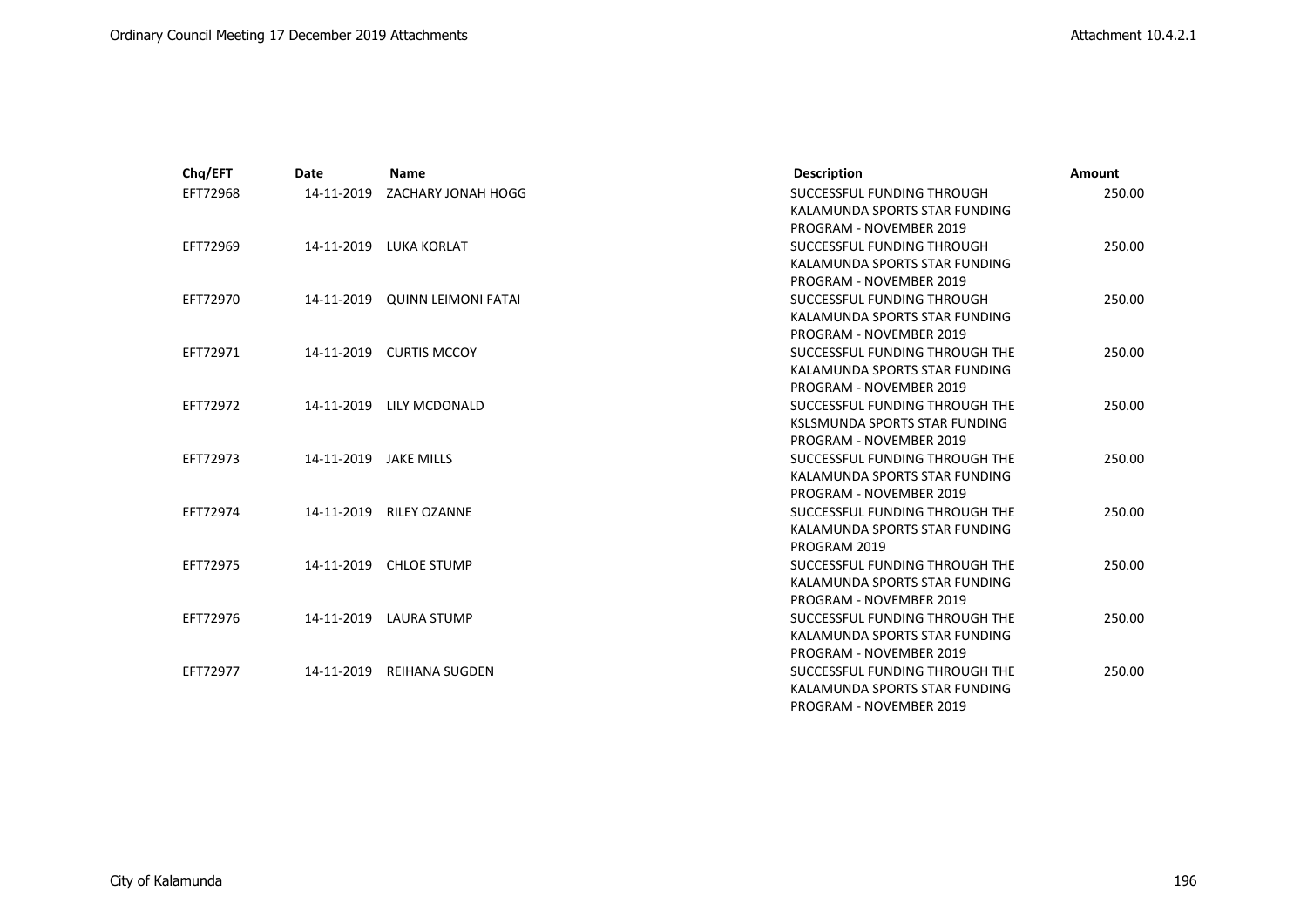|            | <b>Name</b>         |                                                                                                              | Amount             |
|------------|---------------------|--------------------------------------------------------------------------------------------------------------|--------------------|
| 14-11-2019 | ZACHARY JONAH HOGG  | SUCCESSFUL FUNDING THROUGH                                                                                   | 250.00             |
|            |                     | KALAMUNDA SPORTS STAR FUNDING                                                                                |                    |
|            |                     | PROGRAM - NOVEMBER 2019                                                                                      |                    |
| 14-11-2019 | LUKA KORLAT         | SUCCESSFUL FUNDING THROUGH                                                                                   | 250.00             |
|            |                     | KALAMUNDA SPORTS STAR FUNDING                                                                                |                    |
|            |                     | <b>PROGRAM - NOVEMBER 2019</b>                                                                               |                    |
|            |                     | SUCCESSFUL FUNDING THROUGH                                                                                   | 250.00             |
|            |                     | KALAMUNDA SPORTS STAR FUNDING                                                                                |                    |
|            |                     | PROGRAM - NOVEMBER 2019                                                                                      |                    |
|            |                     | SUCCESSFUL FUNDING THROUGH THE                                                                               | 250.00             |
|            |                     | KALAMUNDA SPORTS STAR FUNDING                                                                                |                    |
|            |                     | <b>PROGRAM - NOVEMBER 2019</b>                                                                               |                    |
| 14-11-2019 | LILY MCDONALD       | SUCCESSFUL FUNDING THROUGH THE                                                                               | 250.00             |
|            |                     | KSLSMUNDA SPORTS STAR FUNDING                                                                                |                    |
|            |                     | PROGRAM - NOVEMBER 2019                                                                                      |                    |
|            |                     | SUCCESSFUL FUNDING THROUGH THE                                                                               | 250.00             |
|            |                     | KALAMUNDA SPORTS STAR FUNDING                                                                                |                    |
|            |                     | PROGRAM - NOVEMBER 2019                                                                                      |                    |
| 14-11-2019 | <b>RILEY OZANNE</b> | SUCCESSFUL FUNDING THROUGH THE                                                                               | 250.00             |
|            |                     | KALAMUNDA SPORTS STAR FUNDING                                                                                |                    |
|            |                     | PROGRAM 2019                                                                                                 |                    |
| 14-11-2019 | <b>CHLOE STUMP</b>  | SUCCESSFUL FUNDING THROUGH THE                                                                               | 250.00             |
|            |                     | KALAMUNDA SPORTS STAR FUNDING                                                                                |                    |
|            |                     | PROGRAM - NOVEMBER 2019                                                                                      |                    |
|            |                     | SUCCESSFUL FUNDING THROUGH THE                                                                               | 250.00             |
|            |                     | KALAMUNDA SPORTS STAR FUNDING                                                                                |                    |
|            |                     | PROGRAM - NOVEMBER 2019                                                                                      |                    |
| 14-11-2019 | REIHANA SUGDEN      | SUCCESSFUL FUNDING THROUGH THE                                                                               | 250.00             |
|            |                     | KALAMUNDA SPORTS STAR FUNDING                                                                                |                    |
|            |                     | PROGRAM - NOVEMBER 2019                                                                                      |                    |
|            | Date                | 14-11-2019 QUINN LEIMONI FATAI<br>14-11-2019 CURTIS MCCOY<br>14-11-2019 JAKE MILLS<br>14-11-2019 LAURA STUMP | <b>Description</b> |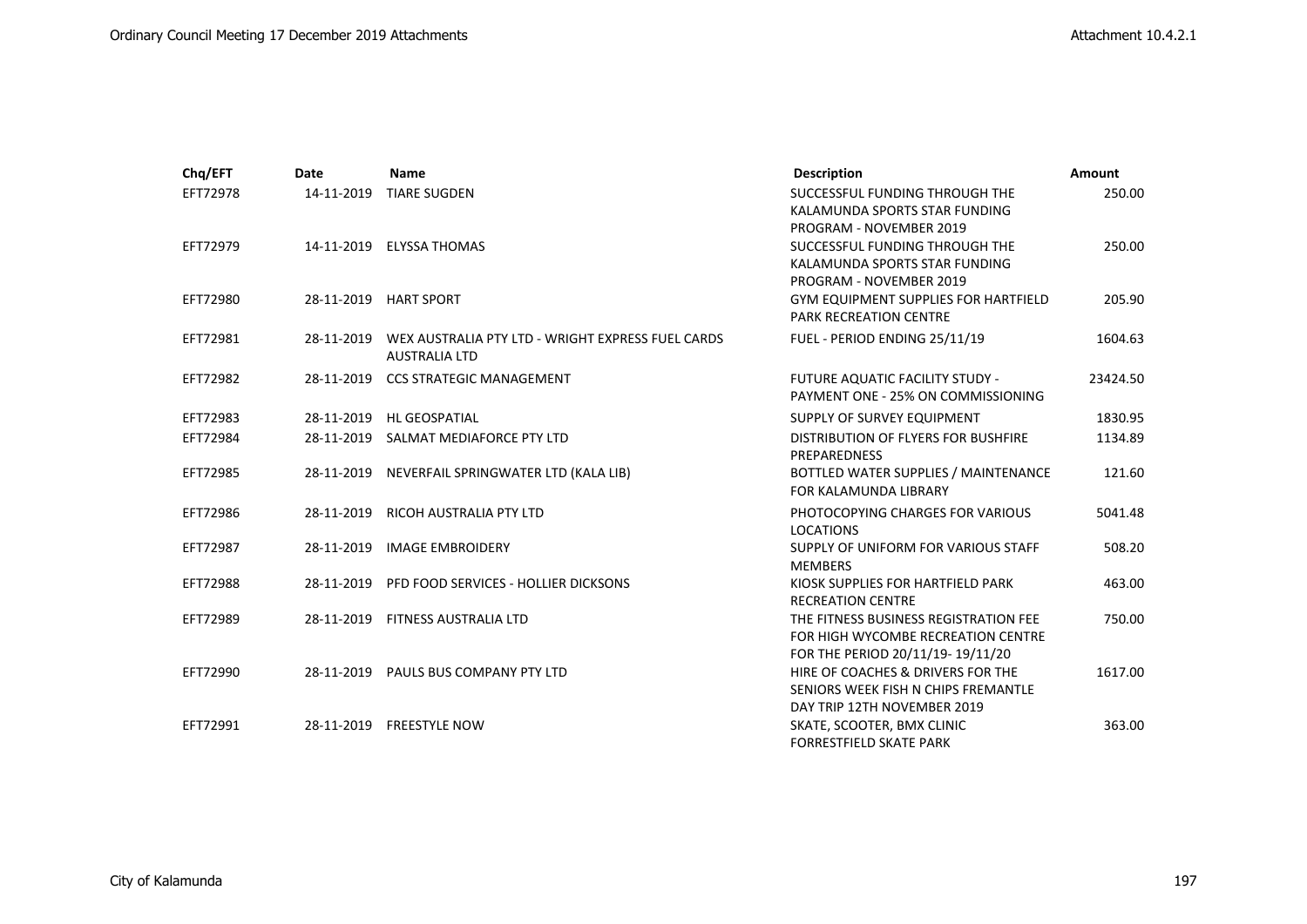| Chq/EFT  | <b>Date</b> | <b>Name</b>                                                                              | <b>Description</b>                          | Amount   |
|----------|-------------|------------------------------------------------------------------------------------------|---------------------------------------------|----------|
| EFT72978 | 14-11-2019  | <b>TIARE SUGDEN</b>                                                                      | SUCCESSFUL FUNDING THROUGH THE              | 250.00   |
|          |             |                                                                                          | KALAMUNDA SPORTS STAR FUNDING               |          |
|          |             |                                                                                          | <b>PROGRAM - NOVEMBER 2019</b>              |          |
| EFT72979 |             | 14-11-2019 ELYSSA THOMAS                                                                 | SUCCESSFUL FUNDING THROUGH THE              | 250.00   |
|          |             |                                                                                          | KALAMUNDA SPORTS STAR FUNDING               |          |
|          |             |                                                                                          | <b>PROGRAM - NOVEMBER 2019</b>              |          |
| EFT72980 |             | 28-11-2019 HART SPORT                                                                    | <b>GYM EQUIPMENT SUPPLIES FOR HARTFIELD</b> | 205.90   |
|          |             |                                                                                          | <b>PARK RECREATION CENTRE</b>               |          |
| EFT72981 |             | 28-11-2019     WEX AUSTRALIA PTY LTD - WRIGHT EXPRESS FUEL CARDS<br><b>AUSTRALIA LTD</b> | FUEL - PERIOD ENDING 25/11/19               | 1604.63  |
| EFT72982 |             | 28-11-2019 CCS STRATEGIC MANAGEMENT                                                      | FUTURE AQUATIC FACILITY STUDY -             | 23424.50 |
|          |             |                                                                                          | PAYMENT ONE - 25% ON COMMISSIONING          |          |
| EFT72983 | 28-11-2019  | HL GEOSPATIAL                                                                            | SUPPLY OF SURVEY EQUIPMENT                  | 1830.95  |
| EFT72984 |             | 28-11-2019 SALMAT MEDIAFORCE PTY LTD                                                     | DISTRIBUTION OF FLYERS FOR BUSHFIRE         | 1134.89  |
|          |             |                                                                                          | PREPAREDNESS                                |          |
| EFT72985 |             | 28-11-2019 NEVERFAIL SPRINGWATER LTD (KALA LIB)                                          | BOTTLED WATER SUPPLIES / MAINTENANCE        | 121.60   |
|          |             |                                                                                          | FOR KALAMUNDA LIBRARY                       |          |
| EFT72986 | 28-11-2019  | RICOH AUSTRALIA PTY LTD                                                                  | PHOTOCOPYING CHARGES FOR VARIOUS            | 5041.48  |
|          |             |                                                                                          | <b>LOCATIONS</b>                            |          |
| EFT72987 | 28-11-2019  | <b>IMAGE EMBROIDERY</b>                                                                  | SUPPLY OF UNIFORM FOR VARIOUS STAFF         | 508.20   |
|          |             |                                                                                          | <b>MEMBERS</b>                              |          |
| EFT72988 |             | 28-11-2019 PFD FOOD SERVICES - HOLLIER DICKSONS                                          | KIOSK SUPPLIES FOR HARTFIELD PARK           | 463.00   |
|          |             |                                                                                          | <b>RECREATION CENTRE</b>                    |          |
| EFT72989 |             | 28-11-2019 FITNESS AUSTRALIA LTD                                                         | THE FITNESS BUSINESS REGISTRATION FEE       | 750.00   |
|          |             |                                                                                          | FOR HIGH WYCOMBE RECREATION CENTRE          |          |
|          |             |                                                                                          | FOR THE PERIOD 20/11/19-19/11/20            |          |
| EFT72990 |             | 28-11-2019 PAULS BUS COMPANY PTY LTD                                                     | HIRE OF COACHES & DRIVERS FOR THE           | 1617.00  |
|          |             |                                                                                          | SENIORS WEEK FISH N CHIPS FREMANTLE         |          |
|          |             |                                                                                          | DAY TRIP 12TH NOVEMBER 2019                 |          |
| EFT72991 |             | 28-11-2019 FREESTYLE NOW                                                                 | SKATE, SCOOTER, BMX CLINIC                  | 363.00   |
|          |             |                                                                                          | <b>FORRESTFIELD SKATE PARK</b>              |          |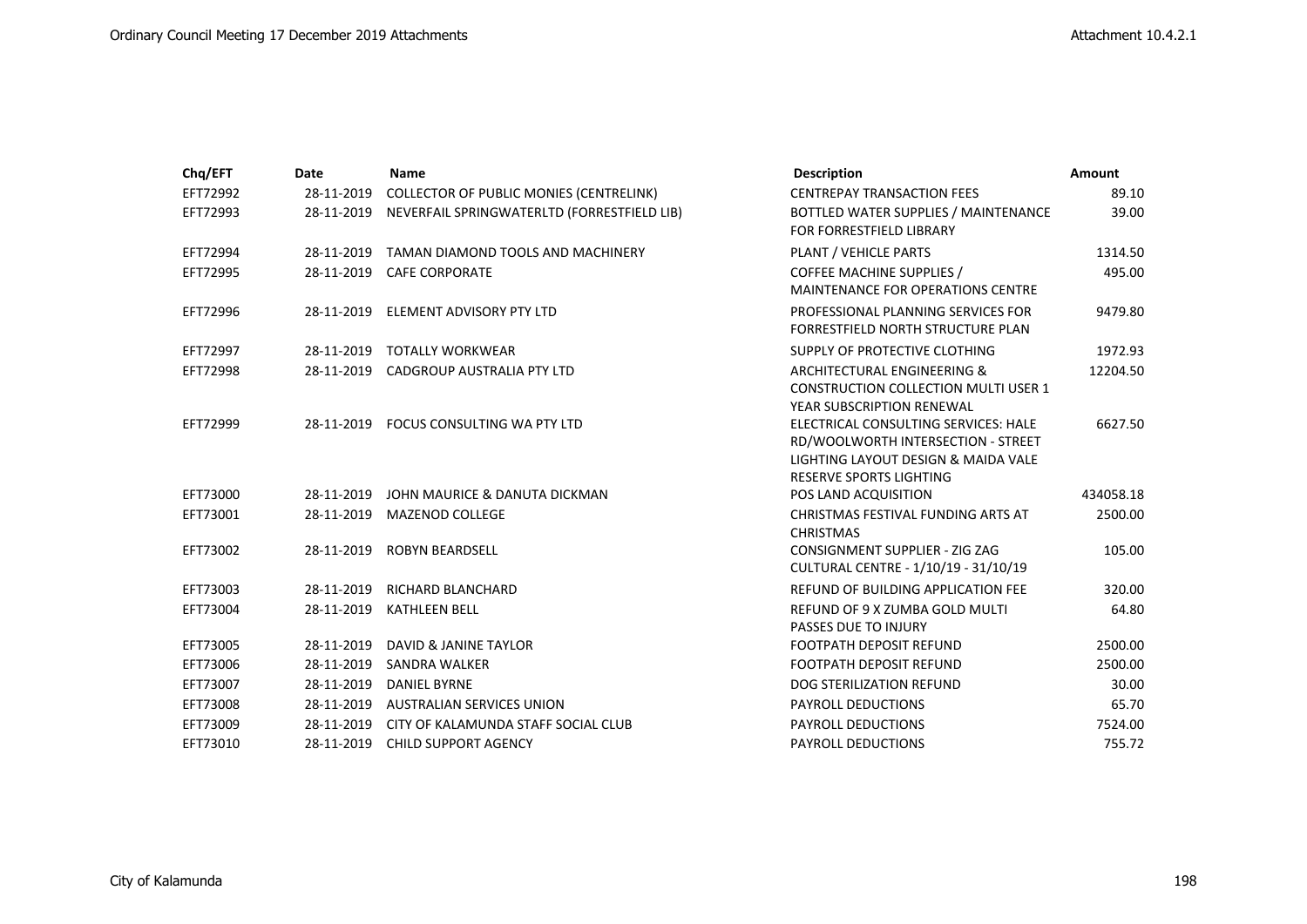| Chq/EFT  | <b>Date</b> | <b>Name</b>                                 | <b>Description</b>                                                                                                                                  | Amount    |
|----------|-------------|---------------------------------------------|-----------------------------------------------------------------------------------------------------------------------------------------------------|-----------|
| EFT72992 | 28-11-2019  | COLLECTOR OF PUBLIC MONIES (CENTRELINK)     | <b>CENTREPAY TRANSACTION FEES</b>                                                                                                                   | 89.10     |
| EFT72993 | 28-11-2019  | NEVERFAIL SPRINGWATERLTD (FORRESTFIELD LIB) | BOTTLED WATER SUPPLIES / MAINTENANCE<br>FOR FORRESTFIELD LIBRARY                                                                                    | 39.00     |
| EFT72994 | 28-11-2019  | TAMAN DIAMOND TOOLS AND MACHINERY           | PLANT / VEHICLE PARTS                                                                                                                               | 1314.50   |
| EFT72995 | 28-11-2019  | <b>CAFE CORPORATE</b>                       | <b>COFFEE MACHINE SUPPLIES /</b><br><b>MAINTENANCE FOR OPERATIONS CENTRE</b>                                                                        | 495.00    |
| EFT72996 | 28-11-2019  | <b>ELEMENT ADVISORY PTY LTD</b>             | PROFESSIONAL PLANNING SERVICES FOR<br>FORRESTFIELD NORTH STRUCTURE PLAN                                                                             | 9479.80   |
| EFT72997 | 28-11-2019  | <b>TOTALLY WORKWEAR</b>                     | SUPPLY OF PROTECTIVE CLOTHING                                                                                                                       | 1972.93   |
| EFT72998 | 28-11-2019  | <b>CADGROUP AUSTRALIA PTY LTD</b>           | ARCHITECTURAL ENGINEERING &<br><b>CONSTRUCTION COLLECTION MULTI USER 1</b><br>YEAR SUBSCRIPTION RENEWAL                                             | 12204.50  |
| EFT72999 | 28-11-2019  | FOCUS CONSULTING WA PTY LTD                 | ELECTRICAL CONSULTING SERVICES: HALE<br>RD/WOOLWORTH INTERSECTION - STREET<br>LIGHTING LAYOUT DESIGN & MAIDA VALE<br><b>RESERVE SPORTS LIGHTING</b> | 6627.50   |
| EFT73000 | 28-11-2019  | JOHN MAURICE & DANUTA DICKMAN               | POS LAND ACQUISITION                                                                                                                                | 434058.18 |
| EFT73001 | 28-11-2019  | <b>MAZENOD COLLEGE</b>                      | CHRISTMAS FESTIVAL FUNDING ARTS AT<br><b>CHRISTMAS</b>                                                                                              | 2500.00   |
| EFT73002 | 28-11-2019  | <b>ROBYN BEARDSELL</b>                      | CONSIGNMENT SUPPLIER - ZIG ZAG<br>CULTURAL CENTRE - 1/10/19 - 31/10/19                                                                              | 105.00    |
| EFT73003 | 28-11-2019  | RICHARD BLANCHARD                           | REFUND OF BUILDING APPLICATION FEE                                                                                                                  | 320.00    |
| EFT73004 | 28-11-2019  | <b>KATHLEEN BELL</b>                        | REFUND OF 9 X ZUMBA GOLD MULTI<br>PASSES DUE TO INJURY                                                                                              | 64.80     |
| EFT73005 | 28-11-2019  | DAVID & JANINE TAYLOR                       | FOOTPATH DEPOSIT REFUND                                                                                                                             | 2500.00   |
| EFT73006 | 28-11-2019  | SANDRA WALKER                               | <b>FOOTPATH DEPOSIT REFUND</b>                                                                                                                      | 2500.00   |
| EFT73007 | 28-11-2019  | <b>DANIEL BYRNE</b>                         | <b>DOG STERILIZATION REFUND</b>                                                                                                                     | 30.00     |
| EFT73008 | 28-11-2019  | <b>AUSTRALIAN SERVICES UNION</b>            | <b>PAYROLL DEDUCTIONS</b>                                                                                                                           | 65.70     |
| EFT73009 | 28-11-2019  | CITY OF KALAMUNDA STAFF SOCIAL CLUB         | <b>PAYROLL DEDUCTIONS</b>                                                                                                                           | 7524.00   |
| EFT73010 | 28-11-2019  | <b>CHILD SUPPORT AGENCY</b>                 | <b>PAYROLL DEDUCTIONS</b>                                                                                                                           | 755.72    |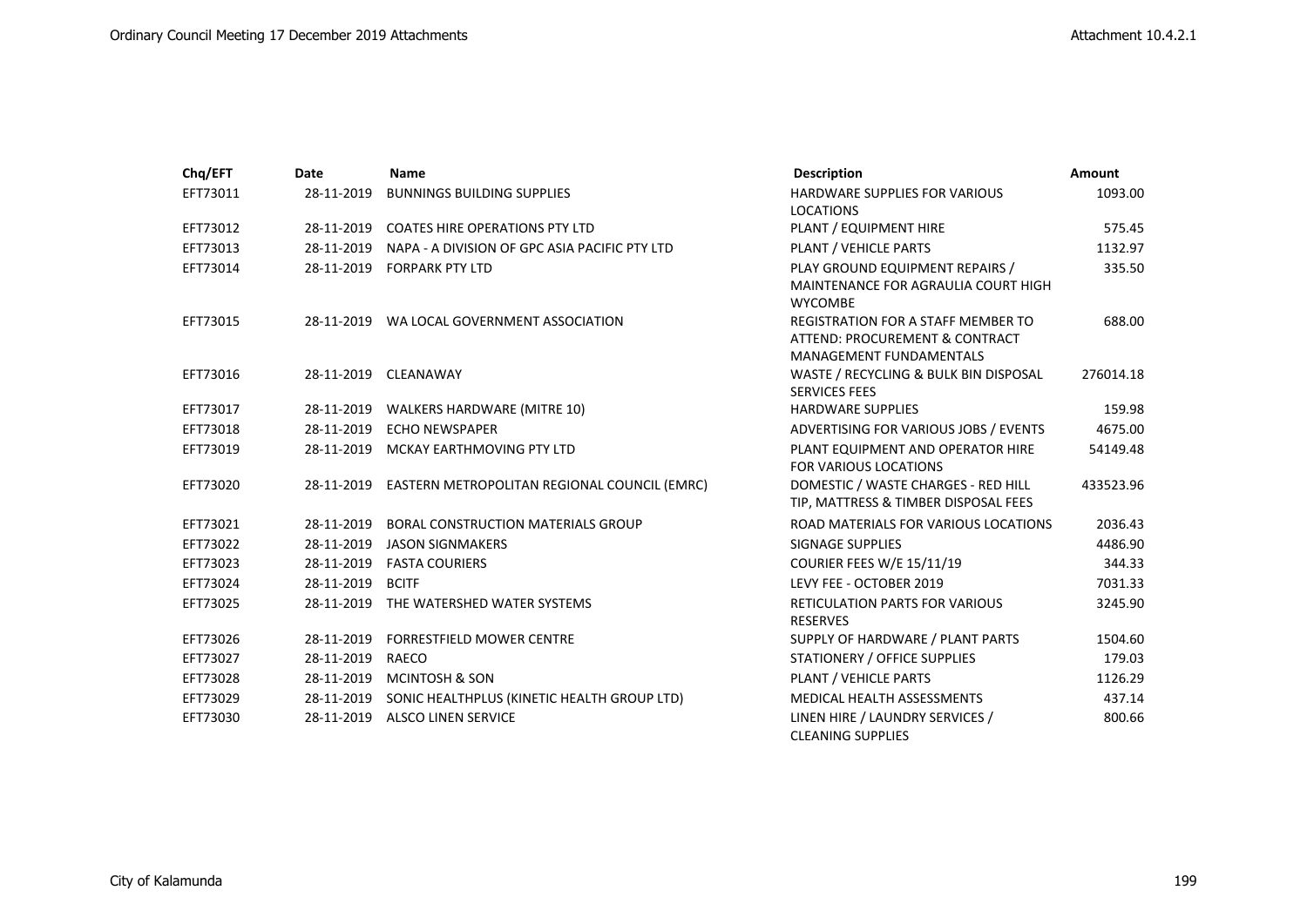| Chq/EFT  | <b>Date</b> | <b>Name</b>                                             | <b>Description</b>                                                                                            | Amount    |
|----------|-------------|---------------------------------------------------------|---------------------------------------------------------------------------------------------------------------|-----------|
| EFT73011 | 28-11-2019  | <b>BUNNINGS BUILDING SUPPLIES</b>                       | HARDWARE SUPPLIES FOR VARIOUS<br><b>LOCATIONS</b>                                                             | 1093.00   |
| EFT73012 | 28-11-2019  | <b>COATES HIRE OPERATIONS PTY LTD</b>                   | PLANT / EQUIPMENT HIRE                                                                                        | 575.45    |
| EFT73013 | 28-11-2019  | NAPA - A DIVISION OF GPC ASIA PACIFIC PTY LTD           | PLANT / VEHICLE PARTS                                                                                         | 1132.97   |
| EFT73014 | 28-11-2019  | <b>FORPARK PTY LTD</b>                                  | PLAY GROUND EQUIPMENT REPAIRS /<br>MAINTENANCE FOR AGRAULIA COURT HIGH<br><b>WYCOMBE</b>                      | 335.50    |
| EFT73015 | 28-11-2019  | WA LOCAL GOVERNMENT ASSOCIATION                         | <b>REGISTRATION FOR A STAFF MEMBER TO</b><br>ATTEND: PROCUREMENT & CONTRACT<br><b>MANAGEMENT FUNDAMENTALS</b> | 688.00    |
| EFT73016 | 28-11-2019  | CLEANAWAY                                               | WASTE / RECYCLING & BULK BIN DISPOSAL<br><b>SERVICES FEES</b>                                                 | 276014.18 |
| EFT73017 |             | 28-11-2019 WALKERS HARDWARE (MITRE 10)                  | <b>HARDWARE SUPPLIES</b>                                                                                      | 159.98    |
| EFT73018 | 28-11-2019  | <b>ECHO NEWSPAPER</b>                                   | ADVERTISING FOR VARIOUS JOBS / EVENTS                                                                         | 4675.00   |
| EFT73019 | 28-11-2019  | MCKAY EARTHMOVING PTY LTD                               | PLANT EQUIPMENT AND OPERATOR HIRE<br><b>FOR VARIOUS LOCATIONS</b>                                             | 54149.48  |
| EFT73020 |             | 28-11-2019 EASTERN METROPOLITAN REGIONAL COUNCIL (EMRC) | DOMESTIC / WASTE CHARGES - RED HILL<br>TIP, MATTRESS & TIMBER DISPOSAL FEES                                   | 433523.96 |
| EFT73021 | 28-11-2019  | <b>BORAL CONSTRUCTION MATERIALS GROUP</b>               | ROAD MATERIALS FOR VARIOUS LOCATIONS                                                                          | 2036.43   |
| EFT73022 | 28-11-2019  | <b>JASON SIGNMAKERS</b>                                 | <b>SIGNAGE SUPPLIES</b>                                                                                       | 4486.90   |
| EFT73023 | 28-11-2019  | <b>FASTA COURIERS</b>                                   | COURIER FEES W/E 15/11/19                                                                                     | 344.33    |
| EFT73024 | 28-11-2019  | <b>BCITF</b>                                            | LEVY FEE - OCTOBER 2019                                                                                       | 7031.33   |
| EFT73025 | 28-11-2019  | THE WATERSHED WATER SYSTEMS                             | <b>RETICULATION PARTS FOR VARIOUS</b><br><b>RESERVES</b>                                                      | 3245.90   |
| EFT73026 | 28-11-2019  | <b>FORRESTFIELD MOWER CENTRE</b>                        | SUPPLY OF HARDWARE / PLANT PARTS                                                                              | 1504.60   |
| EFT73027 | 28-11-2019  | RAECO                                                   | STATIONERY / OFFICE SUPPLIES                                                                                  | 179.03    |
| EFT73028 | 28-11-2019  | <b>MCINTOSH &amp; SON</b>                               | PLANT / VEHICLE PARTS                                                                                         | 1126.29   |
| EFT73029 | 28-11-2019  | SONIC HEALTHPLUS (KINETIC HEALTH GROUP LTD)             | MEDICAL HEALTH ASSESSMENTS                                                                                    | 437.14    |
| EFT73030 | 28-11-2019  | <b>ALSCO LINEN SERVICE</b>                              | LINEN HIRE / LAUNDRY SERVICES /<br><b>CLEANING SUPPLIES</b>                                                   | 800.66    |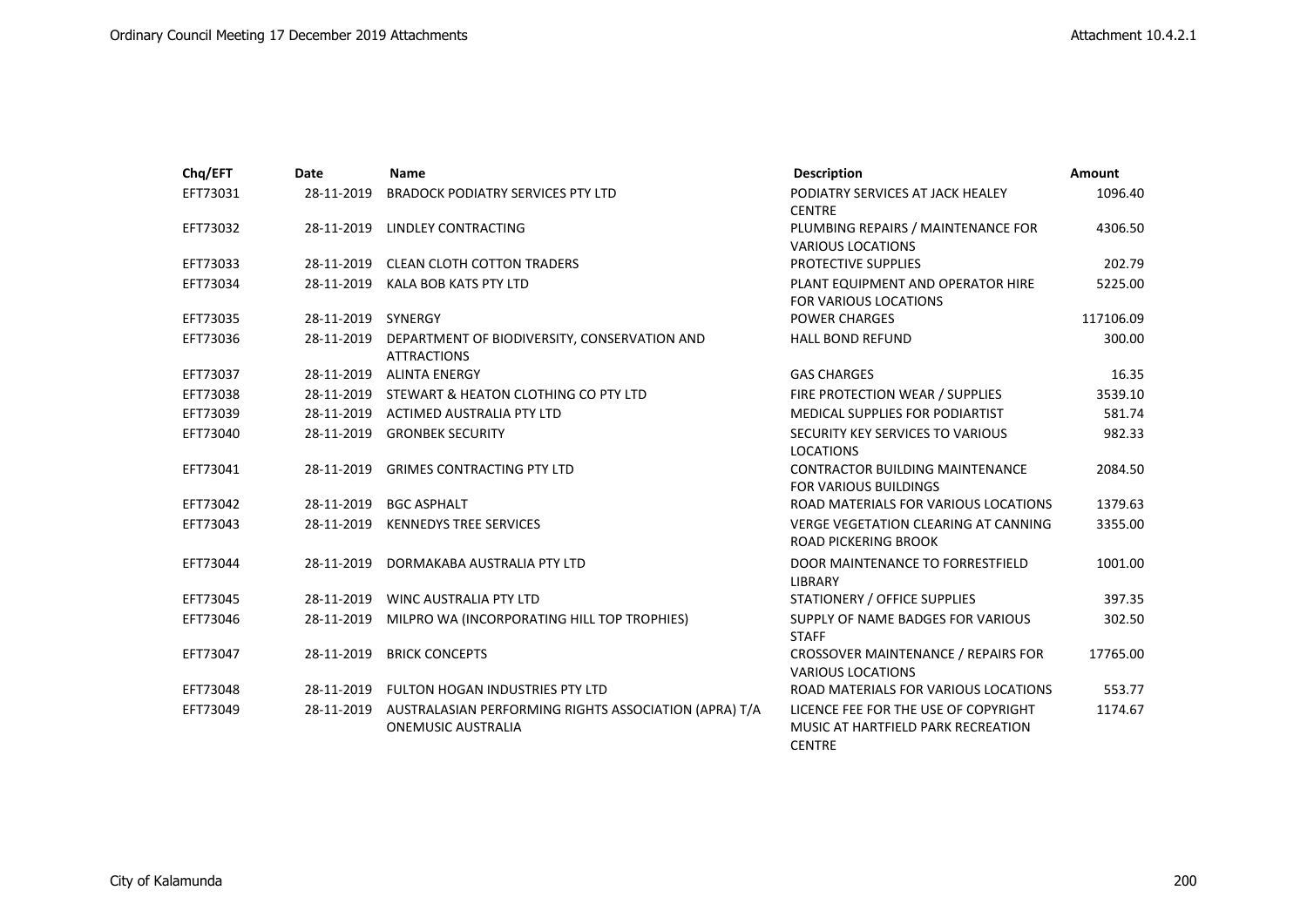| Chq/EFT  | <b>Date</b>        | <b>Name</b>                                                                        | <b>Description</b>                                                                          | Amount    |
|----------|--------------------|------------------------------------------------------------------------------------|---------------------------------------------------------------------------------------------|-----------|
| EFT73031 | 28-11-2019         | <b>BRADOCK PODIATRY SERVICES PTY LTD</b>                                           | PODIATRY SERVICES AT JACK HEALEY<br><b>CENTRE</b>                                           | 1096.40   |
| EFT73032 | 28-11-2019         | LINDLEY CONTRACTING                                                                | PLUMBING REPAIRS / MAINTENANCE FOR<br><b>VARIOUS LOCATIONS</b>                              | 4306.50   |
| EFT73033 | 28-11-2019         | <b>CLEAN CLOTH COTTON TRADERS</b>                                                  | PROTECTIVE SUPPLIES                                                                         | 202.79    |
| EFT73034 | 28-11-2019         | <b>KALA BOB KATS PTY LTD</b>                                                       | PLANT EQUIPMENT AND OPERATOR HIRE<br><b>FOR VARIOUS LOCATIONS</b>                           | 5225.00   |
| EFT73035 | 28-11-2019 SYNERGY |                                                                                    | <b>POWER CHARGES</b>                                                                        | 117106.09 |
| EFT73036 | 28-11-2019         | DEPARTMENT OF BIODIVERSITY, CONSERVATION AND<br><b>ATTRACTIONS</b>                 | <b>HALL BOND REFUND</b>                                                                     | 300.00    |
| EFT73037 | 28-11-2019         | <b>ALINTA ENERGY</b>                                                               | <b>GAS CHARGES</b>                                                                          | 16.35     |
| EFT73038 | 28-11-2019         | STEWART & HEATON CLOTHING CO PTY LTD                                               | FIRE PROTECTION WEAR / SUPPLIES                                                             | 3539.10   |
| EFT73039 | 28-11-2019         | <b>ACTIMED AUSTRALIA PTY LTD</b>                                                   | MEDICAL SUPPLIES FOR PODIARTIST                                                             | 581.74    |
| EFT73040 | 28-11-2019         | <b>GRONBEK SECURITY</b>                                                            | SECURITY KEY SERVICES TO VARIOUS<br><b>LOCATIONS</b>                                        | 982.33    |
| EFT73041 | 28-11-2019         | <b>GRIMES CONTRACTING PTY LTD</b>                                                  | CONTRACTOR BUILDING MAINTENANCE<br>FOR VARIOUS BUILDINGS                                    | 2084.50   |
| EFT73042 | 28-11-2019         | <b>BGC ASPHALT</b>                                                                 | ROAD MATERIALS FOR VARIOUS LOCATIONS                                                        | 1379.63   |
| EFT73043 | 28-11-2019         | <b>KENNEDYS TREE SERVICES</b>                                                      | <b>VERGE VEGETATION CLEARING AT CANNING</b><br><b>ROAD PICKERING BROOK</b>                  | 3355.00   |
| EFT73044 | 28-11-2019         | DORMAKABA AUSTRALIA PTY LTD                                                        | DOOR MAINTENANCE TO FORRESTFIELD<br><b>LIBRARY</b>                                          | 1001.00   |
| EFT73045 | 28-11-2019         | <b>WINC AUSTRALIA PTY LTD</b>                                                      | STATIONERY / OFFICE SUPPLIES                                                                | 397.35    |
| EFT73046 | 28-11-2019         | MILPRO WA (INCORPORATING HILL TOP TROPHIES)                                        | SUPPLY OF NAME BADGES FOR VARIOUS<br><b>STAFF</b>                                           | 302.50    |
| EFT73047 | 28-11-2019         | <b>BRICK CONCEPTS</b>                                                              | CROSSOVER MAINTENANCE / REPAIRS FOR<br><b>VARIOUS LOCATIONS</b>                             | 17765.00  |
| EFT73048 | 28-11-2019         | FULTON HOGAN INDUSTRIES PTY LTD                                                    | ROAD MATERIALS FOR VARIOUS LOCATIONS                                                        | 553.77    |
| EFT73049 | 28-11-2019         | AUSTRALASIAN PERFORMING RIGHTS ASSOCIATION (APRA) T/A<br><b>ONEMUSIC AUSTRALIA</b> | LICENCE FEE FOR THE USE OF COPYRIGHT<br>MUSIC AT HARTFIELD PARK RECREATION<br><b>CENTRE</b> | 1174.67   |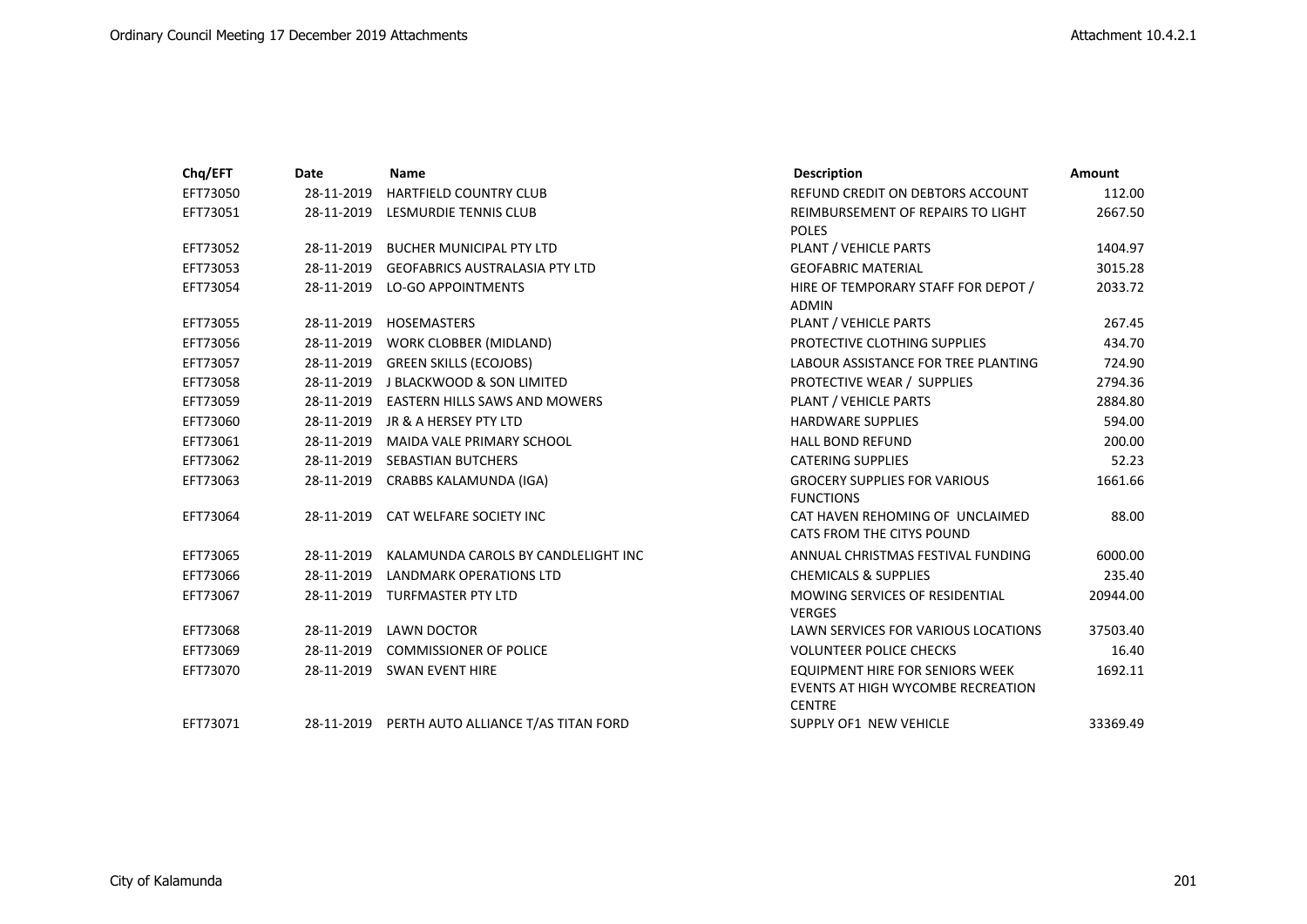| Chq/EFT  | <b>Date</b> | Name                                           | <b>Description</b>                                                                           | <b>Amount</b> |
|----------|-------------|------------------------------------------------|----------------------------------------------------------------------------------------------|---------------|
| EFT73050 | 28-11-2019  | <b>HARTFIELD COUNTRY CLUB</b>                  | REFUND CREDIT ON DEBTORS ACCOUNT                                                             | 112.00        |
| EFT73051 | 28-11-2019  | <b>LESMURDIE TENNIS CLUB</b>                   | REIMBURSEMENT OF REPAIRS TO LIGHT                                                            | 2667.50       |
|          |             |                                                | <b>POLES</b>                                                                                 |               |
| EFT73052 | 28-11-2019  | <b>BUCHER MUNICIPAL PTY LTD</b>                | PLANT / VEHICLE PARTS                                                                        | 1404.97       |
| EFT73053 | 28-11-2019  | <b>GEOFABRICS AUSTRALASIA PTY LTD</b>          | <b>GEOFABRIC MATERIAL</b>                                                                    | 3015.28       |
| EFT73054 | 28-11-2019  | <b>LO-GO APPOINTMENTS</b>                      | HIRE OF TEMPORARY STAFF FOR DEPOT /<br><b>ADMIN</b>                                          | 2033.72       |
| EFT73055 | 28-11-2019  | <b>HOSEMASTERS</b>                             | PLANT / VEHICLE PARTS                                                                        | 267.45        |
| EFT73056 | 28-11-2019  | WORK CLOBBER (MIDLAND)                         | PROTECTIVE CLOTHING SUPPLIES                                                                 | 434.70        |
| EFT73057 | 28-11-2019  | <b>GREEN SKILLS (ECOJOBS)</b>                  | LABOUR ASSISTANCE FOR TREE PLANTING                                                          | 724.90        |
| EFT73058 | 28-11-2019  | <b>J BLACKWOOD &amp; SON LIMITED</b>           | PROTECTIVE WEAR / SUPPLIES                                                                   | 2794.36       |
| EFT73059 | 28-11-2019  | <b>EASTERN HILLS SAWS AND MOWERS</b>           | PLANT / VEHICLE PARTS                                                                        | 2884.80       |
| EFT73060 | 28-11-2019  | JR & A HERSEY PTY LTD                          | <b>HARDWARE SUPPLIES</b>                                                                     | 594.00        |
| EFT73061 | 28-11-2019  | MAIDA VALE PRIMARY SCHOOL                      | <b>HALL BOND REFUND</b>                                                                      | 200.00        |
| EFT73062 | 28-11-2019  | SEBASTIAN BUTCHERS                             | <b>CATERING SUPPLIES</b>                                                                     | 52.23         |
| EFT73063 | 28-11-2019  | CRABBS KALAMUNDA (IGA)                         | <b>GROCERY SUPPLIES FOR VARIOUS</b><br><b>FUNCTIONS</b>                                      | 1661.66       |
| EFT73064 | 28-11-2019  | CAT WELFARE SOCIETY INC                        | CAT HAVEN REHOMING OF UNCLAIMED<br>CATS FROM THE CITYS POUND                                 | 88.00         |
| EFT73065 | 28-11-2019  | KALAMUNDA CAROLS BY CANDLELIGHT INC            | ANNUAL CHRISTMAS FESTIVAL FUNDING                                                            | 6000.00       |
| EFT73066 | 28-11-2019  | LANDMARK OPERATIONS LTD                        | <b>CHEMICALS &amp; SUPPLIES</b>                                                              | 235.40        |
| EFT73067 |             | 28-11-2019 TURFMASTER PTY LTD                  | MOWING SERVICES OF RESIDENTIAL<br><b>VERGES</b>                                              | 20944.00      |
| EFT73068 | 28-11-2019  | <b>LAWN DOCTOR</b>                             | LAWN SERVICES FOR VARIOUS LOCATIONS                                                          | 37503.40      |
| EFT73069 | 28-11-2019  | <b>COMMISSIONER OF POLICE</b>                  | <b>VOLUNTEER POLICE CHECKS</b>                                                               | 16.40         |
| EFT73070 |             | 28-11-2019 SWAN EVENT HIRE                     | <b>EQUIPMENT HIRE FOR SENIORS WEEK</b><br>EVENTS AT HIGH WYCOMBE RECREATION<br><b>CENTRE</b> | 1692.11       |
| EFT73071 |             | 28-11-2019 PERTH AUTO ALLIANCE T/AS TITAN FORD | SUPPLY OF1 NEW VEHICLE                                                                       | 33369.49      |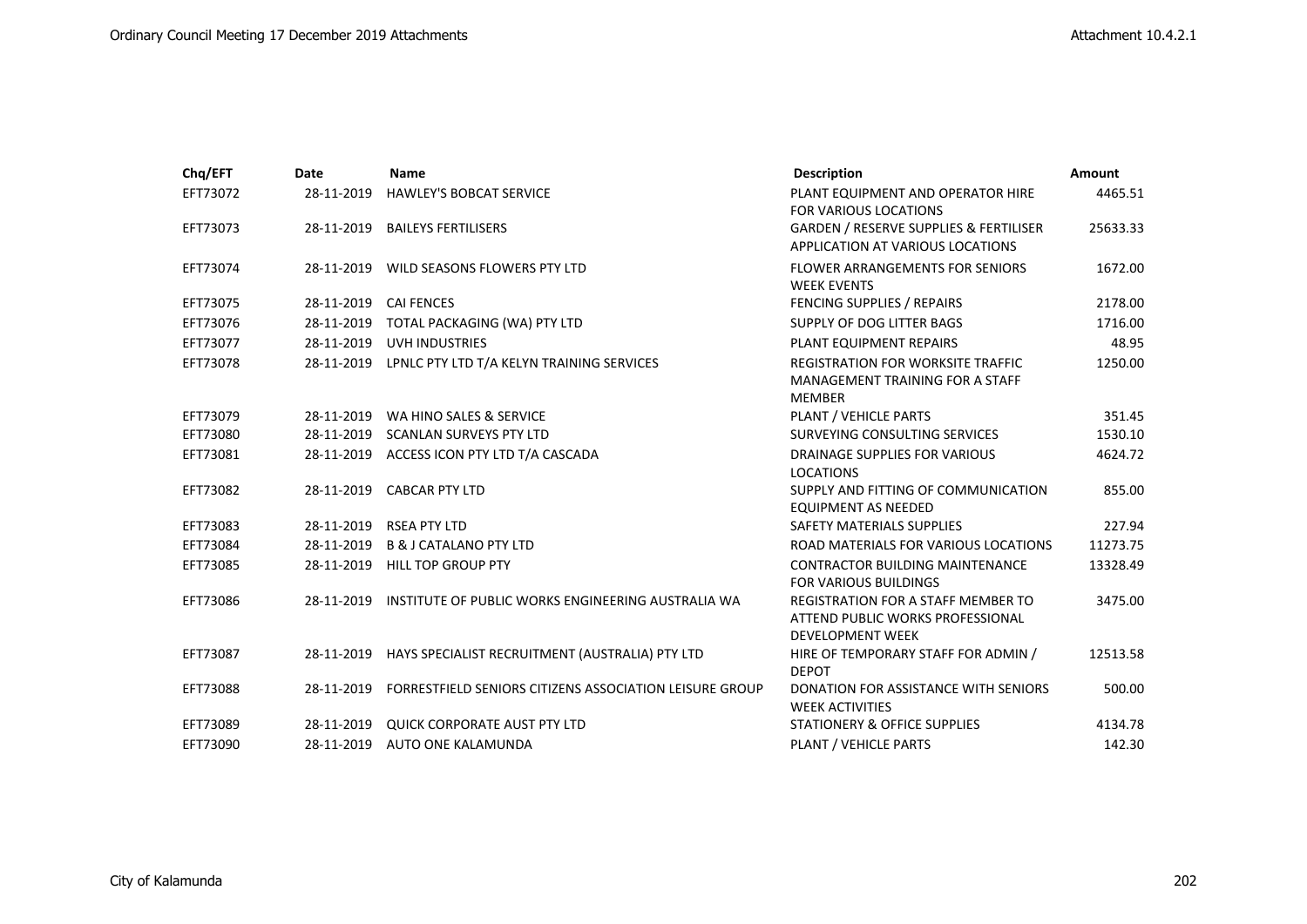| Chq/EFT  | Date       | <b>Name</b>                                                   | <b>Description</b>                                                                                | <b>Amount</b> |
|----------|------------|---------------------------------------------------------------|---------------------------------------------------------------------------------------------------|---------------|
| EFT73072 | 28-11-2019 | <b>HAWLEY'S BOBCAT SERVICE</b>                                | PLANT EQUIPMENT AND OPERATOR HIRE<br><b>FOR VARIOUS LOCATIONS</b>                                 | 4465.51       |
| EFT73073 | 28-11-2019 | <b>BAILEYS FERTILISERS</b>                                    | <b>GARDEN / RESERVE SUPPLIES &amp; FERTILISER</b><br>APPLICATION AT VARIOUS LOCATIONS             | 25633.33      |
| EFT73074 | 28-11-2019 | WILD SEASONS FLOWERS PTY LTD                                  | <b>FLOWER ARRANGEMENTS FOR SENIORS</b><br><b>WEEK EVENTS</b>                                      | 1672.00       |
| EFT73075 |            | 28-11-2019 CAI FENCES                                         | FENCING SUPPLIES / REPAIRS                                                                        | 2178.00       |
| EFT73076 | 28-11-2019 | TOTAL PACKAGING (WA) PTY LTD                                  | SUPPLY OF DOG LITTER BAGS                                                                         | 1716.00       |
| EFT73077 | 28-11-2019 | <b>UVH INDUSTRIES</b>                                         | PLANT EQUIPMENT REPAIRS                                                                           | 48.95         |
| EFT73078 |            | 28-11-2019 LPNLC PTY LTD T/A KELYN TRAINING SERVICES          | <b>REGISTRATION FOR WORKSITE TRAFFIC</b><br>MANAGEMENT TRAINING FOR A STAFF<br><b>MEMBER</b>      | 1250.00       |
| EFT73079 | 28-11-2019 | WA HINO SALES & SERVICE                                       | PLANT / VEHICLE PARTS                                                                             | 351.45        |
| EFT73080 | 28-11-2019 | <b>SCANLAN SURVEYS PTY LTD</b>                                | SURVEYING CONSULTING SERVICES                                                                     | 1530.10       |
| EFT73081 |            | 28-11-2019 ACCESS ICON PTY LTD T/A CASCADA                    | DRAINAGE SUPPLIES FOR VARIOUS<br><b>LOCATIONS</b>                                                 | 4624.72       |
| EFT73082 | 28-11-2019 | <b>CABCAR PTY LTD</b>                                         | SUPPLY AND FITTING OF COMMUNICATION<br><b>EQUIPMENT AS NEEDED</b>                                 | 855.00        |
| EFT73083 | 28-11-2019 | <b>RSEA PTY LTD</b>                                           | SAFETY MATERIALS SUPPLIES                                                                         | 227.94        |
| EFT73084 | 28-11-2019 | <b>B &amp; J CATALANO PTY LTD</b>                             | ROAD MATERIALS FOR VARIOUS LOCATIONS                                                              | 11273.75      |
| EFT73085 | 28-11-2019 | <b>HILL TOP GROUP PTY</b>                                     | <b>CONTRACTOR BUILDING MAINTENANCE</b><br><b>FOR VARIOUS BUILDINGS</b>                            | 13328.49      |
| EFT73086 |            | 28-11-2019 INSTITUTE OF PUBLIC WORKS ENGINEERING AUSTRALIA WA | <b>REGISTRATION FOR A STAFF MEMBER TO</b><br>ATTEND PUBLIC WORKS PROFESSIONAL<br>DEVELOPMENT WEEK | 3475.00       |
| EFT73087 | 28-11-2019 | HAYS SPECIALIST RECRUITMENT (AUSTRALIA) PTY LTD               | HIRE OF TEMPORARY STAFF FOR ADMIN /<br><b>DEPOT</b>                                               | 12513.58      |
| EFT73088 | 28-11-2019 | FORRESTFIELD SENIORS CITIZENS ASSOCIATION LEISURE GROUP       | DONATION FOR ASSISTANCE WITH SENIORS<br><b>WEEK ACTIVITIES</b>                                    | 500.00        |
| EFT73089 | 28-11-2019 | QUICK CORPORATE AUST PTY LTD                                  | <b>STATIONERY &amp; OFFICE SUPPLIES</b>                                                           | 4134.78       |
| EFT73090 | 28-11-2019 | AUTO ONE KALAMUNDA                                            | PLANT / VEHICLE PARTS                                                                             | 142.30        |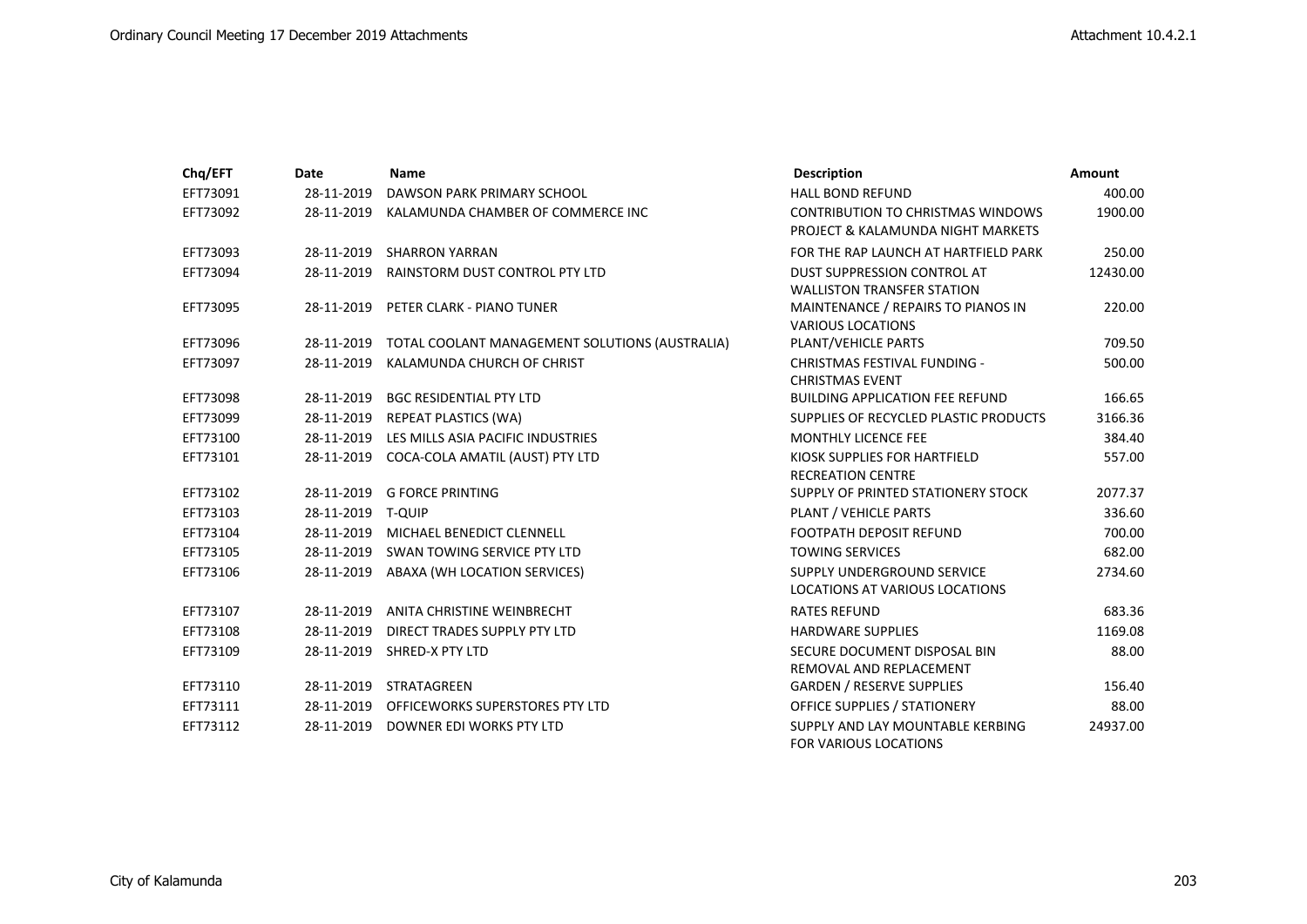| Chq/EFT  | <b>Date</b> | <b>Name</b>                                    | <b>Description</b>                       | <b>Amount</b> |
|----------|-------------|------------------------------------------------|------------------------------------------|---------------|
| EFT73091 | 28-11-2019  | DAWSON PARK PRIMARY SCHOOL                     | <b>HALL BOND REFUND</b>                  | 400.00        |
| EFT73092 | 28-11-2019  | KALAMUNDA CHAMBER OF COMMERCE INC              | <b>CONTRIBUTION TO CHRISTMAS WINDOWS</b> | 1900.00       |
|          |             |                                                | PROJECT & KALAMUNDA NIGHT MARKETS        |               |
| EFT73093 | 28-11-2019  | <b>SHARRON YARRAN</b>                          | FOR THE RAP LAUNCH AT HARTFIELD PARK     | 250.00        |
| EFT73094 | 28-11-2019  | RAINSTORM DUST CONTROL PTY LTD                 | <b>DUST SUPPRESSION CONTROL AT</b>       | 12430.00      |
|          |             |                                                | <b>WALLISTON TRANSFER STATION</b>        |               |
| EFT73095 |             | 28-11-2019 PETER CLARK - PIANO TUNER           | MAINTENANCE / REPAIRS TO PIANOS IN       | 220.00        |
|          |             |                                                | <b>VARIOUS LOCATIONS</b>                 |               |
| EFT73096 | 28-11-2019  | TOTAL COOLANT MANAGEMENT SOLUTIONS (AUSTRALIA) | PLANT/VEHICLE PARTS                      | 709.50        |
| EFT73097 | 28-11-2019  | KALAMUNDA CHURCH OF CHRIST                     | <b>CHRISTMAS FESTIVAL FUNDING -</b>      | 500.00        |
|          |             |                                                | <b>CHRISTMAS EVENT</b>                   |               |
| EFT73098 |             | 28-11-2019 BGC RESIDENTIAL PTY LTD             | <b>BUILDING APPLICATION FEE REFUND</b>   | 166.65        |
| EFT73099 | 28-11-2019  | REPEAT PLASTICS (WA)                           | SUPPLIES OF RECYCLED PLASTIC PRODUCTS    | 3166.36       |
| EFT73100 | 28-11-2019  | LES MILLS ASIA PACIFIC INDUSTRIES              | <b>MONTHLY LICENCE FEE</b>               | 384.40        |
| EFT73101 |             | 28-11-2019 COCA-COLA AMATIL (AUST) PTY LTD     | KIOSK SUPPLIES FOR HARTFIELD             | 557.00        |
|          |             |                                                | <b>RECREATION CENTRE</b>                 |               |
| EFT73102 |             | 28-11-2019 G FORCE PRINTING                    | SUPPLY OF PRINTED STATIONERY STOCK       | 2077.37       |
| EFT73103 | 28-11-2019  | <b>T-QUIP</b>                                  | PLANT / VEHICLE PARTS                    | 336.60        |
| EFT73104 | 28-11-2019  | MICHAEL BENEDICT CLENNELL                      | <b>FOOTPATH DEPOSIT REFUND</b>           | 700.00        |
| EFT73105 | 28-11-2019  | SWAN TOWING SERVICE PTY LTD                    | <b>TOWING SERVICES</b>                   | 682.00        |
| EFT73106 | 28-11-2019  | ABAXA (WH LOCATION SERVICES)                   | SUPPLY UNDERGROUND SERVICE               | 2734.60       |
|          |             |                                                | LOCATIONS AT VARIOUS LOCATIONS           |               |
| EFT73107 | 28-11-2019  | ANITA CHRISTINE WEINBRECHT                     | <b>RATES REFUND</b>                      | 683.36        |
| EFT73108 | 28-11-2019  | DIRECT TRADES SUPPLY PTY LTD                   | <b>HARDWARE SUPPLIES</b>                 | 1169.08       |
| EFT73109 | 28-11-2019  | SHRED-X PTY LTD                                | SECURE DOCUMENT DISPOSAL BIN             | 88.00         |
|          |             |                                                | REMOVAL AND REPLACEMENT                  |               |
| EFT73110 | 28-11-2019  | STRATAGREEN                                    | <b>GARDEN / RESERVE SUPPLIES</b>         | 156.40        |
| EFT73111 | 28-11-2019  | OFFICEWORKS SUPERSTORES PTY LTD                | OFFICE SUPPLIES / STATIONERY             | 88.00         |
| EFT73112 | 28-11-2019  | DOWNER EDI WORKS PTY LTD                       | SUPPLY AND LAY MOUNTABLE KERBING         | 24937.00      |
|          |             |                                                | <b>FOR VARIOUS LOCATIONS</b>             |               |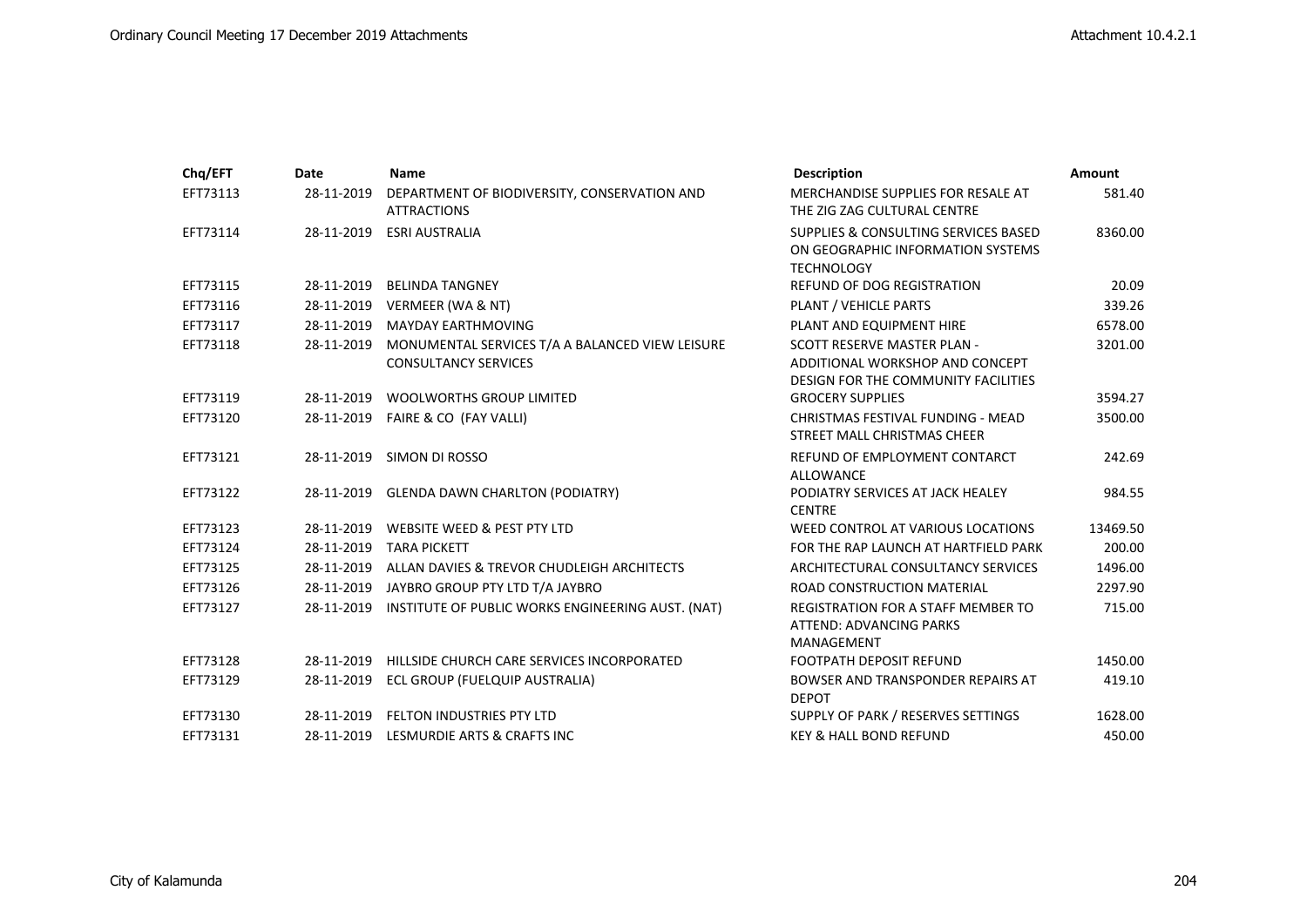| Chq/EFT  | Date       | <b>Name</b>                                       | <b>Description</b>                         | <b>Amount</b> |
|----------|------------|---------------------------------------------------|--------------------------------------------|---------------|
| EFT73113 | 28-11-2019 | DEPARTMENT OF BIODIVERSITY, CONSERVATION AND      | MERCHANDISE SUPPLIES FOR RESALE AT         | 581.40        |
|          |            | <b>ATTRACTIONS</b>                                | THE ZIG ZAG CULTURAL CENTRE                |               |
| EFT73114 | 28-11-2019 | <b>ESRI AUSTRALIA</b>                             | SUPPLIES & CONSULTING SERVICES BASED       | 8360.00       |
|          |            |                                                   | ON GEOGRAPHIC INFORMATION SYSTEMS          |               |
|          |            |                                                   | <b>TECHNOLOGY</b>                          |               |
| EFT73115 | 28-11-2019 | <b>BELINDA TANGNEY</b>                            | <b>REFUND OF DOG REGISTRATION</b>          | 20.09         |
| EFT73116 | 28-11-2019 | <b>VERMEER (WA &amp; NT)</b>                      | PLANT / VEHICLE PARTS                      | 339.26        |
| EFT73117 | 28-11-2019 | <b>MAYDAY EARTHMOVING</b>                         | PLANT AND EQUIPMENT HIRE                   | 6578.00       |
| EFT73118 | 28-11-2019 | MONUMENTAL SERVICES T/A A BALANCED VIEW LEISURE   | SCOTT RESERVE MASTER PLAN -                | 3201.00       |
|          |            | <b>CONSULTANCY SERVICES</b>                       | ADDITIONAL WORKSHOP AND CONCEPT            |               |
|          |            |                                                   | <b>DESIGN FOR THE COMMUNITY FACILITIES</b> |               |
| EFT73119 | 28-11-2019 | <b>WOOLWORTHS GROUP LIMITED</b>                   | <b>GROCERY SUPPLIES</b>                    | 3594.27       |
| EFT73120 | 28-11-2019 | FAIRE & CO (FAY VALLI)                            | CHRISTMAS FESTIVAL FUNDING - MEAD          | 3500.00       |
|          |            |                                                   | STREET MALL CHRISTMAS CHEER                |               |
| EFT73121 | 28-11-2019 | SIMON DI ROSSO                                    | REFUND OF EMPLOYMENT CONTARCT              | 242.69        |
|          |            |                                                   | <b>ALLOWANCE</b>                           |               |
| EFT73122 | 28-11-2019 | <b>GLENDA DAWN CHARLTON (PODIATRY)</b>            | PODIATRY SERVICES AT JACK HEALEY           | 984.55        |
|          |            |                                                   | <b>CENTRE</b>                              |               |
| EFT73123 | 28-11-2019 | WEBSITE WEED & PEST PTY LTD                       | WEED CONTROL AT VARIOUS LOCATIONS          | 13469.50      |
| EFT73124 | 28-11-2019 | <b>TARA PICKETT</b>                               | FOR THE RAP LAUNCH AT HARTFIELD PARK       | 200.00        |
| EFT73125 | 28-11-2019 | ALLAN DAVIES & TREVOR CHUDLEIGH ARCHITECTS        | ARCHITECTURAL CONSULTANCY SERVICES         | 1496.00       |
| EFT73126 | 28-11-2019 | JAYBRO GROUP PTY LTD T/A JAYBRO                   | ROAD CONSTRUCTION MATERIAL                 | 2297.90       |
| EFT73127 | 28-11-2019 | INSTITUTE OF PUBLIC WORKS ENGINEERING AUST. (NAT) | <b>REGISTRATION FOR A STAFF MEMBER TO</b>  | 715.00        |
|          |            |                                                   | ATTEND: ADVANCING PARKS                    |               |
|          |            |                                                   | MANAGEMENT                                 |               |
| EFT73128 | 28-11-2019 | HILLSIDE CHURCH CARE SERVICES INCORPORATED        | <b>FOOTPATH DEPOSIT REFUND</b>             | 1450.00       |
| EFT73129 | 28-11-2019 | ECL GROUP (FUELQUIP AUSTRALIA)                    | BOWSER AND TRANSPONDER REPAIRS AT          | 419.10        |
|          |            |                                                   | <b>DEPOT</b>                               |               |
| EFT73130 | 28-11-2019 | <b>FELTON INDUSTRIES PTY LTD</b>                  | SUPPLY OF PARK / RESERVES SETTINGS         | 1628.00       |
| EFT73131 | 28-11-2019 | LESMURDIE ARTS & CRAFTS INC                       | <b>KEY &amp; HALL BOND REFUND</b>          | 450.00        |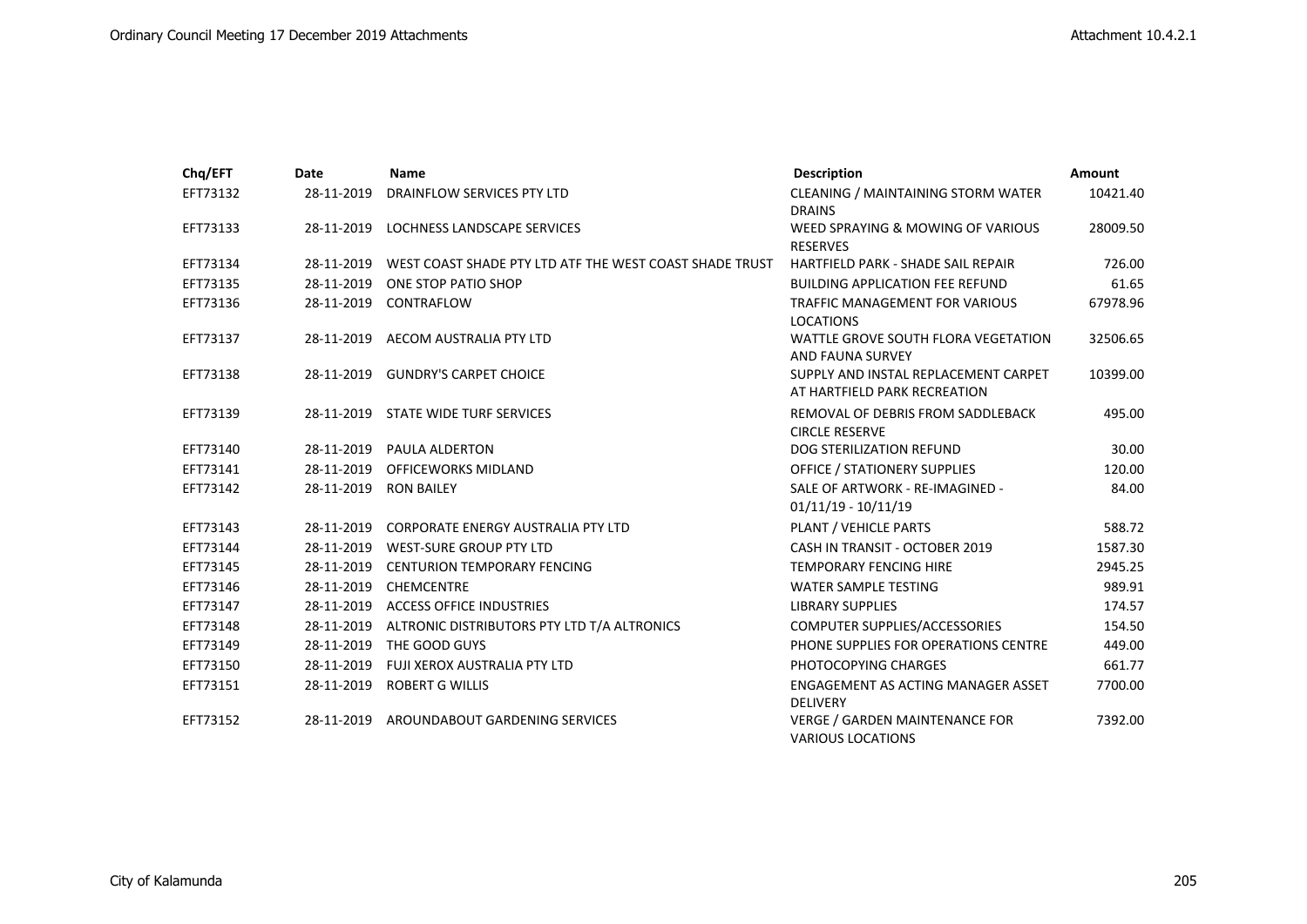| Chq/EFT  | Date       | <b>Name</b>                                             | <b>Description</b>                     | <b>Amount</b> |
|----------|------------|---------------------------------------------------------|----------------------------------------|---------------|
| EFT73132 | 28-11-2019 | DRAINFLOW SERVICES PTY LTD                              | CLEANING / MAINTAINING STORM WATER     | 10421.40      |
|          |            |                                                         | <b>DRAINS</b>                          |               |
| EFT73133 | 28-11-2019 | LOCHNESS LANDSCAPE SERVICES                             | WEED SPRAYING & MOWING OF VARIOUS      | 28009.50      |
|          |            |                                                         | <b>RESERVES</b>                        |               |
| EFT73134 | 28-11-2019 | WEST COAST SHADE PTY LTD ATF THE WEST COAST SHADE TRUST | HARTFIELD PARK - SHADE SAIL REPAIR     | 726.00        |
| EFT73135 | 28-11-2019 | ONE STOP PATIO SHOP                                     | <b>BUILDING APPLICATION FEE REFUND</b> | 61.65         |
| EFT73136 | 28-11-2019 | CONTRAFLOW                                              | <b>TRAFFIC MANAGEMENT FOR VARIOUS</b>  | 67978.96      |
|          |            |                                                         | <b>LOCATIONS</b>                       |               |
| EFT73137 | 28-11-2019 | AECOM AUSTRALIA PTY LTD                                 | WATTLE GROVE SOUTH FLORA VEGETATION    | 32506.65      |
|          |            |                                                         | AND FAUNA SURVEY                       |               |
| EFT73138 |            | 28-11-2019 GUNDRY'S CARPET CHOICE                       | SUPPLY AND INSTAL REPLACEMENT CARPET   | 10399.00      |
|          |            |                                                         | AT HARTFIELD PARK RECREATION           |               |
| EFT73139 | 28-11-2019 | STATE WIDE TURF SERVICES                                | REMOVAL OF DEBRIS FROM SADDLEBACK      | 495.00        |
|          |            |                                                         | <b>CIRCLE RESERVE</b>                  |               |
| EFT73140 | 28-11-2019 | <b>PAULA ALDERTON</b>                                   | DOG STERILIZATION REFUND               | 30.00         |
| EFT73141 | 28-11-2019 | <b>OFFICEWORKS MIDLAND</b>                              | <b>OFFICE / STATIONERY SUPPLIES</b>    | 120.00        |
| EFT73142 | 28-11-2019 | <b>RON BAILEY</b>                                       | SALE OF ARTWORK - RE-IMAGINED -        | 84.00         |
|          |            |                                                         | $01/11/19 - 10/11/19$                  |               |
| EFT73143 | 28-11-2019 | <b>CORPORATE ENERGY AUSTRALIA PTY LTD</b>               | PLANT / VEHICLE PARTS                  | 588.72        |
| EFT73144 | 28-11-2019 | WEST-SURE GROUP PTY LTD                                 | CASH IN TRANSIT - OCTOBER 2019         | 1587.30       |
| EFT73145 | 28-11-2019 | <b>CENTURION TEMPORARY FENCING</b>                      | <b>TEMPORARY FENCING HIRE</b>          | 2945.25       |
| EFT73146 | 28-11-2019 | <b>CHEMCENTRE</b>                                       | <b>WATER SAMPLE TESTING</b>            | 989.91        |
| EFT73147 | 28-11-2019 | <b>ACCESS OFFICE INDUSTRIES</b>                         | <b>LIBRARY SUPPLIES</b>                | 174.57        |
| EFT73148 | 28-11-2019 | ALTRONIC DISTRIBUTORS PTY LTD T/A ALTRONICS             | COMPUTER SUPPLIES/ACCESSORIES          | 154.50        |
| EFT73149 | 28-11-2019 | THE GOOD GUYS                                           | PHONE SUPPLIES FOR OPERATIONS CENTRE   | 449.00        |
| EFT73150 | 28-11-2019 | FUJI XEROX AUSTRALIA PTY LTD                            | PHOTOCOPYING CHARGES                   | 661.77        |
| EFT73151 | 28-11-2019 | <b>ROBERT G WILLIS</b>                                  | ENGAGEMENT AS ACTING MANAGER ASSET     | 7700.00       |
|          |            |                                                         | <b>DELIVERY</b>                        |               |
| EFT73152 | 28-11-2019 | AROUNDABOUT GARDENING SERVICES                          | <b>VERGE / GARDEN MAINTENANCE FOR</b>  | 7392.00       |
|          |            |                                                         | <b>VARIOUS LOCATIONS</b>               |               |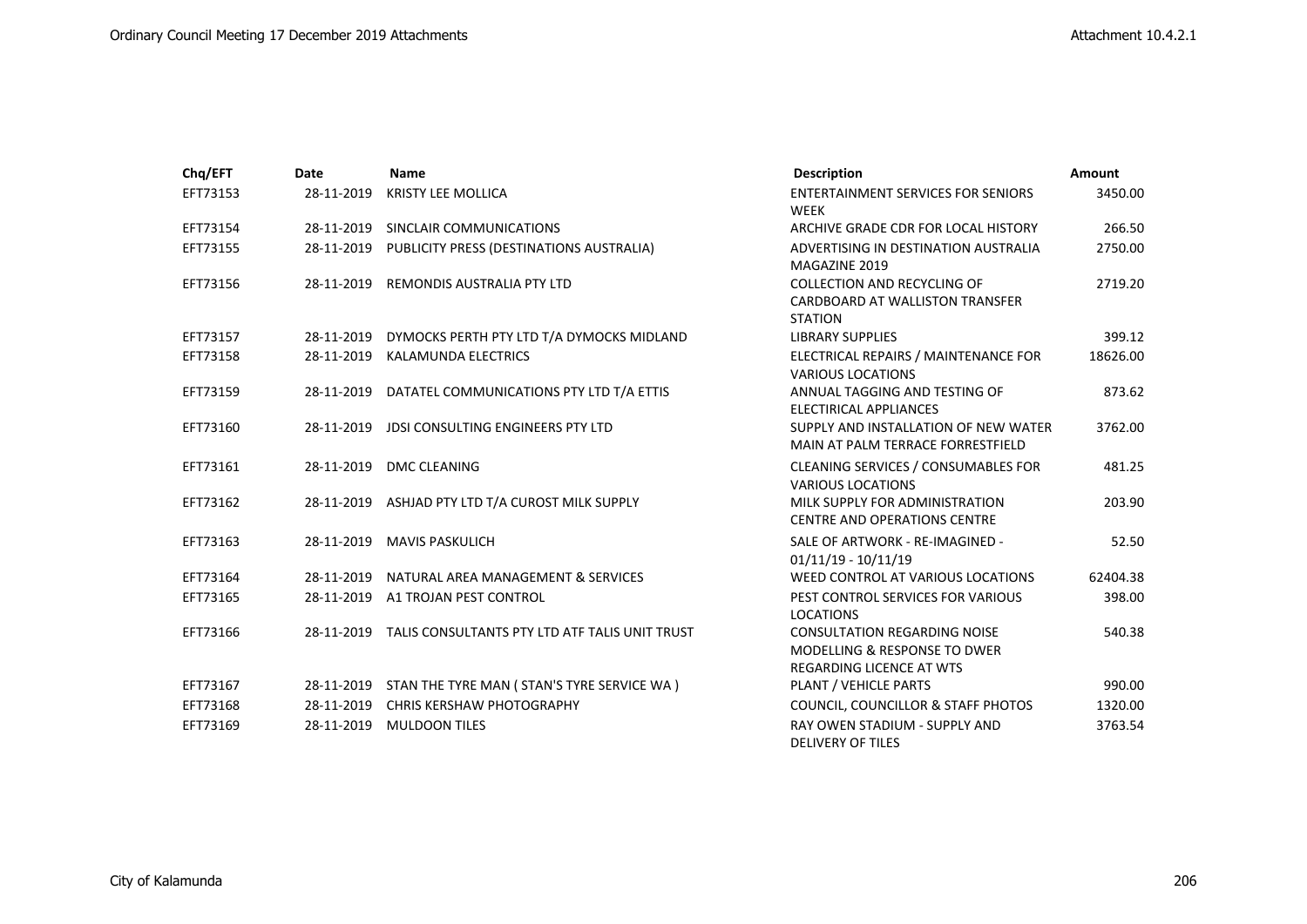| Chq/EFT  | Date       | <b>Name</b>                                           | <b>Description</b>                                                                                                | <b>Amount</b> |
|----------|------------|-------------------------------------------------------|-------------------------------------------------------------------------------------------------------------------|---------------|
| EFT73153 | 28-11-2019 | <b>KRISTY LEE MOLLICA</b>                             | <b>ENTERTAINMENT SERVICES FOR SENIORS</b><br><b>WEEK</b>                                                          | 3450.00       |
| EFT73154 | 28-11-2019 | SINCLAIR COMMUNICATIONS                               | ARCHIVE GRADE CDR FOR LOCAL HISTORY                                                                               | 266.50        |
| EFT73155 | 28-11-2019 | PUBLICITY PRESS (DESTINATIONS AUSTRALIA)              | ADVERTISING IN DESTINATION AUSTRALIA<br>MAGAZINE 2019                                                             | 2750.00       |
| EFT73156 | 28-11-2019 | REMONDIS AUSTRALIA PTY LTD                            | <b>COLLECTION AND RECYCLING OF</b><br><b>CARDBOARD AT WALLISTON TRANSFER</b><br><b>STATION</b>                    | 2719.20       |
| EFT73157 | 28-11-2019 | DYMOCKS PERTH PTY LTD T/A DYMOCKS MIDLAND             | <b>LIBRARY SUPPLIES</b>                                                                                           | 399.12        |
| EFT73158 | 28-11-2019 | <b>KALAMUNDA ELECTRICS</b>                            | ELECTRICAL REPAIRS / MAINTENANCE FOR<br><b>VARIOUS LOCATIONS</b>                                                  | 18626.00      |
| EFT73159 |            | 28-11-2019 DATATEL COMMUNICATIONS PTY LTD T/A ETTIS   | ANNUAL TAGGING AND TESTING OF<br>ELECTIRICAL APPLIANCES                                                           | 873.62        |
| EFT73160 | 28-11-2019 | JDSI CONSULTING ENGINEERS PTY LTD                     | SUPPLY AND INSTALLATION OF NEW WATER<br>MAIN AT PALM TERRACE FORRESTFIELD                                         | 3762.00       |
| EFT73161 | 28-11-2019 | <b>DMC CLEANING</b>                                   | CLEANING SERVICES / CONSUMABLES FOR<br><b>VARIOUS LOCATIONS</b>                                                   | 481.25        |
| EFT73162 |            | 28-11-2019 ASHJAD PTY LTD T/A CUROST MILK SUPPLY      | MILK SUPPLY FOR ADMINISTRATION<br><b>CENTRE AND OPERATIONS CENTRE</b>                                             | 203.90        |
| EFT73163 | 28-11-2019 | <b>MAVIS PASKULICH</b>                                | SALE OF ARTWORK - RE-IMAGINED -<br>$01/11/19 - 10/11/19$                                                          | 52.50         |
| EFT73164 | 28-11-2019 | NATURAL AREA MANAGEMENT & SERVICES                    | WEED CONTROL AT VARIOUS LOCATIONS                                                                                 | 62404.38      |
| EFT73165 | 28-11-2019 | A1 TROJAN PEST CONTROL                                | PEST CONTROL SERVICES FOR VARIOUS<br><b>LOCATIONS</b>                                                             | 398.00        |
| EFT73166 | 28-11-2019 | TALIS CONSULTANTS PTY LTD ATF TALIS UNIT TRUST        | <b>CONSULTATION REGARDING NOISE</b><br><b>MODELLING &amp; RESPONSE TO DWER</b><br><b>REGARDING LICENCE AT WTS</b> | 540.38        |
| EFT73167 |            | 28-11-2019 STAN THE TYRE MAN (STAN'S TYRE SERVICE WA) | PLANT / VEHICLE PARTS                                                                                             | 990.00        |
| EFT73168 | 28-11-2019 | CHRIS KERSHAW PHOTOGRAPHY                             | COUNCIL, COUNCILLOR & STAFF PHOTOS                                                                                | 1320.00       |
| EFT73169 | 28-11-2019 | <b>MULDOON TILES</b>                                  | <b>RAY OWEN STADIUM - SUPPLY AND</b><br><b>DELIVERY OF TILES</b>                                                  | 3763.54       |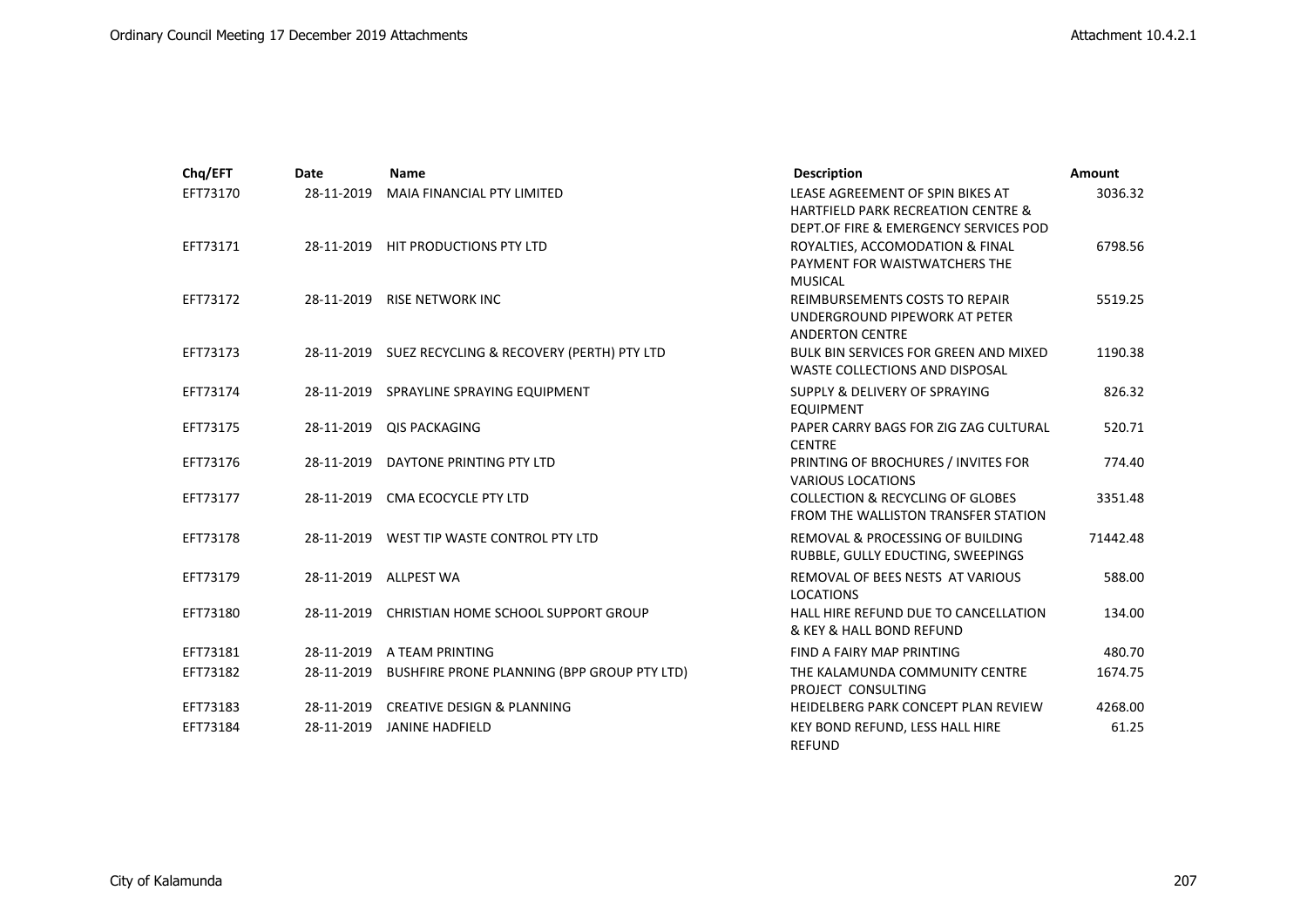| Chq/EFT  | Date       | <b>Name</b>                                          | <b>Description</b>                                                                        | <b>Amount</b> |
|----------|------------|------------------------------------------------------|-------------------------------------------------------------------------------------------|---------------|
| EFT73170 | 28-11-2019 | <b>MAIA FINANCIAL PTY LIMITED</b>                    | LEASE AGREEMENT OF SPIN BIKES AT<br><b>HARTFIELD PARK RECREATION CENTRE &amp;</b>         | 3036.32       |
|          |            |                                                      | DEPT.OF FIRE & EMERGENCY SERVICES POD                                                     |               |
| EFT73171 |            | 28-11-2019 HIT PRODUCTIONS PTY LTD                   | ROYALTIES, ACCOMODATION & FINAL                                                           | 6798.56       |
|          |            |                                                      | PAYMENT FOR WAISTWATCHERS THE<br><b>MUSICAL</b>                                           |               |
| EFT73172 | 28-11-2019 | <b>RISE NETWORK INC</b>                              | REIMBURSEMENTS COSTS TO REPAIR<br>UNDERGROUND PIPEWORK AT PETER<br><b>ANDERTON CENTRE</b> | 5519.25       |
| EFT73173 |            | 28-11-2019 SUEZ RECYCLING & RECOVERY (PERTH) PTY LTD | BULK BIN SERVICES FOR GREEN AND MIXED<br>WASTE COLLECTIONS AND DISPOSAL                   | 1190.38       |
| EFT73174 |            | 28-11-2019 SPRAYLINE SPRAYING EQUIPMENT              | SUPPLY & DELIVERY OF SPRAYING<br><b>EQUIPMENT</b>                                         | 826.32        |
| EFT73175 | 28-11-2019 | <b>QIS PACKAGING</b>                                 | PAPER CARRY BAGS FOR ZIG ZAG CULTURAL<br><b>CENTRE</b>                                    | 520.71        |
| EFT73176 | 28-11-2019 | DAYTONE PRINTING PTY LTD                             | PRINTING OF BROCHURES / INVITES FOR<br><b>VARIOUS LOCATIONS</b>                           | 774.40        |
| EFT73177 | 28-11-2019 | CMA ECOCYCLE PTY LTD                                 | <b>COLLECTION &amp; RECYCLING OF GLOBES</b><br>FROM THE WALLISTON TRANSFER STATION        | 3351.48       |
| EFT73178 |            | 28-11-2019 WEST TIP WASTE CONTROL PTY LTD            | REMOVAL & PROCESSING OF BUILDING<br>RUBBLE, GULLY EDUCTING, SWEEPINGS                     | 71442.48      |
| EFT73179 | 28-11-2019 | <b>ALLPEST WA</b>                                    | REMOVAL OF BEES NESTS AT VARIOUS<br><b>LOCATIONS</b>                                      | 588.00        |
| EFT73180 |            | 28-11-2019 CHRISTIAN HOME SCHOOL SUPPORT GROUP       | HALL HIRE REFUND DUE TO CANCELLATION<br>& KEY & HALL BOND REFUND                          | 134.00        |
| EFT73181 | 28-11-2019 | A TEAM PRINTING                                      | FIND A FAIRY MAP PRINTING                                                                 | 480.70        |
| EFT73182 | 28-11-2019 | BUSHFIRE PRONE PLANNING (BPP GROUP PTY LTD)          | THE KALAMUNDA COMMUNITY CENTRE<br>PROJECT CONSULTING                                      | 1674.75       |
| EFT73183 | 28-11-2019 | <b>CREATIVE DESIGN &amp; PLANNING</b>                | HEIDELBERG PARK CONCEPT PLAN REVIEW                                                       | 4268.00       |
| EFT73184 | 28-11-2019 | JANINE HADFIELD                                      | KEY BOND REFUND, LESS HALL HIRE<br><b>REFUND</b>                                          | 61.25         |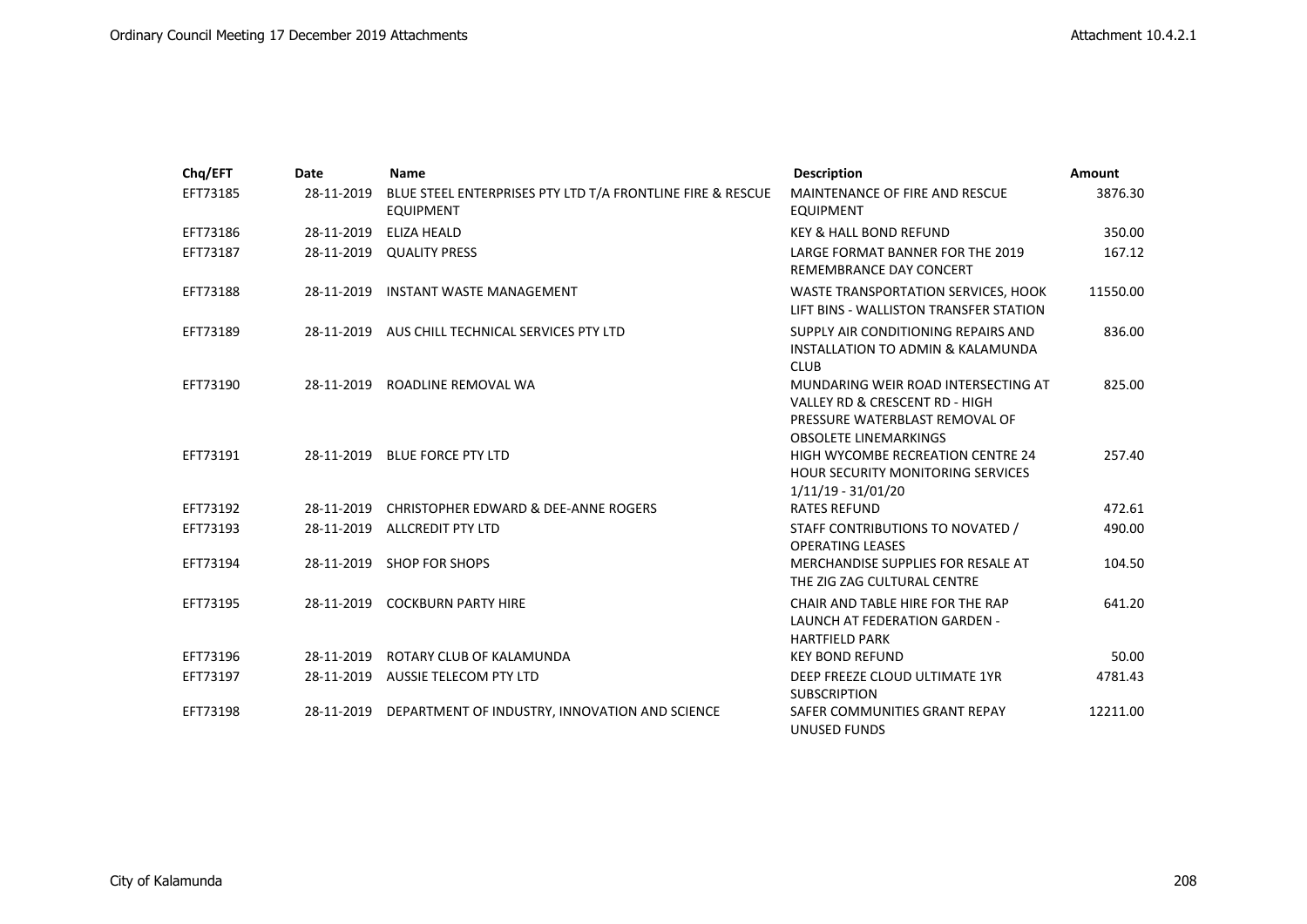| Chq/EFT  | <b>Date</b> | <b>Name</b>                                                                    | <b>Description</b>                                                                                                                      | <b>Amount</b> |
|----------|-------------|--------------------------------------------------------------------------------|-----------------------------------------------------------------------------------------------------------------------------------------|---------------|
| EFT73185 | 28-11-2019  | BLUE STEEL ENTERPRISES PTY LTD T/A FRONTLINE FIRE & RESCUE<br><b>EQUIPMENT</b> | MAINTENANCE OF FIRE AND RESCUE<br><b>EQUIPMENT</b>                                                                                      | 3876.30       |
| EFT73186 | 28-11-2019  | <b>ELIZA HEALD</b>                                                             | <b>KEY &amp; HALL BOND REFUND</b>                                                                                                       | 350.00        |
| EFT73187 |             | 28-11-2019 QUALITY PRESS                                                       | LARGE FORMAT BANNER FOR THE 2019<br>REMEMBRANCE DAY CONCERT                                                                             | 167.12        |
| EFT73188 | 28-11-2019  | <b>INSTANT WASTE MANAGEMENT</b>                                                | WASTE TRANSPORTATION SERVICES, HOOK<br>LIFT BINS - WALLISTON TRANSFER STATION                                                           | 11550.00      |
| EFT73189 |             | 28-11-2019 AUS CHILL TECHNICAL SERVICES PTY LTD                                | SUPPLY AIR CONDITIONING REPAIRS AND<br>INSTALLATION TO ADMIN & KALAMUNDA<br><b>CLUB</b>                                                 | 836.00        |
| EFT73190 | 28-11-2019  | ROADLINE REMOVAL WA                                                            | MUNDARING WEIR ROAD INTERSECTING AT<br>VALLEY RD & CRESCENT RD - HIGH<br>PRESSURE WATERBLAST REMOVAL OF<br><b>OBSOLETE LINEMARKINGS</b> | 825.00        |
| EFT73191 |             | 28-11-2019 BLUE FORCE PTY LTD                                                  | <b>HIGH WYCOMBE RECREATION CENTRE 24</b><br><b>HOUR SECURITY MONITORING SERVICES</b><br>$1/11/19 - 31/01/20$                            | 257.40        |
| EFT73192 | 28-11-2019  | <b>CHRISTOPHER EDWARD &amp; DEE-ANNE ROGERS</b>                                | <b>RATES REFUND</b>                                                                                                                     | 472.61        |
| EFT73193 |             | 28-11-2019 ALLCREDIT PTY LTD                                                   | STAFF CONTRIBUTIONS TO NOVATED /<br><b>OPERATING LEASES</b>                                                                             | 490.00        |
| EFT73194 | 28-11-2019  | <b>SHOP FOR SHOPS</b>                                                          | MERCHANDISE SUPPLIES FOR RESALE AT<br>THE ZIG ZAG CULTURAL CENTRE                                                                       | 104.50        |
| EFT73195 |             | 28-11-2019 COCKBURN PARTY HIRE                                                 | CHAIR AND TABLE HIRE FOR THE RAP<br><b>LAUNCH AT FEDERATION GARDEN -</b><br><b>HARTFIELD PARK</b>                                       | 641.20        |
| EFT73196 | 28-11-2019  | ROTARY CLUB OF KALAMUNDA                                                       | <b>KEY BOND REFUND</b>                                                                                                                  | 50.00         |
| EFT73197 |             | 28-11-2019 AUSSIE TELECOM PTY LTD                                              | DEEP FREEZE CLOUD ULTIMATE 1YR<br><b>SUBSCRIPTION</b>                                                                                   | 4781.43       |
| EFT73198 | 28-11-2019  | DEPARTMENT OF INDUSTRY, INNOVATION AND SCIENCE                                 | SAFER COMMUNITIES GRANT REPAY<br>UNUSED FUNDS                                                                                           | 12211.00      |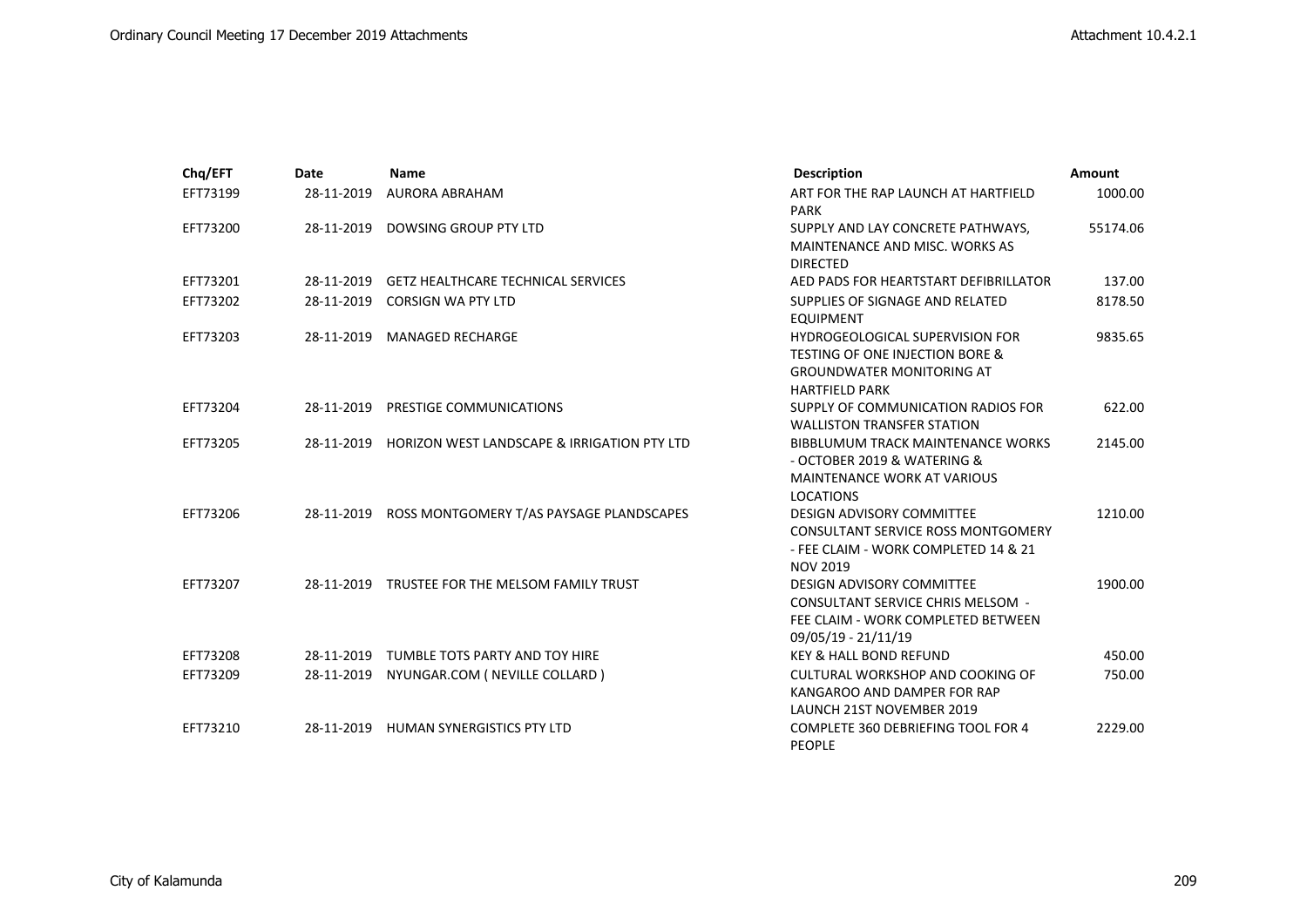| Chq/EFT  | Date       | <b>Name</b>                                            | <b>Description</b>                                                                                                                                | <b>Amount</b> |
|----------|------------|--------------------------------------------------------|---------------------------------------------------------------------------------------------------------------------------------------------------|---------------|
| EFT73199 | 28-11-2019 | AURORA ABRAHAM                                         | ART FOR THE RAP LAUNCH AT HARTFIELD<br><b>PARK</b>                                                                                                | 1000.00       |
| EFT73200 | 28-11-2019 | DOWSING GROUP PTY LTD                                  | SUPPLY AND LAY CONCRETE PATHWAYS,<br>MAINTENANCE AND MISC. WORKS AS<br><b>DIRECTED</b>                                                            | 55174.06      |
| EFT73201 | 28-11-2019 | <b>GETZ HEALTHCARE TECHNICAL SERVICES</b>              | AED PADS FOR HEARTSTART DEFIBRILLATOR                                                                                                             | 137.00        |
| EFT73202 | 28-11-2019 | <b>CORSIGN WA PTY LTD</b>                              | SUPPLIES OF SIGNAGE AND RELATED<br><b>EQUIPMENT</b>                                                                                               | 8178.50       |
| EFT73203 | 28-11-2019 | <b>MANAGED RECHARGE</b>                                | <b>HYDROGEOLOGICAL SUPERVISION FOR</b><br><b>TESTING OF ONE INJECTION BORE &amp;</b><br><b>GROUNDWATER MONITORING AT</b><br><b>HARTFIELD PARK</b> | 9835.65       |
| EFT73204 | 28-11-2019 | PRESTIGE COMMUNICATIONS                                | SUPPLY OF COMMUNICATION RADIOS FOR<br><b>WALLISTON TRANSFER STATION</b>                                                                           | 622.00        |
| EFT73205 |            | 28-11-2019 HORIZON WEST LANDSCAPE & IRRIGATION PTY LTD | <b>BIBBLUMUM TRACK MAINTENANCE WORKS</b><br>- OCTOBER 2019 & WATERING &<br><b>MAINTENANCE WORK AT VARIOUS</b><br><b>LOCATIONS</b>                 | 2145.00       |
| EFT73206 | 28-11-2019 | ROSS MONTGOMERY T/AS PAYSAGE PLANDSCAPES               | <b>DESIGN ADVISORY COMMITTEE</b><br>CONSULTANT SERVICE ROSS MONTGOMERY<br>- FEE CLAIM - WORK COMPLETED 14 & 21<br><b>NOV 2019</b>                 | 1210.00       |
| EFT73207 |            | 28-11-2019 TRUSTEE FOR THE MELSOM FAMILY TRUST         | <b>DESIGN ADVISORY COMMITTEE</b><br><b>CONSULTANT SERVICE CHRIS MELSOM -</b><br>FEE CLAIM - WORK COMPLETED BETWEEN<br>09/05/19 - 21/11/19         | 1900.00       |
| EFT73208 | 28-11-2019 | TUMBLE TOTS PARTY AND TOY HIRE                         | <b>KEY &amp; HALL BOND REFUND</b>                                                                                                                 | 450.00        |
| EFT73209 | 28-11-2019 | NYUNGAR.COM ( NEVILLE COLLARD )                        | <b>CULTURAL WORKSHOP AND COOKING OF</b><br>KANGAROO AND DAMPER FOR RAP<br><b>LAUNCH 21ST NOVEMBER 2019</b>                                        | 750.00        |
| EFT73210 | 28-11-2019 | <b>HUMAN SYNERGISTICS PTY LTD</b>                      | <b>COMPLETE 360 DEBRIEFING TOOL FOR 4</b><br><b>PEOPLE</b>                                                                                        | 2229.00       |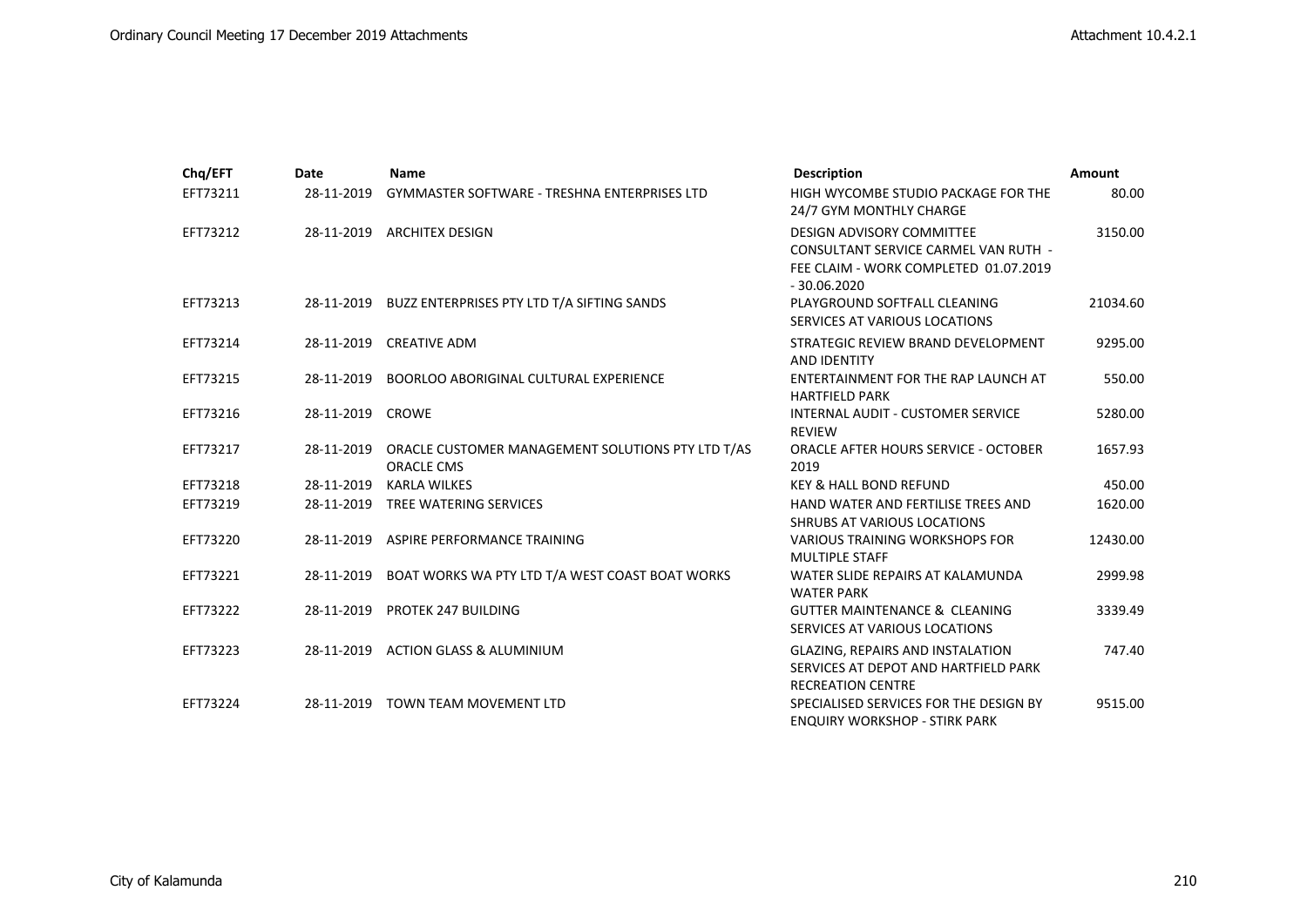| Chq/EFT  | <b>Date</b>      | <b>Name</b>                                                            | <b>Description</b>                                                                                                                        | Amount   |
|----------|------------------|------------------------------------------------------------------------|-------------------------------------------------------------------------------------------------------------------------------------------|----------|
| EFT73211 | 28-11-2019       | <b>GYMMASTER SOFTWARE - TRESHNA ENTERPRISES LTD</b>                    | HIGH WYCOMBE STUDIO PACKAGE FOR THE<br>24/7 GYM MONTHLY CHARGE                                                                            | 80.00    |
| EFT73212 | 28-11-2019       | <b>ARCHITEX DESIGN</b>                                                 | <b>DESIGN ADVISORY COMMITTEE</b><br><b>CONSULTANT SERVICE CARMEL VAN RUTH -</b><br>FEE CLAIM - WORK COMPLETED 01.07.2019<br>$-30.06.2020$ | 3150.00  |
| EFT73213 |                  | 28-11-2019 BUZZ ENTERPRISES PTY LTD T/A SIFTING SANDS                  | PLAYGROUND SOFTFALL CLEANING<br>SERVICES AT VARIOUS LOCATIONS                                                                             | 21034.60 |
| EFT73214 | 28-11-2019       | <b>CREATIVE ADM</b>                                                    | STRATEGIC REVIEW BRAND DEVELOPMENT<br><b>AND IDENTITY</b>                                                                                 | 9295.00  |
| EFT73215 | 28-11-2019       | BOORLOO ABORIGINAL CULTURAL EXPERIENCE                                 | ENTERTAINMENT FOR THE RAP LAUNCH AT<br><b>HARTFIELD PARK</b>                                                                              | 550.00   |
| EFT73216 | 28-11-2019 CROWE |                                                                        | <b>INTERNAL AUDIT - CUSTOMER SERVICE</b><br><b>REVIEW</b>                                                                                 | 5280.00  |
| EFT73217 | 28-11-2019       | ORACLE CUSTOMER MANAGEMENT SOLUTIONS PTY LTD T/AS<br><b>ORACLE CMS</b> | <b>ORACLE AFTER HOURS SERVICE - OCTOBER</b><br>2019                                                                                       | 1657.93  |
| EFT73218 | 28-11-2019       | <b>KARLA WILKES</b>                                                    | <b>KEY &amp; HALL BOND REFUND</b>                                                                                                         | 450.00   |
| EFT73219 | 28-11-2019       | TREE WATERING SERVICES                                                 | HAND WATER AND FERTILISE TREES AND<br>SHRUBS AT VARIOUS LOCATIONS                                                                         | 1620.00  |
| EFT73220 |                  | 28-11-2019 ASPIRE PERFORMANCE TRAINING                                 | <b>VARIOUS TRAINING WORKSHOPS FOR</b><br><b>MULTIPLE STAFF</b>                                                                            | 12430.00 |
| EFT73221 | 28-11-2019       | BOAT WORKS WA PTY LTD T/A WEST COAST BOAT WORKS                        | WATER SLIDE REPAIRS AT KALAMUNDA<br><b>WATER PARK</b>                                                                                     | 2999.98  |
| EFT73222 |                  | 28-11-2019 PROTEK 247 BUILDING                                         | <b>GUTTER MAINTENANCE &amp; CLEANING</b><br>SERVICES AT VARIOUS LOCATIONS                                                                 | 3339.49  |
| EFT73223 | 28-11-2019       | <b>ACTION GLASS &amp; ALUMINIUM</b>                                    | <b>GLAZING, REPAIRS AND INSTALATION</b><br>SERVICES AT DEPOT AND HARTFIELD PARK<br><b>RECREATION CENTRE</b>                               | 747.40   |
| EFT73224 | 28-11-2019       | <b>TOWN TEAM MOVEMENT LTD</b>                                          | SPECIALISED SERVICES FOR THE DESIGN BY<br><b>ENQUIRY WORKSHOP - STIRK PARK</b>                                                            | 9515.00  |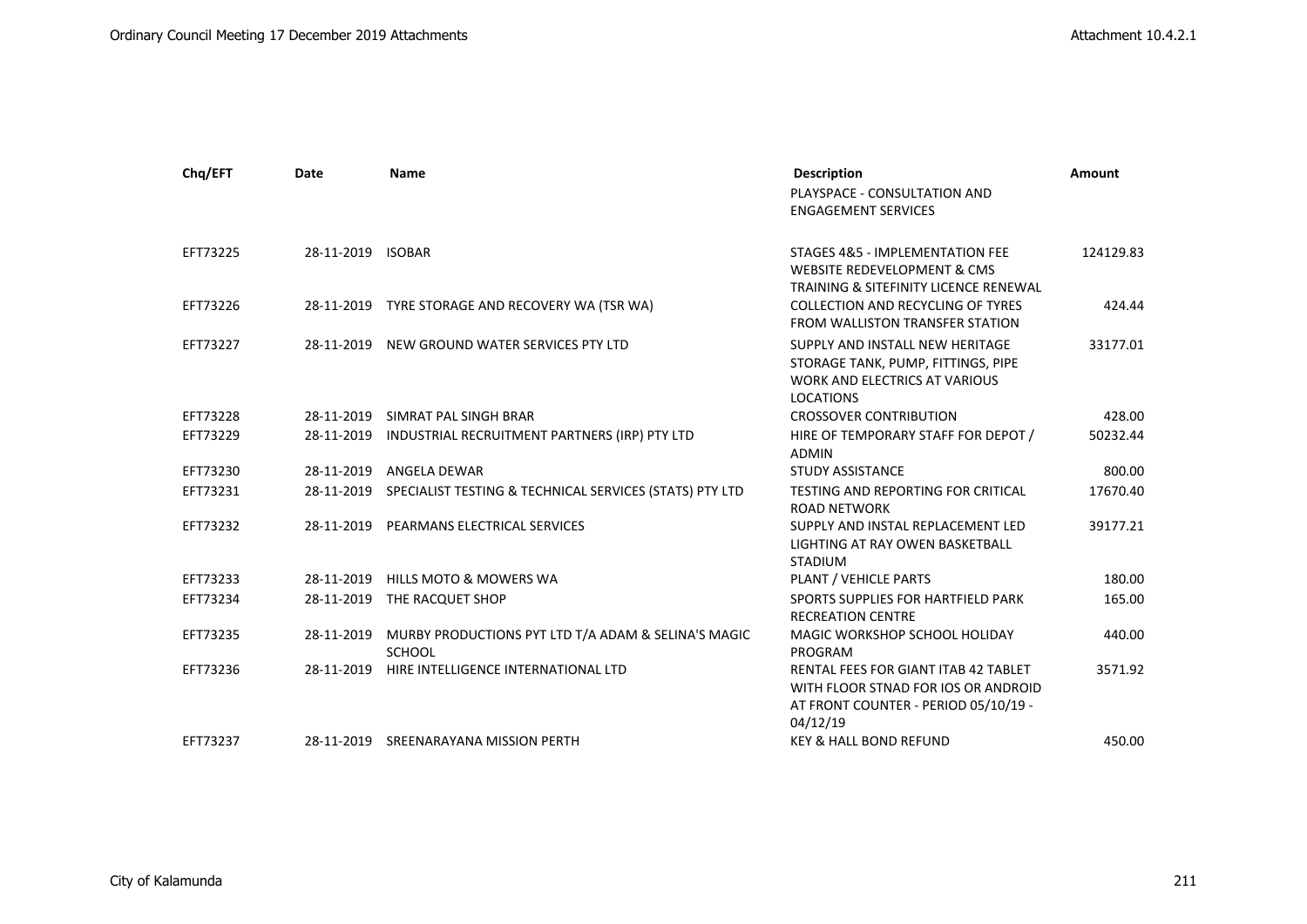| Chq/EFT  | Date              | <b>Name</b>                                                          | <b>Description</b><br>PLAYSPACE - CONSULTATION AND<br><b>ENGAGEMENT SERVICES</b>                                                | <b>Amount</b> |
|----------|-------------------|----------------------------------------------------------------------|---------------------------------------------------------------------------------------------------------------------------------|---------------|
| EFT73225 | 28-11-2019 ISOBAR |                                                                      | STAGES 4&5 - IMPLEMENTATION FEE<br><b>WEBSITE REDEVELOPMENT &amp; CMS</b><br>TRAINING & SITEFINITY LICENCE RENEWAL              | 124129.83     |
| EFT73226 |                   | 28-11-2019 TYRE STORAGE AND RECOVERY WA (TSR WA)                     | <b>COLLECTION AND RECYCLING OF TYRES</b><br><b>FROM WALLISTON TRANSFER STATION</b>                                              | 424.44        |
| EFT73227 | 28-11-2019        | NEW GROUND WATER SERVICES PTY LTD                                    | SUPPLY AND INSTALL NEW HERITAGE<br>STORAGE TANK, PUMP, FITTINGS, PIPE<br>WORK AND ELECTRICS AT VARIOUS<br><b>LOCATIONS</b>      | 33177.01      |
| EFT73228 | 28-11-2019        | SIMRAT PAL SINGH BRAR                                                | <b>CROSSOVER CONTRIBUTION</b>                                                                                                   | 428.00        |
| EFT73229 | 28-11-2019        | INDUSTRIAL RECRUITMENT PARTNERS (IRP) PTY LTD                        | HIRE OF TEMPORARY STAFF FOR DEPOT /<br><b>ADMIN</b>                                                                             | 50232.44      |
| EFT73230 | 28-11-2019        | ANGELA DEWAR                                                         | <b>STUDY ASSISTANCE</b>                                                                                                         | 800.00        |
| EFT73231 | 28-11-2019        | SPECIALIST TESTING & TECHNICAL SERVICES (STATS) PTY LTD              | TESTING AND REPORTING FOR CRITICAL<br><b>ROAD NETWORK</b>                                                                       | 17670.40      |
| EFT73232 | 28-11-2019        | PEARMANS ELECTRICAL SERVICES                                         | SUPPLY AND INSTAL REPLACEMENT LED<br>LIGHTING AT RAY OWEN BASKETBALL<br><b>STADIUM</b>                                          | 39177.21      |
| EFT73233 | 28-11-2019        | <b>HILLS MOTO &amp; MOWERS WA</b>                                    | PLANT / VEHICLE PARTS                                                                                                           | 180.00        |
| EFT73234 | 28-11-2019        | THE RACQUET SHOP                                                     | SPORTS SUPPLIES FOR HARTFIELD PARK<br><b>RECREATION CENTRE</b>                                                                  | 165.00        |
| EFT73235 | 28-11-2019        | MURBY PRODUCTIONS PYT LTD T/A ADAM & SELINA'S MAGIC<br><b>SCHOOL</b> | MAGIC WORKSHOP SCHOOL HOLIDAY<br>PROGRAM                                                                                        | 440.00        |
| EFT73236 | 28-11-2019        | HIRE INTELLIGENCE INTERNATIONAL LTD                                  | RENTAL FEES FOR GIANT ITAB 42 TABLET<br>WITH FLOOR STNAD FOR IOS OR ANDROID<br>AT FRONT COUNTER - PERIOD 05/10/19 -<br>04/12/19 | 3571.92       |
| EFT73237 | 28-11-2019        | SREENARAYANA MISSION PERTH                                           | <b>KEY &amp; HALL BOND REFUND</b>                                                                                               | 450.00        |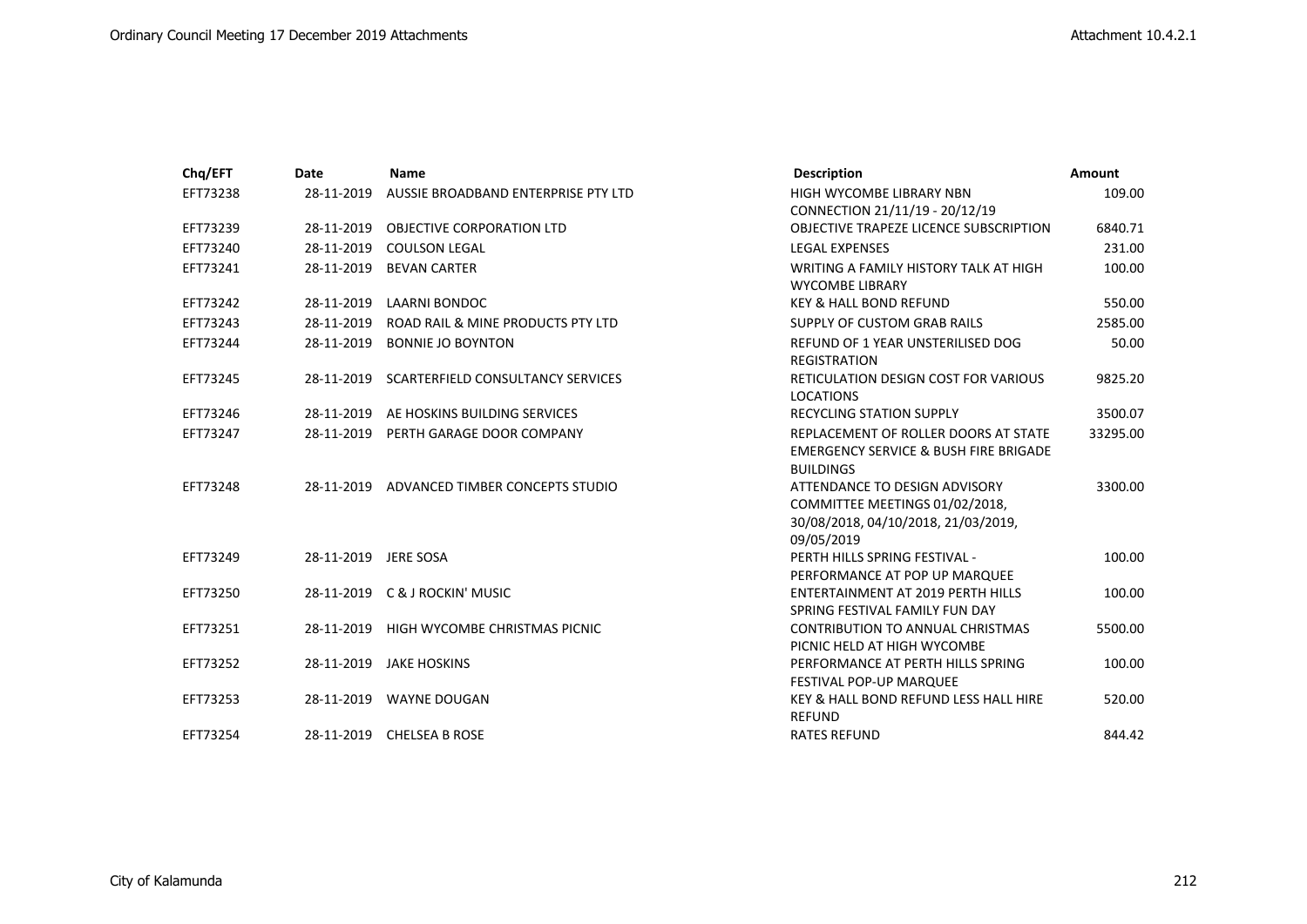| Chq/EFT  | Date       | <b>Name</b>                                | <b>Description</b>                                                                                                   | <b>Amount</b> |
|----------|------------|--------------------------------------------|----------------------------------------------------------------------------------------------------------------------|---------------|
| EFT73238 | 28-11-2019 | AUSSIE BROADBAND ENTERPRISE PTY LTD        | HIGH WYCOMBE LIBRARY NBN                                                                                             | 109.00        |
|          |            |                                            | CONNECTION 21/11/19 - 20/12/19                                                                                       |               |
| EFT73239 | 28-11-2019 | <b>OBJECTIVE CORPORATION LTD</b>           | OBJECTIVE TRAPEZE LICENCE SUBSCRIPTION                                                                               | 6840.71       |
| EFT73240 | 28-11-2019 | <b>COULSON LEGAL</b>                       | <b>LEGAL EXPENSES</b>                                                                                                | 231.00        |
| EFT73241 | 28-11-2019 | <b>BEVAN CARTER</b>                        | WRITING A FAMILY HISTORY TALK AT HIGH<br><b>WYCOMBE LIBRARY</b>                                                      | 100.00        |
| EFT73242 | 28-11-2019 | <b>LAARNI BONDOC</b>                       | <b>KEY &amp; HALL BOND REFUND</b>                                                                                    | 550.00        |
| EFT73243 | 28-11-2019 | ROAD RAIL & MINE PRODUCTS PTY LTD          | SUPPLY OF CUSTOM GRAB RAILS                                                                                          | 2585.00       |
| EFT73244 | 28-11-2019 | <b>BONNIE JO BOYNTON</b>                   | REFUND OF 1 YEAR UNSTERILISED DOG<br><b>REGISTRATION</b>                                                             | 50.00         |
| EFT73245 | 28-11-2019 | SCARTERFIELD CONSULTANCY SERVICES          | <b>RETICULATION DESIGN COST FOR VARIOUS</b><br><b>LOCATIONS</b>                                                      | 9825.20       |
| EFT73246 | 28-11-2019 | AE HOSKINS BUILDING SERVICES               | <b>RECYCLING STATION SUPPLY</b>                                                                                      | 3500.07       |
| EFT73247 | 28-11-2019 | PERTH GARAGE DOOR COMPANY                  | REPLACEMENT OF ROLLER DOORS AT STATE<br><b>EMERGENCY SERVICE &amp; BUSH FIRE BRIGADE</b><br><b>BUILDINGS</b>         | 33295.00      |
| EFT73248 |            | 28-11-2019 ADVANCED TIMBER CONCEPTS STUDIO | ATTENDANCE TO DESIGN ADVISORY<br>COMMITTEE MEETINGS 01/02/2018,<br>30/08/2018, 04/10/2018, 21/03/2019,<br>09/05/2019 | 3300.00       |
| EFT73249 | 28-11-2019 | JERE SOSA                                  | PERTH HILLS SPRING FESTIVAL -<br>PERFORMANCE AT POP UP MARQUEE                                                       | 100.00        |
| EFT73250 |            | 28-11-2019 C & J ROCKIN' MUSIC             | <b>ENTERTAINMENT AT 2019 PERTH HILLS</b><br>SPRING FESTIVAL FAMILY FUN DAY                                           | 100.00        |
| EFT73251 | 28-11-2019 | HIGH WYCOMBE CHRISTMAS PICNIC              | <b>CONTRIBUTION TO ANNUAL CHRISTMAS</b><br>PICNIC HELD AT HIGH WYCOMBE                                               | 5500.00       |
| EFT73252 | 28-11-2019 | <b>JAKE HOSKINS</b>                        | PERFORMANCE AT PERTH HILLS SPRING<br><b>FESTIVAL POP-UP MARQUEE</b>                                                  | 100.00        |
| EFT73253 | 28-11-2019 | <b>WAYNE DOUGAN</b>                        | KEY & HALL BOND REFUND LESS HALL HIRE<br><b>REFUND</b>                                                               | 520.00        |
| EFT73254 | 28-11-2019 | <b>CHELSEA B ROSE</b>                      | <b>RATES REFUND</b>                                                                                                  | 844.42        |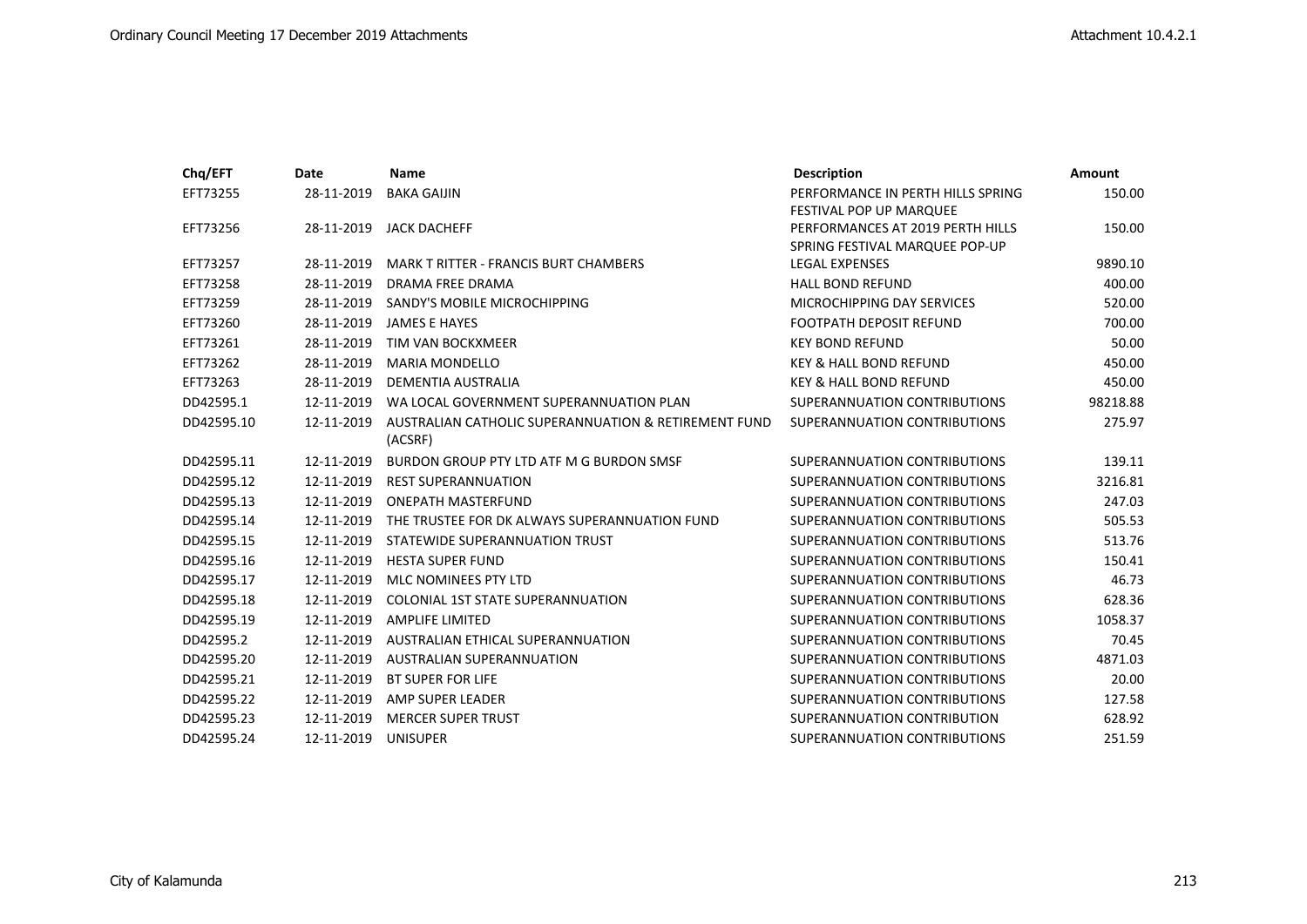| Chq/EFT    | Date       | <b>Name</b>                                                     | <b>Description</b>                                                  | Amount   |
|------------|------------|-----------------------------------------------------------------|---------------------------------------------------------------------|----------|
| EFT73255   | 28-11-2019 | <b>BAKA GAIJIN</b>                                              | PERFORMANCE IN PERTH HILLS SPRING<br><b>FESTIVAL POP UP MARQUEE</b> | 150.00   |
| EFT73256   |            | 28-11-2019 JACK DACHEFF                                         | PERFORMANCES AT 2019 PERTH HILLS<br>SPRING FESTIVAL MARQUEE POP-UP  | 150.00   |
| EFT73257   | 28-11-2019 | <b>MARK T RITTER - FRANCIS BURT CHAMBERS</b>                    | <b>LEGAL EXPENSES</b>                                               | 9890.10  |
| EFT73258   | 28-11-2019 | DRAMA FREE DRAMA                                                | <b>HALL BOND REFUND</b>                                             | 400.00   |
| EFT73259   | 28-11-2019 | SANDY'S MOBILE MICROCHIPPING                                    | MICROCHIPPING DAY SERVICES                                          | 520.00   |
| EFT73260   | 28-11-2019 | <b>JAMES E HAYES</b>                                            | <b>FOOTPATH DEPOSIT REFUND</b>                                      | 700.00   |
| EFT73261   | 28-11-2019 | TIM VAN BOCKXMEER                                               | <b>KEY BOND REFUND</b>                                              | 50.00    |
| EFT73262   | 28-11-2019 | <b>MARIA MONDELLO</b>                                           | <b>KEY &amp; HALL BOND REFUND</b>                                   | 450.00   |
| EFT73263   | 28-11-2019 | DEMENTIA AUSTRALIA                                              | <b>KEY &amp; HALL BOND REFUND</b>                                   | 450.00   |
| DD42595.1  | 12-11-2019 | WA LOCAL GOVERNMENT SUPERANNUATION PLAN                         | SUPERANNUATION CONTRIBUTIONS                                        | 98218.88 |
| DD42595.10 | 12-11-2019 | AUSTRALIAN CATHOLIC SUPERANNUATION & RETIREMENT FUND<br>(ACSRF) | SUPERANNUATION CONTRIBUTIONS                                        | 275.97   |
| DD42595.11 | 12-11-2019 | BURDON GROUP PTY LTD ATF M G BURDON SMSF                        | SUPERANNUATION CONTRIBUTIONS                                        | 139.11   |
| DD42595.12 | 12-11-2019 | <b>REST SUPERANNUATION</b>                                      | SUPERANNUATION CONTRIBUTIONS                                        | 3216.81  |
| DD42595.13 | 12-11-2019 | <b>ONEPATH MASTERFUND</b>                                       | SUPERANNUATION CONTRIBUTIONS                                        | 247.03   |
| DD42595.14 | 12-11-2019 | THE TRUSTEE FOR DK ALWAYS SUPERANNUATION FUND                   | SUPERANNUATION CONTRIBUTIONS                                        | 505.53   |
| DD42595.15 | 12-11-2019 | STATEWIDE SUPERANNUATION TRUST                                  | SUPERANNUATION CONTRIBUTIONS                                        | 513.76   |
| DD42595.16 | 12-11-2019 | <b>HESTA SUPER FUND</b>                                         | SUPERANNUATION CONTRIBUTIONS                                        | 150.41   |
| DD42595.17 | 12-11-2019 | MLC NOMINEES PTY LTD                                            | SUPERANNUATION CONTRIBUTIONS                                        | 46.73    |
| DD42595.18 | 12-11-2019 | <b>COLONIAL 1ST STATE SUPERANNUATION</b>                        | SUPERANNUATION CONTRIBUTIONS                                        | 628.36   |
| DD42595.19 | 12-11-2019 | <b>AMPLIFE LIMITED</b>                                          | SUPERANNUATION CONTRIBUTIONS                                        | 1058.37  |
| DD42595.2  | 12-11-2019 | AUSTRALIAN ETHICAL SUPERANNUATION                               | SUPERANNUATION CONTRIBUTIONS                                        | 70.45    |
| DD42595.20 | 12-11-2019 | AUSTRALIAN SUPERANNUATION                                       | SUPERANNUATION CONTRIBUTIONS                                        | 4871.03  |
| DD42595.21 | 12-11-2019 | <b>BT SUPER FOR LIFE</b>                                        | SUPERANNUATION CONTRIBUTIONS                                        | 20.00    |
| DD42595.22 | 12-11-2019 | AMP SUPER LEADER                                                | SUPERANNUATION CONTRIBUTIONS                                        | 127.58   |
| DD42595.23 | 12-11-2019 | <b>MERCER SUPER TRUST</b>                                       | SUPERANNUATION CONTRIBUTION                                         | 628.92   |
| DD42595.24 | 12-11-2019 | <b>UNISUPER</b>                                                 | SUPERANNUATION CONTRIBUTIONS                                        | 251.59   |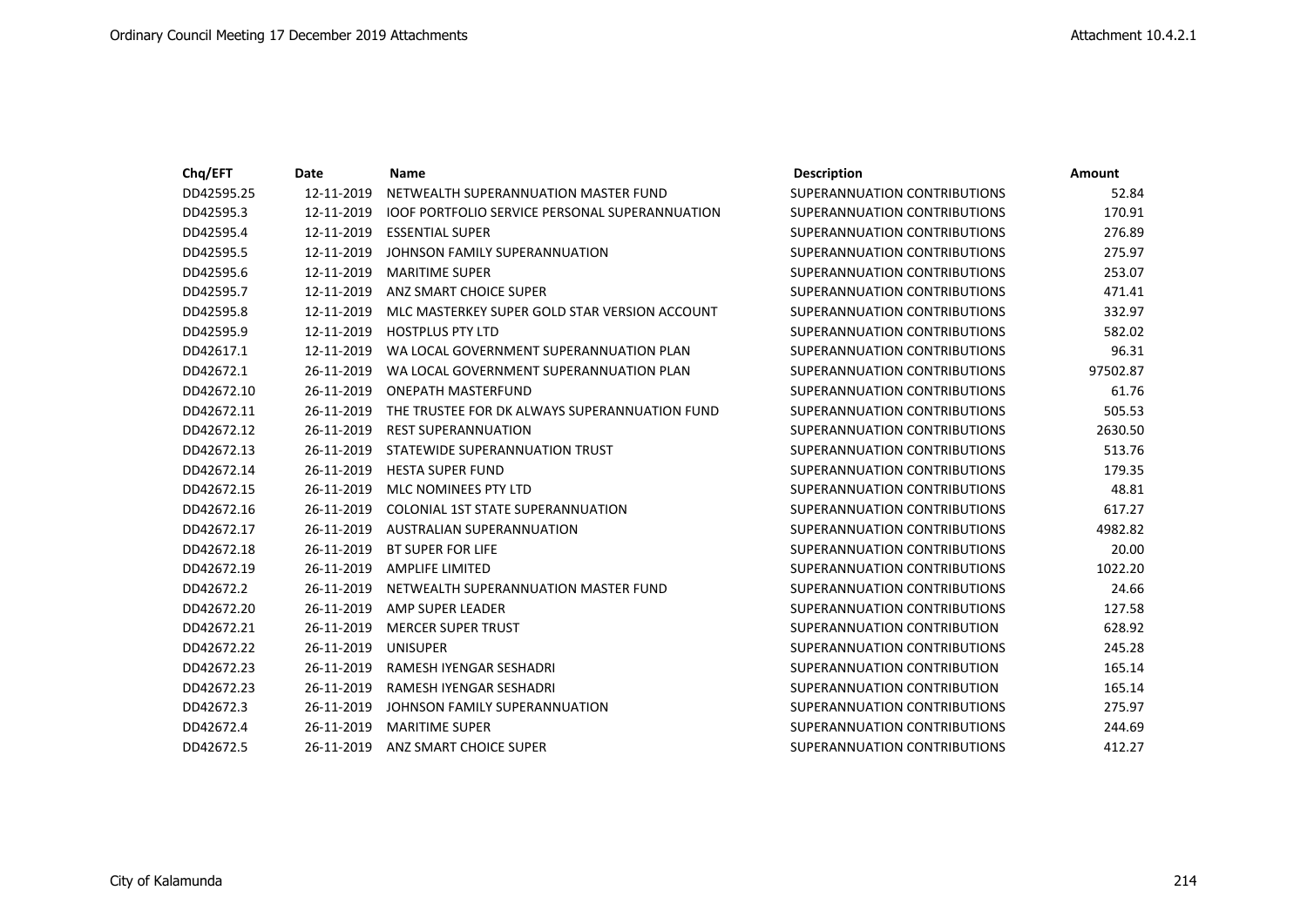| Chq/EFT    | Date       | <b>Name</b>                                           | <b>Description</b>           | <b>Amount</b> |
|------------|------------|-------------------------------------------------------|------------------------------|---------------|
| DD42595.25 | 12-11-2019 | NETWEALTH SUPERANNUATION MASTER FUND                  | SUPERANNUATION CONTRIBUTIONS | 52.84         |
| DD42595.3  | 12-11-2019 | <b>IOOF PORTFOLIO SERVICE PERSONAL SUPERANNUATION</b> | SUPERANNUATION CONTRIBUTIONS | 170.91        |
| DD42595.4  | 12-11-2019 | <b>ESSENTIAL SUPER</b>                                | SUPERANNUATION CONTRIBUTIONS | 276.89        |
| DD42595.5  | 12-11-2019 | JOHNSON FAMILY SUPERANNUATION                         | SUPERANNUATION CONTRIBUTIONS | 275.97        |
| DD42595.6  | 12-11-2019 | <b>MARITIME SUPER</b>                                 | SUPERANNUATION CONTRIBUTIONS | 253.07        |
| DD42595.7  | 12-11-2019 | ANZ SMART CHOICE SUPER                                | SUPERANNUATION CONTRIBUTIONS | 471.41        |
| DD42595.8  | 12-11-2019 | MLC MASTERKEY SUPER GOLD STAR VERSION ACCOUNT         | SUPERANNUATION CONTRIBUTIONS | 332.97        |
| DD42595.9  | 12-11-2019 | <b>HOSTPLUS PTY LTD</b>                               | SUPERANNUATION CONTRIBUTIONS | 582.02        |
| DD42617.1  | 12-11-2019 | WA LOCAL GOVERNMENT SUPERANNUATION PLAN               | SUPERANNUATION CONTRIBUTIONS | 96.31         |
| DD42672.1  | 26-11-2019 | WA LOCAL GOVERNMENT SUPERANNUATION PLAN               | SUPERANNUATION CONTRIBUTIONS | 97502.87      |
| DD42672.10 | 26-11-2019 | <b>ONEPATH MASTERFUND</b>                             | SUPERANNUATION CONTRIBUTIONS | 61.76         |
| DD42672.11 | 26-11-2019 | THE TRUSTEE FOR DK ALWAYS SUPERANNUATION FUND         | SUPERANNUATION CONTRIBUTIONS | 505.53        |
| DD42672.12 | 26-11-2019 | <b>REST SUPERANNUATION</b>                            | SUPERANNUATION CONTRIBUTIONS | 2630.50       |
| DD42672.13 | 26-11-2019 | STATEWIDE SUPERANNUATION TRUST                        | SUPERANNUATION CONTRIBUTIONS | 513.76        |
| DD42672.14 | 26-11-2019 | <b>HESTA SUPER FUND</b>                               | SUPERANNUATION CONTRIBUTIONS | 179.35        |
| DD42672.15 | 26-11-2019 | MLC NOMINEES PTY LTD                                  | SUPERANNUATION CONTRIBUTIONS | 48.81         |
| DD42672.16 | 26-11-2019 | <b>COLONIAL 1ST STATE SUPERANNUATION</b>              | SUPERANNUATION CONTRIBUTIONS | 617.27        |
| DD42672.17 | 26-11-2019 | AUSTRALIAN SUPERANNUATION                             | SUPERANNUATION CONTRIBUTIONS | 4982.82       |
| DD42672.18 | 26-11-2019 | <b>BT SUPER FOR LIFE</b>                              | SUPERANNUATION CONTRIBUTIONS | 20.00         |
| DD42672.19 | 26-11-2019 | <b>AMPLIFE LIMITED</b>                                | SUPERANNUATION CONTRIBUTIONS | 1022.20       |
| DD42672.2  | 26-11-2019 | NETWEALTH SUPERANNUATION MASTER FUND                  | SUPERANNUATION CONTRIBUTIONS | 24.66         |
| DD42672.20 | 26-11-2019 | AMP SUPER LEADER                                      | SUPERANNUATION CONTRIBUTIONS | 127.58        |
| DD42672.21 | 26-11-2019 | <b>MERCER SUPER TRUST</b>                             | SUPERANNUATION CONTRIBUTION  | 628.92        |
| DD42672.22 | 26-11-2019 | <b>UNISUPER</b>                                       | SUPERANNUATION CONTRIBUTIONS | 245.28        |
| DD42672.23 | 26-11-2019 | <b>RAMESH IYENGAR SESHADRI</b>                        | SUPERANNUATION CONTRIBUTION  | 165.14        |
| DD42672.23 | 26-11-2019 | RAMESH IYENGAR SESHADRI                               | SUPERANNUATION CONTRIBUTION  | 165.14        |
| DD42672.3  | 26-11-2019 | JOHNSON FAMILY SUPERANNUATION                         | SUPERANNUATION CONTRIBUTIONS | 275.97        |
| DD42672.4  | 26-11-2019 | <b>MARITIME SUPER</b>                                 | SUPERANNUATION CONTRIBUTIONS | 244.69        |
| DD42672.5  | 26-11-2019 | ANZ SMART CHOICE SUPER                                | SUPERANNUATION CONTRIBUTIONS | 412.27        |